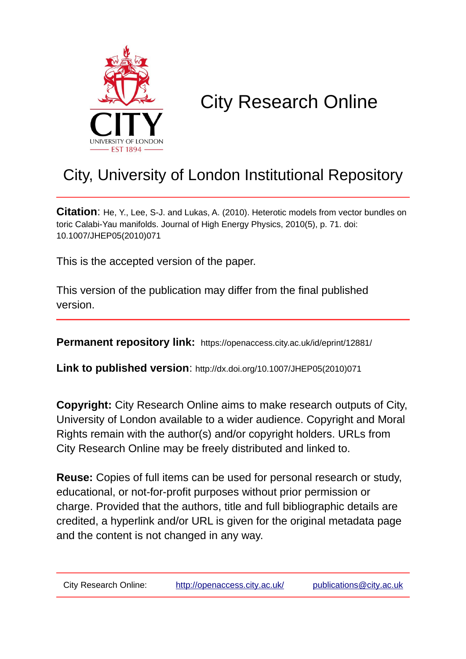

# City Research Online

## City, University of London Institutional Repository

**Citation**: He, Y., Lee, S-J. and Lukas, A. (2010). Heterotic models from vector bundles on toric Calabi-Yau manifolds. Journal of High Energy Physics, 2010(5), p. 71. doi: 10.1007/JHEP05(2010)071

This is the accepted version of the paper.

This version of the publication may differ from the final published version.

**Permanent repository link:** https://openaccess.city.ac.uk/id/eprint/12881/

**Link to published version**: http://dx.doi.org/10.1007/JHEP05(2010)071

**Copyright:** City Research Online aims to make research outputs of City, University of London available to a wider audience. Copyright and Moral Rights remain with the author(s) and/or copyright holders. URLs from City Research Online may be freely distributed and linked to.

**Reuse:** Copies of full items can be used for personal research or study, educational, or not-for-profit purposes without prior permission or charge. Provided that the authors, title and full bibliographic details are credited, a hyperlink and/or URL is given for the original metadata page and the content is not changed in any way.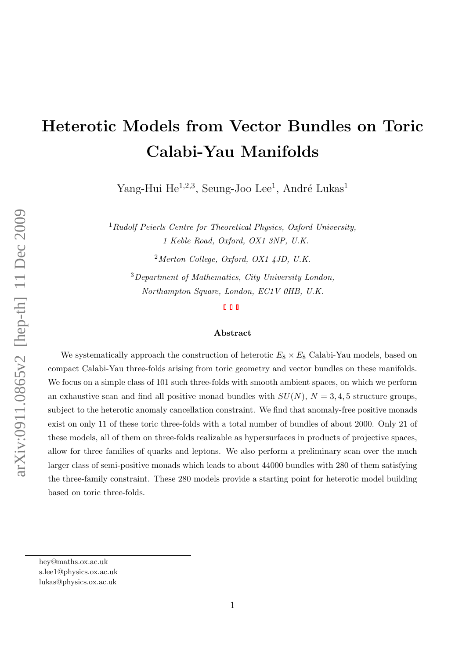# Heterotic Models from Vector Bundles on Toric Calabi-Yau Manifolds

Yang-Hui He<sup>1,2,3</sup>, Seung-Joo Lee<sup>1</sup>, André Lukas<sup>1</sup>

 $1$ Rudolf Peierls Centre for Theoretical Physics, Oxford University, 1 Keble Road, Oxford, OX1 3NP, U.K.

 $2$ Merton College, Oxford, OX1 4JD, U.K.

<sup>3</sup>Department of Mathematics, City University London, Northampton Square, London, EC1V 0HB, U.K.

#### Abstract

We systematically approach the construction of heterotic  $E_8 \times E_8$  Calabi-Yau models, based on compact Calabi-Yau three-folds arising from toric geometry and vector bundles on these manifolds. We focus on a simple class of 101 such three-folds with smooth ambient spaces, on which we perform an exhaustive scan and find all positive monad bundles with  $SU(N)$ ,  $N = 3, 4, 5$  structure groups. subject to the heterotic anomaly cancellation constraint. We find that anomaly-free positive monads exist on only 11 of these toric three-folds with a total number of bundles of about 2000. Only 21 of these models, all of them on three-folds realizable as hypersurfaces in products of projective spaces, allow for three families of quarks and leptons. We also perform a preliminary scan over the much larger class of semi-positive monads which leads to about 44000 bundles with 280 of them satisfying the three-family constraint. These 280 models provide a starting point for heterotic model building based on toric three-folds.

hey@maths.ox.ac.uk

s.lee1@physics.ox.ac.uk

lukas@physics.ox.ac.uk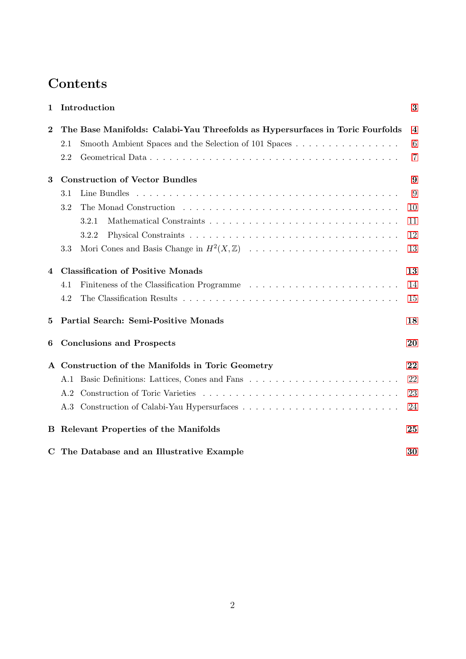## Contents

| 1        | Introduction                                                                                                     | 3                       |
|----------|------------------------------------------------------------------------------------------------------------------|-------------------------|
| $\bf{2}$ | The Base Manifolds: Calabi-Yau Threefolds as Hypersurfaces in Toric Fourfolds                                    | $\overline{\mathbf{4}}$ |
|          | Smooth Ambient Spaces and the Selection of 101 Spaces<br>2.1                                                     | 6                       |
|          | 2.2                                                                                                              | $\overline{7}$          |
| 3        | <b>Construction of Vector Bundles</b>                                                                            | 9                       |
|          | 3.1                                                                                                              | 9                       |
|          | 3.2                                                                                                              | 10                      |
|          | 3.2.1                                                                                                            | 11                      |
|          | 3.2.2                                                                                                            | 12                      |
|          | 3.3                                                                                                              | 13                      |
| 4        | <b>Classification of Positive Monads</b>                                                                         | 13                      |
|          | 4.1                                                                                                              | 14                      |
|          | 4.2                                                                                                              | 15                      |
| $\bf{5}$ | Partial Search: Semi-Positive Monads                                                                             | 18                      |
| 6        | <b>Conclusions and Prospects</b>                                                                                 | 20                      |
|          | Construction of the Manifolds in Toric Geometry                                                                  | 22                      |
|          | A.1                                                                                                              | 22                      |
|          | A.2                                                                                                              | 23                      |
|          | Construction of Calabi-Yau Hypersurfaces $\ldots \ldots \ldots \ldots \ldots \ldots \ldots \ldots \ldots$<br>A.3 | 24                      |
| В        | Relevant Properties of the Manifolds                                                                             | 25                      |
|          | C The Database and an Illustrative Example                                                                       | 30                      |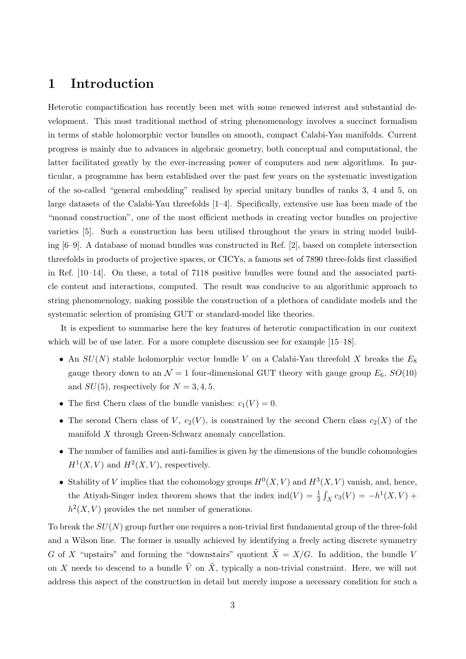## <span id="page-3-0"></span>1 Introduction

Heterotic compactification has recently been met with some renewed interest and substantial development. This most traditional method of string phenomenology involves a succinct formalism in terms of stable holomorphic vector bundles on smooth, compact Calabi-Yau manifolds. Current progress is mainly due to advances in algebraic geometry, both conceptual and computational, the latter facilitated greatly by the ever-increasing power of computers and new algorithms. In particular, a programme has been established over the past few years on the systematic investigation of the so-called "general embedding" realised by special unitary bundles of ranks 3, 4 and 5, on large datasets of the Calabi-Yau threefolds [1–4]. Specifically, extensive use has been made of the "monad construction", one of the most efficient methods in creating vector bundles on projective varieties [5]. Such a construction has been utilised throughout the years in string model building [6–9]. A database of monad bundles was constructed in Ref. [2], based on complete intersection threefolds in products of projective spaces, or CICYs, a famous set of 7890 three-folds first classified in Ref. [10–14]. On these, a total of 7118 positive bundles were found and the associated particle content and interactions, computed. The result was conducive to an algorithmic approach to string phenomenology, making possible the construction of a plethora of candidate models and the systematic selection of promising GUT or standard-model like theories.

It is expedient to summarise here the key features of heterotic compactification in our context which will be of use later. For a more complete discussion see for example [15–18].

- An  $SU(N)$  stable holomorphic vector bundle V on a Calabi-Yau threefold X breaks the  $E_8$ gauge theory down to an  $\mathcal{N} = 1$  four-dimensional GUT theory with gauge group  $E_6$ ,  $SO(10)$ and  $SU(5)$ , respectively for  $N = 3, 4, 5$ .
- The first Chern class of the bundle vanishes:  $c_1(V) = 0$ .
- The second Chern class of V,  $c_2(V)$ , is constrained by the second Chern class  $c_2(X)$  of the manifold X through Green-Schwarz anomaly cancellation.
- The number of families and anti-families is given by the dimensions of the bundle cohomologies  $H<sup>1</sup>(X, V)$  and  $H<sup>2</sup>(X, V)$ , respectively.
- Stability of V implies that the cohomology groups  $H^0(X, V)$  and  $H^3(X, V)$  vanish, and, hence, the Atiyah-Singer index theorem shows that the index  $\text{ind}(V) = \frac{1}{2} \int_X c_3(V) = -h^1(X, V) +$  $h^2(X, V)$  provides the net number of generations.

To break the  $SU(N)$  group further one requires a non-trivial first fundamental group of the three-fold and a Wilson line. The former is usually achieved by identifying a freely acting discrete symmetry G of X "upstairs" and forming the "downstairs" quotient  $\tilde{X} = X/G$ . In addition, the bundle V on X needs to descend to a bundle  $\tilde{V}$  on  $\tilde{X}$ , typically a non-trivial constraint. Here, we will not address this aspect of the construction in detail but merely impose a necessary condition for such a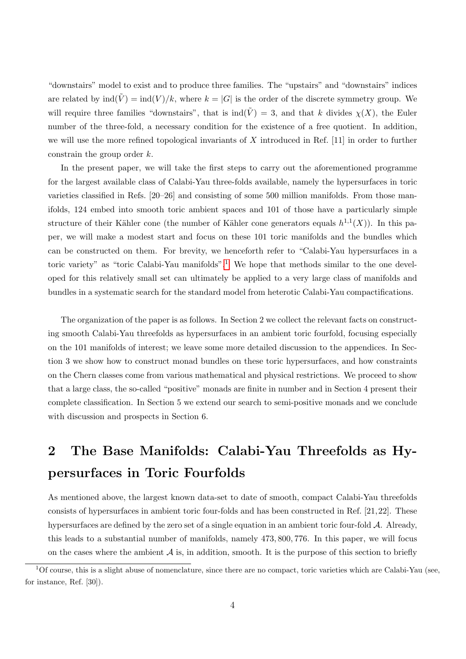"downstairs" model to exist and to produce three families. The "upstairs" and "downstairs" indices are related by  $\text{ind}(\tilde{V}) = \text{ind}(V)/k$ , where  $k = |G|$  is the order of the discrete symmetry group. We will require three families "downstairs", that is  $\text{ind}(\tilde{V}) = 3$ , and that k divides  $\chi(X)$ , the Euler number of the three-fold, a necessary condition for the existence of a free quotient. In addition, we will use the more refined topological invariants of  $X$  introduced in Ref. [11] in order to further constrain the group order  $k$ .

In the present paper, we will take the first steps to carry out the aforementioned programme for the largest available class of Calabi-Yau three-folds available, namely the hypersurfaces in toric varieties classified in Refs. [20–26] and consisting of some 500 million manifolds. From those manifolds, 124 embed into smooth toric ambient spaces and 101 of those have a particularly simple structure of their Kähler cone (the number of Kähler cone generators equals  $h^{1,1}(X)$ ). In this paper, we will make a modest start and focus on these 101 toric manifolds and the bundles which can be constructed on them. For brevity, we henceforth refer to "Calabi-Yau hypersurfaces in a toric variety" as "toric Calabi-Yau manifolds".<sup>[1](#page-4-1)</sup> We hope that methods similar to the one developed for this relatively small set can ultimately be applied to a very large class of manifolds and bundles in a systematic search for the standard model from heterotic Calabi-Yau compactifications.

The organization of the paper is as follows. In Section 2 we collect the relevant facts on constructing smooth Calabi-Yau threefolds as hypersurfaces in an ambient toric fourfold, focusing especially on the 101 manifolds of interest; we leave some more detailed discussion to the appendices. In Section 3 we show how to construct monad bundles on these toric hypersurfaces, and how constraints on the Chern classes come from various mathematical and physical restrictions. We proceed to show that a large class, the so-called "positive" monads are finite in number and in Section 4 present their complete classification. In Section 5 we extend our search to semi-positive monads and we conclude with discussion and prospects in Section 6.

## <span id="page-4-0"></span>2 The Base Manifolds: Calabi-Yau Threefolds as Hypersurfaces in Toric Fourfolds

As mentioned above, the largest known data-set to date of smooth, compact Calabi-Yau threefolds consists of hypersurfaces in ambient toric four-folds and has been constructed in Ref. [21,22]. These hypersurfaces are defined by the zero set of a single equation in an ambient toric four-fold  $A$ . Already, this leads to a substantial number of manifolds, namely 473, 800, 776. In this paper, we will focus on the cases where the ambient  $A$  is, in addition, smooth. It is the purpose of this section to briefly

<span id="page-4-1"></span> $1$ Of course, this is a slight abuse of nomenclature, since there are no compact, toric varieties which are Calabi-Yau (see, for instance, Ref. [30]).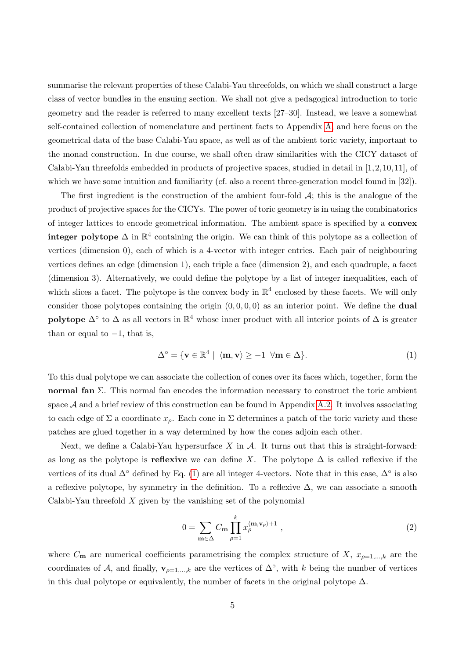summarise the relevant properties of these Calabi-Yau threefolds, on which we shall construct a large class of vector bundles in the ensuing section. We shall not give a pedagogical introduction to toric geometry and the reader is referred to many excellent texts [27–30]. Instead, we leave a somewhat self-contained collection of nomenclature and pertinent facts to Appendix [A,](#page-22-0) and here focus on the geometrical data of the base Calabi-Yau space, as well as of the ambient toric variety, important to the monad construction. In due course, we shall often draw similarities with the CICY dataset of Calabi-Yau threefolds embedded in products of projective spaces, studied in detail in [1,2,10,11], of which we have some intuition and familiarity (cf. also a recent three-generation model found in [32]).

The first ingredient is the construction of the ambient four-fold  $\mathcal{A}$ ; this is the analogue of the product of projective spaces for the CICYs. The power of toric geometry is in using the combinatorics of integer lattices to encode geometrical information. The ambient space is specified by a convex **integer polytope**  $\Delta$  in  $\mathbb{R}^4$  containing the origin. We can think of this polytope as a collection of vertices (dimension 0), each of which is a 4-vector with integer entries. Each pair of neighbouring vertices defines an edge (dimension 1), each triple a face (dimension 2), and each quadruple, a facet (dimension 3). Alternatively, we could define the polytope by a list of integer inequalities, each of which slices a facet. The polytope is the convex body in  $\mathbb{R}^4$  enclosed by these facets. We will only consider those polytopes containing the origin  $(0, 0, 0, 0)$  as an interior point. We define the **dual** polytope  $\Delta^{\circ}$  to  $\Delta$  as all vectors in  $\mathbb{R}^4$  whose inner product with all interior points of  $\Delta$  is greater than or equal to  $-1$ , that is,

<span id="page-5-0"></span>
$$
\Delta^{\circ} = \{ \mathbf{v} \in \mathbb{R}^4 \mid \langle \mathbf{m}, \mathbf{v} \rangle \ge -1 \ \forall \mathbf{m} \in \Delta \}. \tag{1}
$$

To this dual polytope we can associate the collection of cones over its faces which, together, form the **normal fan** Σ. This normal fan encodes the information necessary to construct the toric ambient space  $A$  and a brief review of this construction can be found in Appendix [A.2.](#page-23-0) It involves associating to each edge of  $\Sigma$  a coordinate  $x_{\rho}$ . Each cone in  $\Sigma$  determines a patch of the toric variety and these patches are glued together in a way determined by how the cones adjoin each other.

Next, we define a Calabi-Yau hypersurface  $X$  in  $A$ . It turns out that this is straight-forward: as long as the polytope is **reflexive** we can define X. The polytope  $\Delta$  is called reflexive if the vertices of its dual  $\Delta^{\circ}$  defined by Eq. [\(1\)](#page-5-0) are all integer 4-vectors. Note that in this case,  $\Delta^{\circ}$  is also a reflexive polytope, by symmetry in the definition. To a reflexive  $\Delta$ , we can associate a smooth Calabi-Yau threefold  $X$  given by the vanishing set of the polynomial

<span id="page-5-1"></span>
$$
0 = \sum_{\mathbf{m}\in\Delta} C_{\mathbf{m}} \prod_{\rho=1}^{k} x_{\rho}^{\langle \mathbf{m}, \mathbf{v}_{\rho}\rangle + 1} , \qquad (2)
$$

where  $C_m$  are numerical coefficients parametrising the complex structure of X,  $x_{\rho=1,\dots,k}$  are the coordinates of A, and finally,  $\mathbf{v}_{\rho=1,\dots,k}$  are the vertices of  $\Delta^{\circ}$ , with k being the number of vertices in this dual polytope or equivalently, the number of facets in the original polytope  $\Delta$ .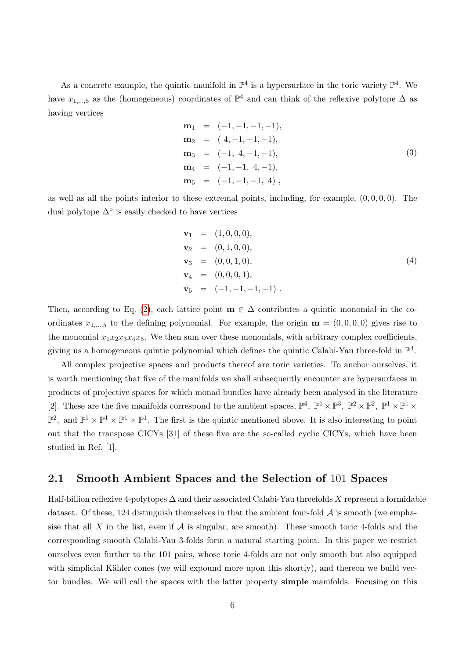As a concrete example, the quintic manifold in  $\mathbb{P}^4$  is a hypersurface in the toric variety  $\mathbb{P}^4$ . We have  $x_{1,\dots,5}$  as the (homogeneous) coordinates of  $\mathbb{P}^4$  and can think of the reflexive polytope  $\Delta$  as having vertices

$$
\begin{aligned}\n\mathbf{m}_1 &= (-1, -1, -1, -1), \\
\mathbf{m}_2 &= (4, -1, -1, -1), \\
\mathbf{m}_3 &= (-1, 4, -1, -1), \\
\mathbf{m}_4 &= (-1, -1, 4, -1), \\
\mathbf{m}_5 &= (-1, -1, -1, 4),\n\end{aligned}
$$
\n(3)

as well as all the points interior to these extremal points, including, for example,  $(0, 0, 0, 0)$ . The dual polytope  $\Delta^{\circ}$  is easily checked to have vertices

<span id="page-6-1"></span>
$$
\begin{aligned}\n\mathbf{v}_1 &= (1, 0, 0, 0), \\
\mathbf{v}_2 &= (0, 1, 0, 0), \\
\mathbf{v}_3 &= (0, 0, 1, 0), \\
\mathbf{v}_4 &= (0, 0, 0, 1), \\
\mathbf{v}_5 &= (-1, -1, -1, -1).\n\end{aligned} \tag{4}
$$

Then, according to Eq. [\(2\)](#page-5-1), each lattice point  $\mathbf{m} \in \Delta$  contributes a quintic monomial in the coordinates  $x_{1,\dots,5}$  to the defining polynomial. For example, the origin  $\mathbf{m} = (0,0,0,0)$  gives rise to the monomial  $x_1x_2x_3x_4x_5$ . We then sum over these monomials, with arbitrary complex coefficients, giving us a homogeneous quintic polynomial which defines the quintic Calabi-Yau three-fold in  $\mathbb{P}^4$ .

All complex projective spaces and products thereof are toric varieties. To anchor ourselves, it is worth mentioning that five of the manifolds we shall subsequently encounter are hypersurfaces in products of projective spaces for which monad bundles have already been analysed in the literature [2]. These are the five manifolds correspond to the ambient spaces,  $\mathbb{P}^4$ ,  $\mathbb{P}^1 \times \mathbb{P}^3$ ,  $\mathbb{P}^2 \times \mathbb{P}^2$ ,  $\mathbb{P}^1 \times \mathbb{P}^1 \times \mathbb{P}^1$  $\mathbb{P}^2$ , and  $\mathbb{P}^1 \times \mathbb{P}^1 \times \mathbb{P}^1$ . The first is the quintic mentioned above. It is also interesting to point out that the transpose CICYs [31] of these five are the so-called cyclic CICYs, which have been studied in Ref. [1].

#### <span id="page-6-0"></span>2.1 Smooth Ambient Spaces and the Selection of 101 Spaces

Half-billion reflexive 4-polytopes  $\Delta$  and their associated Calabi-Yau threefolds X represent a formidable dataset. Of these, 124 distinguish themselves in that the ambient four-fold  $\mathcal A$  is smooth (we emphasise that all  $X$  in the list, even if  $A$  is singular, are smooth). These smooth toric 4-folds and the corresponding smooth Calabi-Yau 3-folds form a natural starting point. In this paper we restrict ourselves even further to the 101 pairs, whose toric 4-folds are not only smooth but also equipped with simplicial Kähler cones (we will expound more upon this shortly), and thereon we build vector bundles. We will call the spaces with the latter property simple manifolds. Focusing on this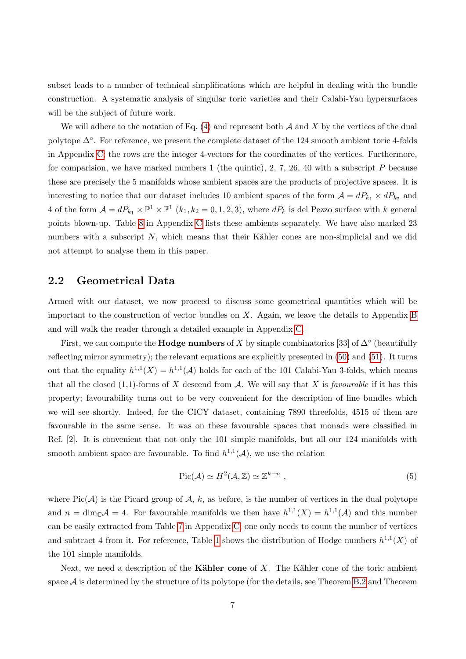subset leads to a number of technical simplifications which are helpful in dealing with the bundle construction. A systematic analysis of singular toric varieties and their Calabi-Yau hypersurfaces will be the subject of future work.

We will adhere to the notation of Eq.  $(4)$  and represent both A and X by the vertices of the dual polytope  $\Delta^{\circ}$ . For reference, we present the complete dataset of the 124 smooth ambient toric 4-folds in Appendix [C;](#page-30-0) the rows are the integer 4-vectors for the coordinates of the vertices. Furthermore, for comparision, we have marked numbers 1 (the quintic), 2, 7, 26, 40 with a subscript P because these are precisely the 5 manifolds whose ambient spaces are the products of projective spaces. It is interesting to notice that our dataset includes 10 ambient spaces of the form  $A = dP_{k_1} \times dP_{k_2}$  and 4 of the form  $\mathcal{A} = dP_{k_1} \times \mathbb{P}^1 \times \mathbb{P}^1$   $(k_1, k_2 = 0, 1, 2, 3)$ , where  $dP_k$  is del Pezzo surface with k general points blown-up. Table [8](#page-41-0) in Appendix [C](#page-30-0) lists these ambients separately. We have also marked 23 numbers with a subscript  $N$ , which means that their Kähler cones are non-simplicial and we did not attempt to analyse them in this paper.

#### <span id="page-7-0"></span>2.2 Geometrical Data

Armed with our dataset, we now proceed to discuss some geometrical quantities which will be important to the construction of vector bundles on  $X$ . Again, we leave the details to Appendix [B](#page-25-0) and will walk the reader through a detailed example in Appendix [C.](#page-30-0)

First, we can compute the **Hodge numbers** of X by simple combinatorics [33] of  $\Delta^{\circ}$  (beautifully reflecting mirror symmetry); the relevant equations are explicitly presented in [\(50\)](#page-27-0) and [\(51\)](#page-27-0). It turns out that the equality  $h^{1,1}(X) = h^{1,1}(\mathcal{A})$  holds for each of the 101 Calabi-Yau 3-folds, which means that all the closed  $(1,1)$ -forms of X descend from A. We will say that X is *favourable* if it has this property; favourability turns out to be very convenient for the description of line bundles which we will see shortly. Indeed, for the CICY dataset, containing 7890 threefolds, 4515 of them are favourable in the same sense. It was on these favourable spaces that monads were classified in Ref. [2]. It is convenient that not only the 101 simple manifolds, but all our 124 manifolds with smooth ambient space are favourable. To find  $h^{1,1}(\mathcal{A})$ , we use the relation

$$
\text{Pic}(\mathcal{A}) \simeq H^2(\mathcal{A}, \mathbb{Z}) \simeq \mathbb{Z}^{k-n} \;, \tag{5}
$$

where  $Pic(\mathcal{A})$  is the Picard group of  $\mathcal{A}, k$ , as before, is the number of vertices in the dual polytope and  $n = \dim_{\mathbb{C}} \mathcal{A} = 4$ . For favourable manifolds we then have  $h^{1,1}(X) = h^{1,1}(\mathcal{A})$  and this number can be easily extracted from Table [7](#page-40-0) in Appendix [C;](#page-30-0) one only needs to count the number of vertices and subtract 4 from it. For reference, Table [1](#page-8-0) shows the distribution of Hodge numbers  $h^{1,1}(X)$  of the 101 simple manifolds.

Next, we need a description of the **Kähler cone** of X. The Kähler cone of the toric ambient space  $A$  is determined by the structure of its polytope (for the details, see Theorem [B.2](#page-29-0) and Theorem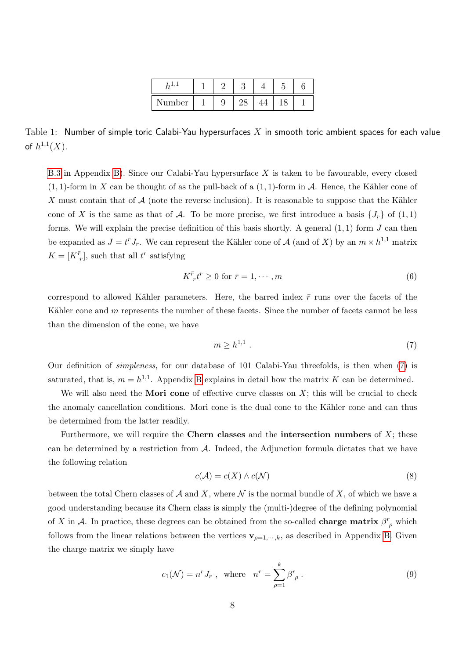| Number |  |  |  |
|--------|--|--|--|

<span id="page-8-0"></span>Table 1: Number of simple toric Calabi-Yau hypersurfaces X in smooth toric ambient spaces for each value of  $h^{1,1}(X)$ .

[B.3](#page-29-1) in Appendix [B\)](#page-25-0). Since our Calabi-Yau hypersurface X is taken to be favourable, every closed  $(1, 1)$ -form in X can be thought of as the pull-back of a  $(1, 1)$ -form in A. Hence, the Kähler cone of X must contain that of  $A$  (note the reverse inclusion). It is reasonable to suppose that the Kähler cone of X is the same as that of A. To be more precise, we first introduce a basis  $\{J_r\}$  of  $(1,1)$ forms. We will explain the precise definition of this basis shortly. A general  $(1, 1)$  form  $J$  can then be expanded as  $J = t^r J_r$ . We can represent the Kähler cone of A (and of X) by an  $m \times h^{1,1}$  matrix  $K = [K^{\bar{r}}_r]$ , such that all  $t^r$  satisfying

<span id="page-8-3"></span>
$$
K^{\bar{r}}_{\ \ r}t^r \ge 0 \text{ for } \bar{r} = 1, \cdots, m
$$

correspond to allowed Kähler parameters. Here, the barred index  $\bar{r}$  runs over the facets of the Kähler cone and  $m$  represents the number of these facets. Since the number of facets cannot be less than the dimension of the cone, we have

<span id="page-8-1"></span>
$$
m \ge h^{1,1} \tag{7}
$$

Our definition of simpleness, for our database of 101 Calabi-Yau threefolds, is then when [\(7\)](#page-8-1) is saturated, that is,  $m = h^{1,1}$ . Appendix [B](#page-25-0) explains in detail how the matrix K can be determined.

We will also need the **Mori cone** of effective curve classes on  $X$ ; this will be crucial to check the anomaly cancellation conditions. Mori cone is the dual cone to the Kähler cone and can thus be determined from the latter readily.

Furthermore, we will require the Chern classes and the intersection numbers of  $X$ ; these can be determined by a restriction from  $A$ . Indeed, the Adjunction formula dictates that we have the following relation

<span id="page-8-2"></span>
$$
c(\mathcal{A}) = c(X) \wedge c(\mathcal{N}) \tag{8}
$$

between the total Chern classes of  $\mathcal A$  and X, where  $\mathcal N$  is the normal bundle of X, of which we have a good understanding because its Chern class is simply the (multi-)degree of the defining polynomial of X in A. In practice, these degrees can be obtained from the so-called **charge matrix**  $\beta^r_{\rho}$  which follows from the linear relations between the vertices  $\mathbf{v}_{p=1,\dots,k}$ , as described in Appendix [B.](#page-25-0) Given the charge matrix we simply have

$$
c_1(\mathcal{N}) = n^r J_r \text{ , where } n^r = \sum_{\rho=1}^k \beta^r_{\rho} \text{ .}
$$
 (9)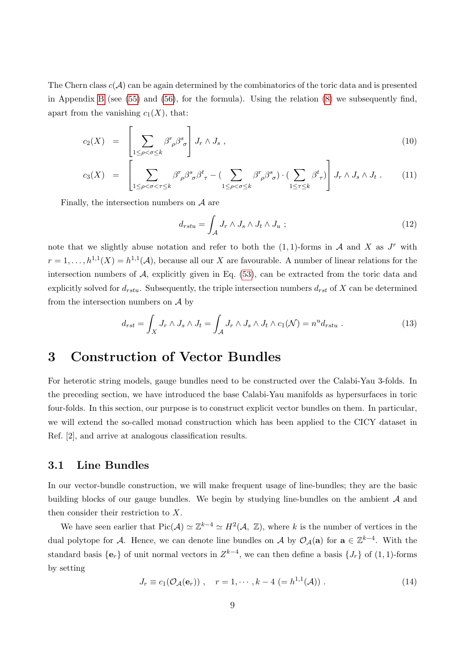The Chern class  $c(\mathcal{A})$  can be again determined by the combinatorics of the toric data and is presented in Appendix [B](#page-25-0) (see [\(55\)](#page-27-1) and [\(56\)](#page-28-0), for the formula). Using the relation [\(8\)](#page-8-2) we subsequently find, apart from the vanishing  $c_1(X)$ , that:

$$
c_2(X) = \left[ \sum_{1 \le \rho < \sigma \le k} \beta^r \rho^s \sigma \right] J_r \wedge J_s \tag{10}
$$

$$
c_3(X) = \left[ \sum_{1 \leq \rho < \sigma < \tau \leq k} \beta^r \beta^s \delta^t \tau - \left( \sum_{1 \leq \rho < \sigma \leq k} \beta^r \beta^s \delta \right) \cdot \left( \sum_{1 \leq \tau \leq k} \beta^t \tau \right) \right] J_r \wedge J_s \wedge J_t \,. \tag{11}
$$

Finally, the intersection numbers on  $A$  are

$$
d_{rstu} = \int_{\mathcal{A}} J_r \wedge J_s \wedge J_t \wedge J_u ; \qquad (12)
$$

note that we slightly abuse notation and refer to both the  $(1, 1)$ -forms in A and X as  $J^r$  with  $r=1,\ldots,h^{1,1}(X)=h^{1,1}(\mathcal{A}),$  because all our X are favourable. A number of linear relations for the intersection numbers of  $A$ , explicitly given in Eq.  $(53)$ , can be extracted from the toric data and explicitly solved for  $d_{rstu}$ . Subsequently, the triple intersection numbers  $d_{rst}$  of X can be determined from the intersection numbers on  $\mathcal A$  by

$$
d_{rst} = \int_X J_r \wedge J_s \wedge J_t = \int_{\mathcal{A}} J_r \wedge J_s \wedge J_t \wedge c_1(\mathcal{N}) = n^u d_{rstu} . \qquad (13)
$$

## <span id="page-9-0"></span>3 Construction of Vector Bundles

For heterotic string models, gauge bundles need to be constructed over the Calabi-Yau 3-folds. In the preceding section, we have introduced the base Calabi-Yau manifolds as hypersurfaces in toric four-folds. In this section, our purpose is to construct explicit vector bundles on them. In particular, we will extend the so-called monad construction which has been applied to the CICY dataset in Ref. [2], and arrive at analogous classification results.

#### <span id="page-9-1"></span>3.1 Line Bundles

In our vector-bundle construction, we will make frequent usage of line-bundles; they are the basic building blocks of our gauge bundles. We begin by studying line-bundles on the ambient  $A$  and then consider their restriction to X.

We have seen earlier that  $Pic(\mathcal{A}) \simeq \mathbb{Z}^{k-4} \simeq H^2(\mathcal{A}, \mathbb{Z})$ , where k is the number of vertices in the dual polytope for A. Hence, we can denote line bundles on A by  $\mathcal{O}_{\mathcal{A}}(a)$  for  $a \in \mathbb{Z}^{k-4}$ . With the standard basis  $\{e_r\}$  of unit normal vectors in  $Z^{k-4}$ , we can then define a basis  $\{J_r\}$  of  $(1, 1)$ -forms by setting

$$
J_r \equiv c_1(\mathcal{O}_{\mathcal{A}}(\mathbf{e}_r)), \quad r = 1, \cdots, k - 4 \ (= h^{1,1}(\mathcal{A})). \tag{14}
$$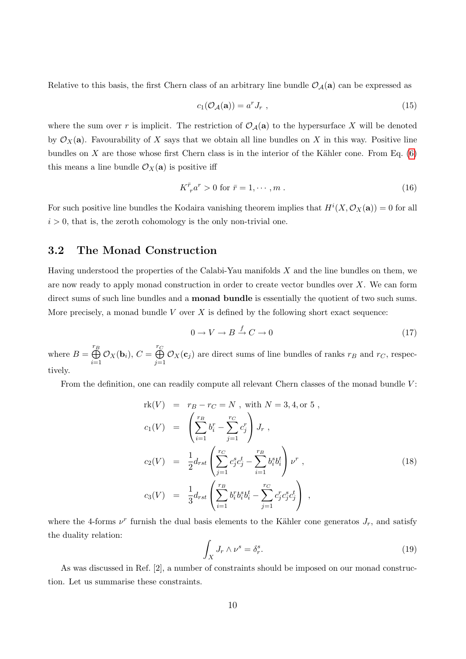Relative to this basis, the first Chern class of an arbitrary line bundle  $\mathcal{O}_{\mathcal{A}}(a)$  can be expressed as

$$
c_1(\mathcal{O}_\mathcal{A}(\mathbf{a})) = a^r J_r \tag{15}
$$

where the sum over r is implicit. The restriction of  $\mathcal{O}_{\mathcal{A}}(a)$  to the hypersurface X will be denoted by  $\mathcal{O}_X(\mathbf{a})$ . Favourability of X says that we obtain all line bundles on X in this way. Positive line bundles on X are those whose first Chern class is in the interior of the Kähler cone. From Eq.  $(6)$ this means a line bundle  $\mathcal{O}_X(\mathbf{a})$  is positive iff

<span id="page-10-2"></span>
$$
K^{\bar{r}}_{r} a^{r} > 0 \text{ for } \bar{r} = 1, \cdots, m . \qquad (16)
$$

For such positive line bundles the Kodaira vanishing theorem implies that  $H^{i}(X, \mathcal{O}_{X}(\mathbf{a})) = 0$  for all  $i > 0$ , that is, the zeroth cohomology is the only non-trivial one.

#### <span id="page-10-0"></span>3.2 The Monad Construction

Having understood the properties of the Calabi-Yau manifolds  $X$  and the line bundles on them, we are now ready to apply monad construction in order to create vector bundles over  $X$ . We can form direct sums of such line bundles and a **monad bundle** is essentially the quotient of two such sums. More precisely, a monad bundle  $V$  over  $X$  is defined by the following short exact sequence:

<span id="page-10-1"></span>
$$
0 \to V \to B \xrightarrow{f} C \to 0 \tag{17}
$$

where  $B = \bigoplus^{r_B}$  $i=1$  $\mathcal{O}_X(\mathbf{b}_i)$ ,  $C = \bigoplus^{r_C}_{i=1}$  $j=1$  $\mathcal{O}_X(\mathbf{c}_j)$  are direct sums of line bundles of ranks  $r_B$  and  $r_C$ , respectively.

From the definition, one can readily compute all relevant Chern classes of the monad bundle  $V$ :

$$
\begin{aligned}\n\text{rk}(V) &= r_B - r_C = N \text{ , with } N = 3, 4, \text{ or } 5 \text{ ,} \\
c_1(V) &= \left(\sum_{i=1}^{r_B} b_i^r - \sum_{j=1}^{r_C} c_j^r\right) J_r \text{ ,} \\
c_2(V) &= \frac{1}{2} d_{rst} \left(\sum_{j=1}^{r_C} c_j^s c_j^t - \sum_{i=1}^{r_B} b_i^s b_i^t\right) \nu^r \text{ ,} \\
c_3(V) &= \frac{1}{3} d_{rst} \left(\sum_{i=1}^{r_B} b_i^r b_i^s b_i^t - \sum_{j=1}^{r_C} c_j^r c_j^s c_j^t\right) \text{ ,} \n\end{aligned} \tag{18}
$$

where the 4-forms  $\nu^r$  furnish the dual basis elements to the Kähler cone generatos  $J_r$ , and satisfy the duality relation:

$$
\int_X J_r \wedge \nu^s = \delta_r^s. \tag{19}
$$

As was discussed in Ref. [2], a number of constraints should be imposed on our monad construction. Let us summarise these constraints.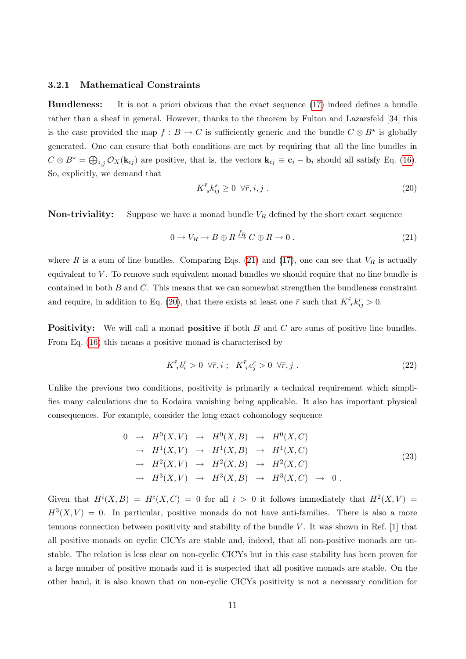#### <span id="page-11-0"></span>3.2.1 Mathematical Constraints

Bundleness: It is not a priori obvious that the exact sequence [\(17\)](#page-10-1) indeed defines a bundle rather than a sheaf in general. However, thanks to the theorem by Fulton and Lazarsfeld [34] this is the case provided the map  $f : B \to C$  is sufficiently generic and the bundle  $C \otimes B^*$  is globally generated. One can ensure that both conditions are met by requiring that all the line bundles in  $C \otimes B^* = \bigoplus_{i,j} \mathcal{O}_X(\mathbf{k}_{ij})$  are positive, that is, the vectors  $\mathbf{k}_{ij} \equiv \mathbf{c}_i - \mathbf{b}_i$  should all satisfy Eq. [\(16\)](#page-10-2). So, explicitly, we demand that

<span id="page-11-2"></span>
$$
K^{\bar{r}}_{\ s} k^s_{ij} \ge 0 \ \forall \bar{r}, i, j \tag{20}
$$

**Non-triviality:** Suppose we have a monad bundle  $V_R$  defined by the short exact sequence

<span id="page-11-1"></span>
$$
0 \to V_R \to B \oplus R \stackrel{f_R}{\to} C \oplus R \to 0.
$$
\n
$$
(21)
$$

where R is a sum of line bundles. Comparing Eqs. [\(21\)](#page-11-1) and [\(17\)](#page-10-1), one can see that  $V_R$  is actually equivalent to  $V$ . To remove such equivalent monad bundles we should require that no line bundle is contained in both  $B$  and  $C$ . This means that we can somewhat strengthen the bundleness constraint and require, in addition to Eq. [\(20\)](#page-11-2), that there exists at least one  $\bar{r}$  such that  $K^{\bar{r}}_{\;r}k_{ij}^r > 0$ .

**Positivity:** We will call a monad **positive** if both B and C are sums of positive line bundles. From Eq. [\(16\)](#page-10-2) this means a positive monad is characterised by

<span id="page-11-3"></span>
$$
K^{\bar{r}}_{\;r}b^r_i > 0 \quad \forall \bar{r}, i \; ; \quad K^{\bar{r}}_{\;r}c^r_j > 0 \quad \forall \bar{r}, j \; . \tag{22}
$$

Unlike the previous two conditions, positivity is primarily a technical requirement which simplifies many calculations due to Kodaira vanishing being applicable. It also has important physical consequences. For example, consider the long exact cohomology sequence

$$
0 \rightarrow H^{0}(X, V) \rightarrow H^{0}(X, B) \rightarrow H^{0}(X, C)
$$
  
\n
$$
\rightarrow H^{1}(X, V) \rightarrow H^{1}(X, B) \rightarrow H^{1}(X, C)
$$
  
\n
$$
\rightarrow H^{2}(X, V) \rightarrow H^{2}(X, B) \rightarrow H^{2}(X, C)
$$
  
\n
$$
\rightarrow H^{3}(X, V) \rightarrow H^{3}(X, B) \rightarrow H^{3}(X, C) \rightarrow 0.
$$
  
\n(23)

Given that  $H^{i}(X, B) = H^{i}(X, C) = 0$  for all  $i > 0$  it follows immediately that  $H^{2}(X, V) =$  $H^3(X, V) = 0$ . In particular, positive monads do not have anti-families. There is also a more tenuous connection between positivity and stability of the bundle  $V$ . It was shown in Ref. [1] that all positive monads on cyclic CICYs are stable and, indeed, that all non-positive monads are unstable. The relation is less clear on non-cyclic CICYs but in this case stability has been proven for a large number of positive monads and it is suspected that all positive monads are stable. On the other hand, it is also known that on non-cyclic CICYs positivity is not a necessary condition for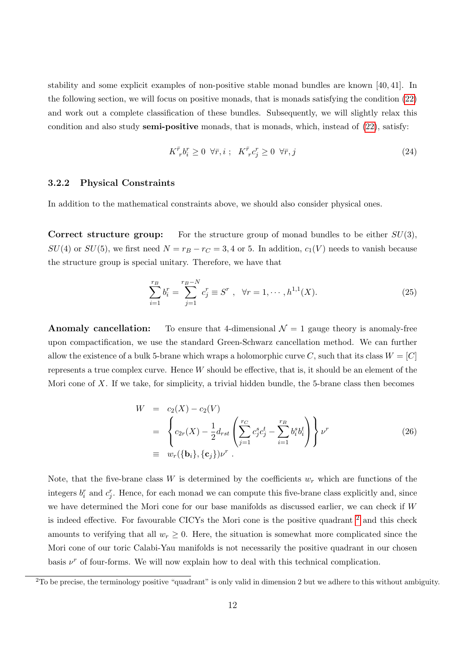stability and some explicit examples of non-positive stable monad bundles are known [40, 41]. In the following section, we will focus on positive monads, that is monads satisfying the condition [\(22\)](#page-11-3) and work out a complete classification of these bundles. Subsequently, we will slightly relax this condition and also study **semi-positive** monads, that is monads, which, instead of  $(22)$ , satisfy:

<span id="page-12-3"></span>
$$
K^{\bar{r}}_{\ \,r}b^r_i \ge 0 \ \ \forall \bar{r}, i \ ; \ \ K^{\bar{r}}_{\ \,r}c^r_j \ge 0 \ \ \forall \bar{r}, j \tag{24}
$$

#### <span id="page-12-0"></span>3.2.2 Physical Constraints

In addition to the mathematical constraints above, we should also consider physical ones.

Correct structure group: For the structure group of monad bundles to be either  $SU(3)$ ,  $SU(4)$  or  $SU(5)$ , we first need  $N = r_B - r_C = 3, 4$  or 5. In addition,  $c_1(V)$  needs to vanish because the structure group is special unitary. Therefore, we have that

$$
\sum_{i=1}^{r_B} b_i^r = \sum_{j=1}^{r_B - N} c_j^r \equiv S^r , \quad \forall r = 1, \cdots, h^{1,1}(X).
$$
 (25)

**Anomaly cancellation:** To ensure that 4-dimensional  $\mathcal{N} = 1$  gauge theory is anomaly-free upon compactification, we use the standard Green-Schwarz cancellation method. We can further allow the existence of a bulk 5-brane which wraps a holomorphic curve C, such that its class  $W = [C]$ represents a true complex curve. Hence  $W$  should be effective, that is, it should be an element of the Mori cone of X. If we take, for simplicity, a trivial hidden bundle, the 5-brane class then becomes

<span id="page-12-2"></span>
$$
W = c_2(X) - c_2(V)
$$
  
= 
$$
\left\{ c_{2r}(X) - \frac{1}{2} d_{rst} \left( \sum_{j=1}^{r_C} c_j^s c_j^t - \sum_{i=1}^{r_B} b_i^s b_i^t \right) \right\} \nu^r
$$
  
\equiv 
$$
w_r(\{\mathbf{b}_i\}, \{\mathbf{c}_j\}) \nu^r
$$
 (26)

Note, that the five-brane class W is determined by the coefficients  $w_r$  which are functions of the integers  $b_i^r$  and  $c_j^r$ . Hence, for each monad we can compute this five-brane class explicitly and, since we have determined the Mori cone for our base manifolds as discussed earlier, we can check if W is indeed effective. For favourable CICYs the Mori cone is the positive quadrant [2](#page-12-1) and this check amounts to verifying that all  $w_r \geq 0$ . Here, the situation is somewhat more complicated since the Mori cone of our toric Calabi-Yau manifolds is not necessarily the positive quadrant in our chosen basis  $\nu^r$  of four-forms. We will now explain how to deal with this technical complication.

<span id="page-12-1"></span> $2^2$ To be precise, the terminology positive "quadrant" is only valid in dimension 2 but we adhere to this without ambiguity.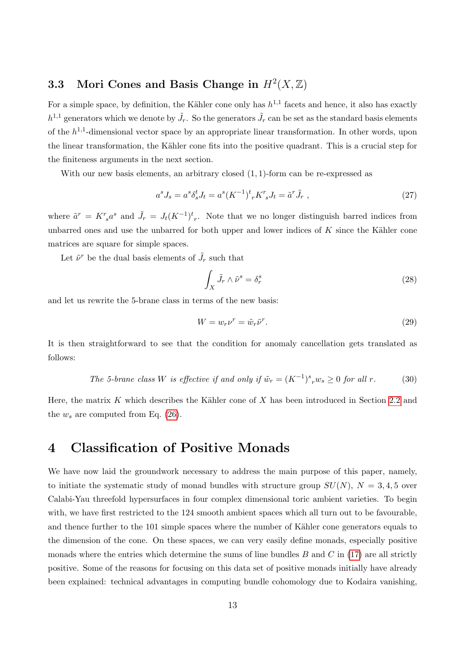## <span id="page-13-0"></span>3.3 Mori Cones and Basis Change in  $H^2(X,\mathbb{Z})$

For a simple space, by definition, the Kähler cone only has  $h^{1,1}$  facets and hence, it also has exactly  $h^{1,1}$  generators which we denote by  $\tilde{J}_r$ . So the generators  $\tilde{J}_r$  can be set as the standard basis elements of the  $h^{1,1}$ -dimensional vector space by an appropriate linear transformation. In other words, upon the linear transformation, the Kähler cone fits into the positive quadrant. This is a crucial step for the finiteness arguments in the next section.

With our new basis elements, an arbitrary closed  $(1, 1)$ -form can be re-expressed as

$$
a^{s} J_{s} = a^{s} \delta_{s}^{t} J_{t} = a^{s} (K^{-1})^{t} {}_{r} K^{r} {}_{s} J_{t} = \tilde{a}^{r} \tilde{J}_{r} , \qquad (27)
$$

where  $\tilde{a}^r = K^r{}_s a^s$  and  $\tilde{J}_r = J_t (K^{-1})^t{}_r$ . Note that we no longer distinguish barred indices from unbarred ones and use the unbarred for both upper and lower indices of  $K$  since the Kähler cone matrices are square for simple spaces.

Let  $\tilde{\nu}^r$  be the dual basis elements of  $\tilde{J}_r$  such that

$$
\int_{X} \tilde{J}_r \wedge \tilde{\nu}^s = \delta_r^s \tag{28}
$$

and let us rewrite the 5-brane class in terms of the new basis:

$$
W = w_r \nu^r = \tilde{w}_r \tilde{\nu}^r. \tag{29}
$$

It is then straightforward to see that the condition for anomaly cancellation gets translated as follows:

The 5-brane class W is effective if and only if 
$$
\tilde{w}_r = (K^{-1})^s_r w_s \ge 0
$$
 for all r. (30)

Here, the matrix K which describes the Kähler cone of X has been introduced in Section [2.2](#page-7-0) and the  $w_s$  are computed from Eq. [\(26\)](#page-12-2).

## <span id="page-13-1"></span>4 Classification of Positive Monads

We have now laid the groundwork necessary to address the main purpose of this paper, namely, to initiate the systematic study of monad bundles with structure group  $SU(N)$ ,  $N = 3, 4, 5$  over Calabi-Yau threefold hypersurfaces in four complex dimensional toric ambient varieties. To begin with, we have first restricted to the 124 smooth ambient spaces which all turn out to be favourable. and thence further to the 101 simple spaces where the number of Kähler cone generators equals to the dimension of the cone. On these spaces, we can very easily define monads, especially positive monads where the entries which determine the sums of line bundles  $B$  and  $C$  in [\(17\)](#page-10-1) are all strictly positive. Some of the reasons for focusing on this data set of positive monads initially have already been explained: technical advantages in computing bundle cohomology due to Kodaira vanishing,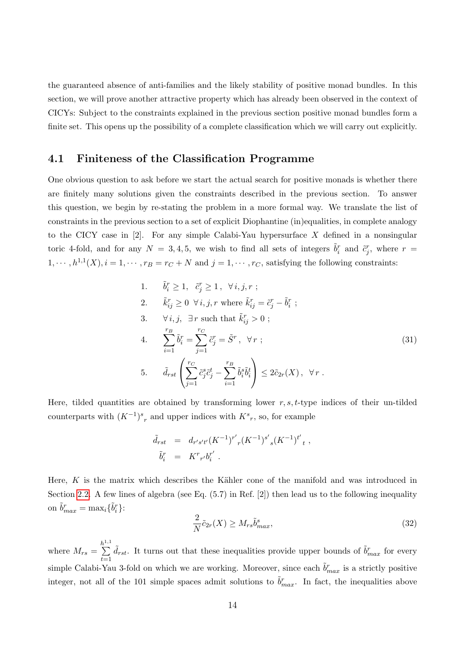the guaranteed absence of anti-families and the likely stability of positive monad bundles. In this section, we will prove another attractive property which has already been observed in the context of CICYs: Subject to the constraints explained in the previous section positive monad bundles form a finite set. This opens up the possibility of a complete classification which we will carry out explicitly.

#### <span id="page-14-0"></span>4.1 Finiteness of the Classification Programme

One obvious question to ask before we start the actual search for positive monads is whether there are finitely many solutions given the constraints described in the previous section. To answer this question, we begin by re-stating the problem in a more formal way. We translate the list of constraints in the previous section to a set of explicit Diophantine (in)equalities, in complete analogy to the CICY case in  $[2]$ . For any simple Calabi-Yau hypersurface X defined in a nonsingular toric 4-fold, and for any  $N = 3, 4, 5$ , we wish to find all sets of integers  $\tilde{b}_i^r$  and  $\tilde{c}_j^r$ , where  $r =$  $1, \dots, h^{1,1}(X), i = 1, \dots, r_B = r_C + N$  and  $j = 1, \dots, r_C$ , satisfying the following constraints:

1. 
$$
\tilde{b}_i^r \ge 1
$$
,  $\tilde{c}_j^r \ge 1$ ,  $\forall i, j, r$ ;  
\n2.  $\tilde{k}_{ij}^r \ge 0 \ \forall i, j, r$  where  $\tilde{k}_{ij}^r = \tilde{c}_j^r - \tilde{b}_i^r$ ;  
\n3.  $\forall i, j$ ,  $\exists r$  such that  $\tilde{k}_{ij}^r > 0$ ;  
\n4.  $\sum_{i=1}^{r_B} \tilde{b}_i^r = \sum_{j=1}^{r_C} \tilde{c}_j^r = \tilde{S}^r$ ,  $\forall r$ ;  
\n5.  $\tilde{d}_{rst} \left( \sum_{j=1}^{r_C} \tilde{c}_j^s \tilde{c}_j^t - \sum_{i=1}^{r_B} \tilde{b}_i^s \tilde{b}_i^t \right) \le 2\tilde{c}_{2r}(X)$ ,  $\forall r$ .

Here, tilded quantities are obtained by transforming lower  $r, s, t$ -type indices of their un-tilded counterparts with  $(K^{-1})^s{}_r$  and upper indices with  $K^s{}_r$ , so, for example

<span id="page-14-1"></span>
$$
\begin{array}{rcl} \tilde{d}_{rst} & = & d_{r's't'} (K^{-1})^{r'}{}_r (K^{-1})^{s'}{}_s (K^{-1})^{t'}{}_t \ , \\ \tilde{b}_i^r & = & K^r{}_{r'} b_i^{r'} \ . \end{array}
$$

Here,  $K$  is the matrix which describes the Kähler cone of the manifold and was introduced in Section [2.2.](#page-7-0) A few lines of algebra (see Eq.  $(5.7)$  in Ref. [2]) then lead us to the following inequality on  $\tilde{b}_{max}^r = \max_i \{\tilde{b}_i^r\}$ :

$$
\frac{2}{N}\tilde{c}_{2r}(X) \ge M_{rs}\tilde{b}_{max}^s,\tag{32}
$$

where  $M_{rs} =$  $\sum_{ }^{h^{1,1}}$  $t=1$  $\tilde{d}_{rst}$ . It turns out that these inequalities provide upper bounds of  $\tilde{b}^r_{max}$  for every simple Calabi-Yau 3-fold on which we are working. Moreover, since each  $\tilde{b}^r_{max}$  is a strictly positive integer, not all of the 101 simple spaces admit solutions to  $\tilde{b}^r_{max}$ . In fact, the inequalities above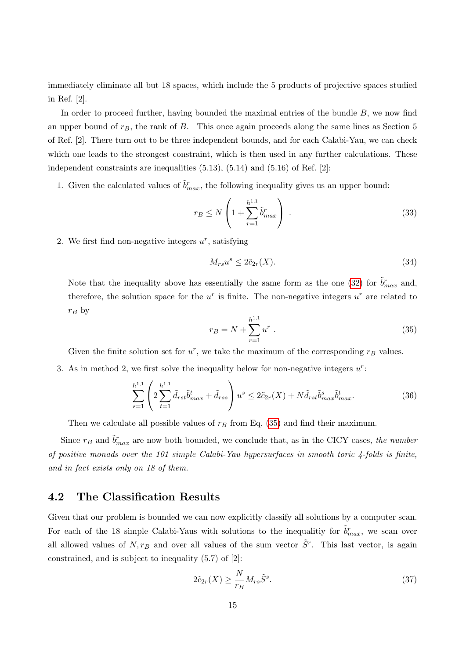immediately eliminate all but 18 spaces, which include the 5 products of projective spaces studied in Ref. [2].

In order to proceed further, having bounded the maximal entries of the bundle  $B$ , we now find an upper bound of  $r_B$ , the rank of  $B$ . This once again proceeds along the same lines as Section 5 of Ref. [2]. There turn out to be three independent bounds, and for each Calabi-Yau, we can check which one leads to the strongest constraint, which is then used in any further calculations. These independent constraints are inequalities  $(5.13)$ ,  $(5.14)$  and  $(5.16)$  of Ref. [2]:

1. Given the calculated values of  $\tilde{b}^r_{max}$ , the following inequality gives us an upper bound:

$$
r_B \le N \left( 1 + \sum_{r=1}^{h^{1,1}} \tilde{b}_{max}^r \right) \tag{33}
$$

2. We first find non-negative integers  $u^r$ , satisfying

$$
M_{rs}u^s \le 2\tilde{c}_{2r}(X). \tag{34}
$$

Note that the inequality above has essentially the same form as the one [\(32\)](#page-14-1) for  $\tilde{b}^r_{max}$  and, therefore, the solution space for the  $u^r$  is finite. The non-negative integers  $u^r$  are related to  $r_B$  by

<span id="page-15-1"></span>
$$
r_B = N + \sum_{r=1}^{h^{1,1}} u^r
$$
 (35)

Given the finite solution set for  $u^r$ , we take the maximum of the corresponding  $r_B$  values.

3. As in method 2, we first solve the inequality below for non-negative integers  $u^r$ :

$$
\sum_{s=1}^{h^{1,1}} \left( 2 \sum_{t=1}^{h^{1,1}} \tilde{d}_{rst} \tilde{b}_{max}^t + \tilde{d}_{rss} \right) u^s \le 2 \tilde{c}_{2r}(X) + N \tilde{d}_{rst} \tilde{b}_{max}^s \tilde{b}_{max}^t. \tag{36}
$$

Then we calculate all possible values of  $r_B$  from Eq. [\(35\)](#page-15-1) and find their maximum.

Since  $r_B$  and  $\tilde{b}^r_{max}$  are now both bounded, we conclude that, as in the CICY cases, the number of positive monads over the 101 simple Calabi-Yau hypersurfaces in smooth toric 4-folds is finite, and in fact exists only on 18 of them.

#### <span id="page-15-0"></span>4.2 The Classification Results

Given that our problem is bounded we can now explicitly classify all solutions by a computer scan. For each of the 18 simple Calabi-Yaus with solutions to the inequalitiy for  $\tilde{b}^r_{max}$ , we scan over all allowed values of  $N, r_B$  and over all values of the sum vector  $\tilde{S}^r$ . This last vector, is again constrained, and is subject to inequality (5.7) of [2]:

$$
2\tilde{c}_{2r}(X) \ge \frac{N}{r_B} M_{rs} \tilde{S}^s. \tag{37}
$$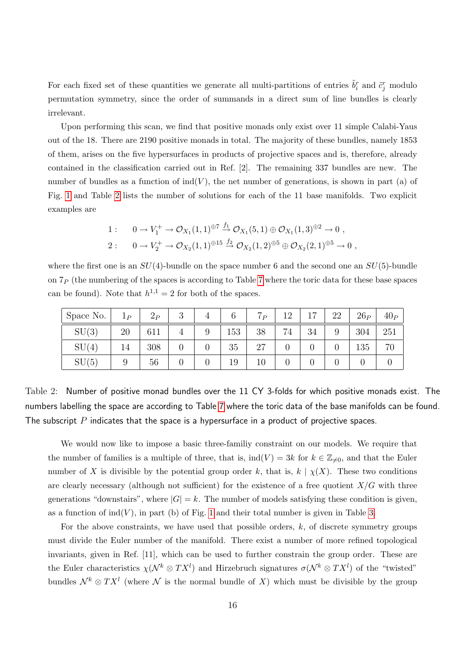For each fixed set of these quantities we generate all multi-partitions of entries  $\tilde{b}_i^r$  and  $\tilde{c}_j^r$  modulo permutation symmetry, since the order of summands in a direct sum of line bundles is clearly irrelevant.

Upon performing this scan, we find that positive monads only exist over 11 simple Calabi-Yaus out of the 18. There are 2190 positive monads in total. The majority of these bundles, namely 1853 of them, arises on the five hypersurfaces in products of projective spaces and is, therefore, already contained in the classification carried out in Ref. [2]. The remaining 337 bundles are new. The number of bundles as a function of  $ind(V)$ , the net number of generations, is shown in part (a) of Fig. [1](#page-17-0) and Table [2](#page-16-0) lists the number of solutions for each of the 11 base manifolds. Two explicit examples are

1: 
$$
0 \to V_1^+ \to \mathcal{O}_{X_1}(1,1)^{\oplus 7} \stackrel{f_1}{\to} \mathcal{O}_{X_1}(5,1) \oplus \mathcal{O}_{X_1}(1,3)^{\oplus 2} \to 0
$$
,  
\n2:  $0 \to V_2^+ \to \mathcal{O}_{X_2}(1,1)^{\oplus 15} \stackrel{f_2}{\to} \mathcal{O}_{X_2}(1,2)^{\oplus 5} \oplus \mathcal{O}_{X_2}(2,1)^{\oplus 5} \to 0$ ,

where the first one is an  $SU(4)$ -bundle on the space number 6 and the second one an  $SU(5)$ -bundle on  $7<sub>P</sub>$  (the numbering of the spaces is according to Table [7](#page-40-0) where the toric data for these base spaces can be found). Note that  $h^{1,1} = 2$  for both of the spaces.

| Space No. $\vert$ | $1_P$ | $2_P$ | 2<br>◡ | 6   | 7 <sub>P</sub> | 12 | 17 | 22 | $26_P$ | 40 <sub>P</sub> |
|-------------------|-------|-------|--------|-----|----------------|----|----|----|--------|-----------------|
| SU(3)             | 20    | 611   |        | 153 | 38             | 74 | 34 | 9  | 304    | 251             |
| SU(4)             | 14    | 308   |        | 35  | 27             |    |    |    | 135    | 70              |
| SU(5)             |       | 56    |        | 19  | 10             |    |    |    |        |                 |

<span id="page-16-0"></span>Table 2: Number of positive monad bundles over the 11 CY 3-folds for which positive monads exist. The numbers labelling the space are according to Table [7](#page-40-0) where the toric data of the base manifolds can be found. The subscript  $P$  indicates that the space is a hypersurface in a product of projective spaces.

We would now like to impose a basic three-familiy constraint on our models. We require that the number of families is a multiple of three, that is,  $\text{ind}(V) = 3k$  for  $k \in \mathbb{Z}_{\neq 0}$ , and that the Euler number of X is divisible by the potential group order k, that is,  $k \mid \chi(X)$ . These two conditions are clearly necessary (although not sufficient) for the existence of a free quotient  $X/G$  with three generations "downstairs", where  $|G| = k$ . The number of models satisfying these condition is given. as a function of  $\text{ind}(V)$ , in part (b) of Fig. [1](#page-17-0) and their total number is given in Table [3.](#page-17-1)

For the above constraints, we have used that possible orders,  $k$ , of discrete symmetry groups must divide the Euler number of the manifold. There exist a number of more refined topological invariants, given in Ref. [11], which can be used to further constrain the group order. These are the Euler characteristics  $\chi(\mathcal{N}^k \otimes TX^l)$  and Hirzebruch signatures  $\sigma(\mathcal{N}^k \otimes TX^l)$  of the "twisted" bundles  $\mathcal{N}^k \otimes TX^l$  (where  $\mathcal N$  is the normal bundle of X) which must be divisible by the group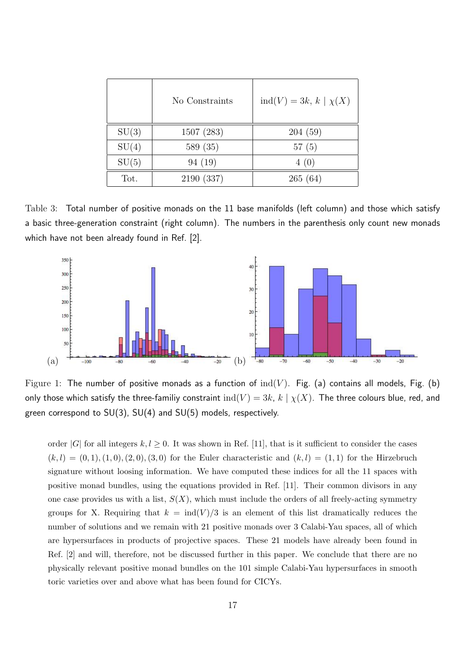|       | No Constraints | $ind(V) = 3k, k \mid \chi(X)$ |
|-------|----------------|-------------------------------|
| SU(3) | 1507 (283)     | 204(59)                       |
| SU(4) | 589 (35)       | 57(5)                         |
| SU(5) | 94(19)         | 4(0)                          |
| Tot.  | 2190 (337)     | 265(64)                       |

<span id="page-17-1"></span>Table 3: Total number of positive monads on the 11 base manifolds (left column) and those which satisfy a basic three-generation constraint (right column). The numbers in the parenthesis only count new monads which have not been already found in Ref. [2].



<span id="page-17-0"></span>Figure 1: The number of positive monads as a function of  $\text{ind}(V)$ . Fig. (a) contains all models, Fig. (b) only those which satisfy the three-familiy constraint  $\text{ind}(V) = 3k$ ,  $k | \chi(X)$ . The three colours blue, red, and green correspond to SU(3), SU(4) and SU(5) models, respectively.

order |G| for all integers  $k, l \geq 0$ . It was shown in Ref. [11], that is it sufficient to consider the cases  $(k, l) = (0, 1), (1, 0), (2, 0), (3, 0)$  for the Euler characteristic and  $(k, l) = (1, 1)$  for the Hirzebruch signature without loosing information. We have computed these indices for all the 11 spaces with positive monad bundles, using the equations provided in Ref. [11]. Their common divisors in any one case provides us with a list,  $S(X)$ , which must include the orders of all freely-acting symmetry groups for X. Requiring that  $k = \text{ind}(V)/3$  is an element of this list dramatically reduces the number of solutions and we remain with 21 positive monads over 3 Calabi-Yau spaces, all of which are hypersurfaces in products of projective spaces. These 21 models have already been found in Ref. [2] and will, therefore, not be discussed further in this paper. We conclude that there are no physically relevant positive monad bundles on the 101 simple Calabi-Yau hypersurfaces in smooth toric varieties over and above what has been found for CICYs.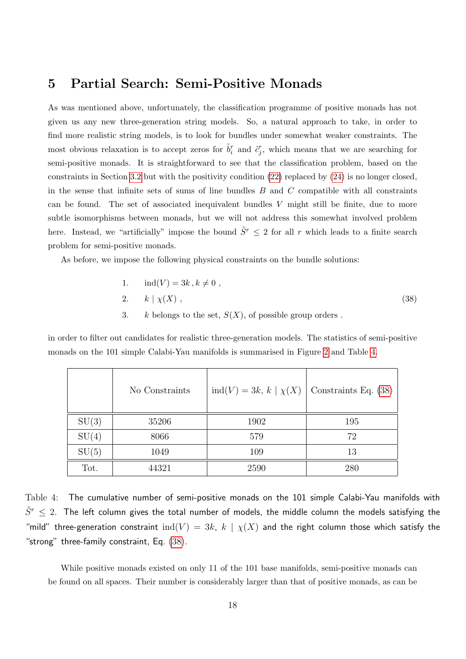## <span id="page-18-0"></span>5 Partial Search: Semi-Positive Monads

As was mentioned above, unfortunately, the classification programme of positive monads has not given us any new three-generation string models. So, a natural approach to take, in order to find more realistic string models, is to look for bundles under somewhat weaker constraints. The most obvious relaxation is to accept zeros for  $\tilde{b}_i^r$  and  $\tilde{c}_j^r$ , which means that we are searching for semi-positive monads. It is straightforward to see that the classification problem, based on the constraints in Section [3.2](#page-10-0) but with the positivity condition  $(22)$  replaced by  $(24)$  is no longer closed. in the sense that infinite sets of sums of line bundles  $B$  and  $C$  compatible with all constraints can be found. The set of associated inequivalent bundles  $V$  might still be finite, due to more subtle isomorphisms between monads, but we will not address this somewhat involved problem here. Instead, we "artificially" impose the bound  $\tilde{S}^r \leq 2$  for all r which leads to a finite search problem for semi-positive monads.

As before, we impose the following physical constraints on the bundle solutions:

<span id="page-18-2"></span>1. 
$$
ind(V) = 3k, k \neq 0
$$
,  
2.  $k | \chi(X)$ , (38)

3. k belongs to the set,  $S(X)$ , of possible group orders.

in order to filter out candidates for realistic three-generation models. The statistics of semi-positive monads on the 101 simple Calabi-Yau manifolds is summarised in Figure [2](#page-19-0) and Table [4.](#page-18-1)

|       | No Constraints | $ind(V) = 3k, k \mid \chi(X)$ | Constraints Eq. (38) |
|-------|----------------|-------------------------------|----------------------|
| SU(3) | 35206          | 1902                          | 195                  |
| SU(4) | 8066           | 579                           | 72                   |
| SU(5) | 1049           | 109                           | 13                   |
| Tot.  | 44321          | 2590                          | 280                  |

<span id="page-18-1"></span>Table 4: The cumulative number of semi-positive monads on the 101 simple Calabi-Yau manifolds with  $\tilde{S}^r\,\leq\,2.$  The left column gives the total number of models, the middle column the models satisfying the "mild" three-generation constraint  $\text{ind}(V) = 3k$ ,  $k | \chi(X)$  and the right column those which satisfy the "strong" three-family constraint, Eq.  $(38)$ .

While positive monads existed on only 11 of the 101 base manifolds, semi-positive monads can be found on all spaces. Their number is considerably larger than that of positive monads, as can be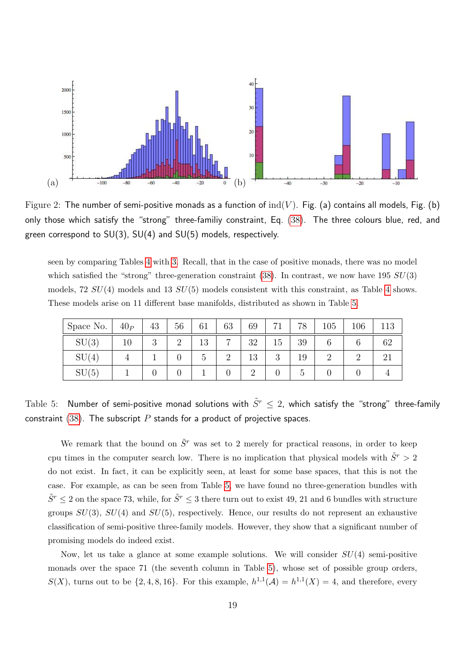

<span id="page-19-0"></span>Figure 2: The number of semi-positive monads as a function of  $\text{ind}(V)$ . Fig. (a) contains all models, Fig. (b) only those which satisfy the "strong" three-familiy constraint, Eq. [\(38\)](#page-18-2). The three colours blue, red, and green correspond to SU(3), SU(4) and SU(5) models, respectively.

seen by comparing Tables [4](#page-18-1) with [3.](#page-17-1) Recall, that in the case of positive monads, there was no model which satisfied the "strong" three-generation constraint  $(38)$ . In contrast, we now have 195  $SU(3)$ models,  $72 \text{ } SU(4)$  models and  $13 \text{ } SU(5)$  models consistent with this constraint, as Table [4](#page-18-1) shows. These models arise on 11 different base manifolds, distributed as shown in Table [5.](#page-19-1)

| Space No. | 40 <sub>P</sub> | 43             | 56       | 61            | 63             | 69       | 71 | 78            | 105      | 106 | 113 |
|-----------|-----------------|----------------|----------|---------------|----------------|----------|----|---------------|----------|-----|-----|
| SU(3)     | τn              | $\Omega$<br>IJ | $\Omega$ | 13            | $\overline{ }$ | 32       | 15 | 39            |          |     | 62  |
| SU(4)     |                 |                |          | $\mathcal{L}$ | $\Omega$       | 13       | 3  | 19            | $\Omega$ |     |     |
| SU(5)     |                 |                |          |               |                | $\Omega$ |    | $\mathcal{O}$ |          |     |     |

<span id="page-19-1"></span>Table 5: Number of semi-positive monad solutions with  $\tilde{S}^r \leq 2$ , which satisfy the "strong" three-family constraint [\(38\)](#page-18-2). The subscript  $P$  stands for a product of projective spaces.

We remark that the bound on  $\tilde{S}^r$  was set to 2 merely for practical reasons, in order to keep cpu times in the computer search low. There is no implication that physical models with  $\tilde{S}^r > 2$ do not exist. In fact, it can be explicitly seen, at least for some base spaces, that this is not the case. For example, as can be seen from Table [5,](#page-19-1) we have found no three-generation bundles with  $\tilde{S}^r \leq 2$  on the space 73, while, for  $\tilde{S}^r \leq 3$  there turn out to exist 49, 21 and 6 bundles with structure groups  $SU(3)$ ,  $SU(4)$  and  $SU(5)$ , respectively. Hence, our results do not represent an exhaustive classification of semi-positive three-family models. However, they show that a significant number of promising models do indeed exist.

Now, let us take a glance at some example solutions. We will consider  $SU(4)$  semi-positive monads over the space 71 (the seventh column in Table [5\)](#page-19-1), whose set of possible group orders,  $S(X)$ , turns out to be  $\{2, 4, 8, 16\}$ . For this example,  $h^{1,1}(\mathcal{A}) = h^{1,1}(X) = 4$ , and therefore, every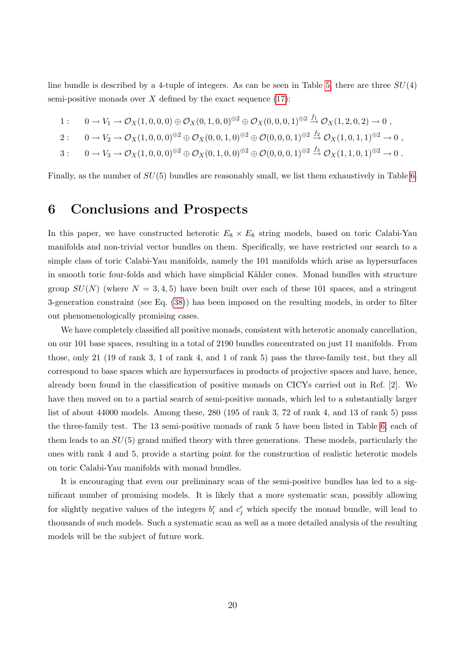line bundle is described by a 4-tuple of integers. As can be seen in Table [5,](#page-19-1) there are three  $SU(4)$ semi-positive monads over  $X$  defined by the exact sequence  $(17)$ :

- 1 :  $0 \to V_1 \to \mathcal{O}_X(1,0,0,0) \oplus \mathcal{O}_X(0,1,0,0)^{\oplus 2} \oplus \mathcal{O}_X(0,0,0,1)^{\oplus 2} \stackrel{f_1}{\to} \mathcal{O}_X(1,2,0,2) \to 0$ ,
- $2: \quad 0 \to V_2 \to \mathcal{O}_X(1,0,0,0)^{\oplus 2} \oplus \mathcal{O}_X(0,0,1,0)^{\oplus 2} \oplus \mathcal{O}(0,0,0,1)^{\oplus 2} \stackrel{f_2}{\to} \mathcal{O}_X(1,0,1,1)^{\oplus 2} \to 0$
- $3: \quad 0 \to V_3 \to \mathcal{O}_X(1,0,0,0)^{\oplus 2} \oplus \mathcal{O}_X(0,1,0,0)^{\oplus 2} \oplus \mathcal{O}(0,0,0,1)^{\oplus 2} \stackrel{f_3}{\to} \mathcal{O}_X(1,1,0,1)^{\oplus 2} \to 0.$

Finally, as the number of  $SU(5)$  bundles are reasonably small, we list them exhaustively in Table [6.](#page-21-0)

## <span id="page-20-0"></span>6 Conclusions and Prospects

In this paper, we have constructed heterotic  $E_8 \times E_8$  string models, based on toric Calabi-Yau manifolds and non-trivial vector bundles on them. Specifically, we have restricted our search to a simple class of toric Calabi-Yau manifolds, namely the 101 manifolds which arise as hypersurfaces in smooth toric four-folds and which have simplicial Kähler cones. Monad bundles with structure group  $SU(N)$  (where  $N = 3, 4, 5$ ) have been built over each of these 101 spaces, and a stringent 3-generation constraint (see Eq. [\(38\)](#page-18-2)) has been imposed on the resulting models, in order to filter out phenomenologically promising cases.

We have completely classified all positive monads, consistent with heterotic anomaly cancellation. on our 101 base spaces, resulting in a total of 2190 bundles concentrated on just 11 manifolds. From those, only 21 (19 of rank 3, 1 of rank 4, and 1 of rank 5) pass the three-family test, but they all correspond to base spaces which are hypersurfaces in products of projective spaces and have, hence, already been found in the classification of positive monads on CICYs carried out in Ref. [2]. We have then moved on to a partial search of semi-positive monads, which led to a substantially larger list of about 44000 models. Among these, 280 (195 of rank 3, 72 of rank 4, and 13 of rank 5) pass the three-family test. The 13 semi-positive monads of rank 5 have been listed in Table [6;](#page-21-0) each of them leads to an  $SU(5)$  grand unified theory with three generations. These models, particularly the ones with rank 4 and 5, provide a starting point for the construction of realistic heterotic models on toric Calabi-Yau manifolds with monad bundles.

It is encouraging that even our preliminary scan of the semi-positive bundles has led to a significant number of promising models. It is likely that a more systematic scan, possibly allowing for slightly negative values of the integers  $b_i^r$  and  $c_j^r$  which specify the monad bundle, will lead to thousands of such models. Such a systematic scan as well as a more detailed analysis of the resulting models will be the subject of future work.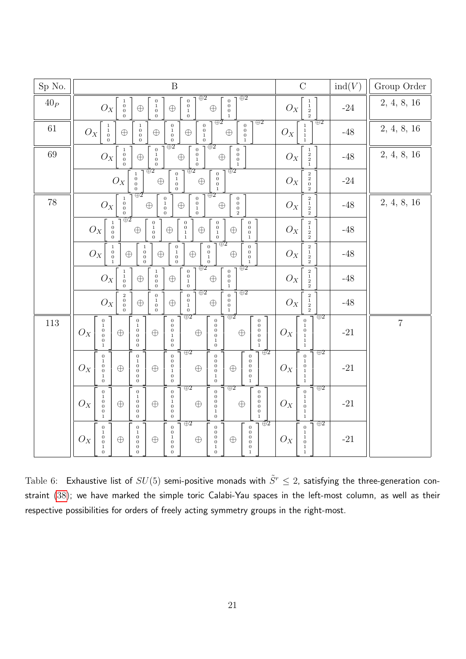| Sp No.                   | B                                                                                                                                                                                                                                                                                                                                                                                                                                                                                                                                                             | $\mathcal{C}$                                                                                                               | ind(V) | Group Order |
|--------------------------|---------------------------------------------------------------------------------------------------------------------------------------------------------------------------------------------------------------------------------------------------------------------------------------------------------------------------------------------------------------------------------------------------------------------------------------------------------------------------------------------------------------------------------------------------------------|-----------------------------------------------------------------------------------------------------------------------------|--------|-------------|
| $40{\scriptstyle\cal P}$ | $\overline{\oplus 2}$<br>$\overline{\bigoplus 2}$<br>$\begin{smallmatrix}0\\0\\1\\0\end{smallmatrix}$<br>$\begin{smallmatrix}0\\0\\0\\0\end{smallmatrix}$<br>$\begin{smallmatrix}0\\1\\0\end{smallmatrix}$<br>$\begin{smallmatrix}1\\0\\0\end{smallmatrix}$<br>${\cal O}_X$<br>$\oplus$<br>$\oplus$<br>$\bigoplus$<br>$\mathbf{0}$                                                                                                                                                                                                                            | $\begin{smallmatrix}1\\1\\2\\2\end{smallmatrix}$<br>$\mathcal{O}_X$                                                         | $-24$  | 2, 4, 8, 16 |
| $61\,$                   | $\bigoplus 2$<br>$\oplus 2$<br>$\begin{smallmatrix}0\\1\\0\\0\end{smallmatrix}$<br>$\begin{smallmatrix}0\\0\\1\end{smallmatrix}$<br>$\boldsymbol{0}$<br>$\begin{smallmatrix}1\\1\\0\\0\end{smallmatrix}$<br>$\begin{smallmatrix}1\\0\\0\end{smallmatrix}$<br>$\overline{0}$ <sub>0</sub><br>$O_X$<br>$\oplus$<br>$\oplus$<br>$\oplus$<br>$\oplus$<br>$\boldsymbol{0}$                                                                                                                                                                                         | $\overline{\oplus 2}$<br>$\begin{smallmatrix}1\\1\\1\\1\end{smallmatrix}$<br>$O_X$                                          | $-48$  | 2, 4, 8, 16 |
| $69\,$                   | $\overline{\bigoplus 2}$<br>$\overline{\oplus 2}$<br>$\begin{smallmatrix}0\\1\\0\end{smallmatrix}$<br>$\begin{smallmatrix}0\\0\\1\end{smallmatrix}$<br>$\begin{smallmatrix} 0\\0\\0\\0 \end{smallmatrix}$<br>$\begin{smallmatrix}1\\0\\0\end{smallmatrix}$<br>${\cal O}_X$<br>$\oplus$<br>$\oplus$<br>$\bigoplus$<br>$\mathbf{0}$<br>$\overline{0}$<br>$\,1\,$<br>$\mathbf{0}$                                                                                                                                                                                | $\frac{1}{2}$<br>$O_X$<br>$\mathbf{1}$                                                                                      | $-48$  | 2, 4, 8, 16 |
|                          | $\overline{\oplus 2}$<br>$\overline{\oplus 2}$<br>$\overline{\bigoplus}2$<br>$\begin{smallmatrix}0\\0\\0\\0\end{smallmatrix}$<br>$\begin{smallmatrix}0\\1\\0\\0\end{smallmatrix}$<br>$\begin{smallmatrix}1\\0\\0\end{smallmatrix}$<br>$O_X$<br>$\oplus$<br>$\oplus$<br>$\bar{0}$                                                                                                                                                                                                                                                                              | $\begin{smallmatrix}2\\2\\0\end{smallmatrix}$<br>$O_X$                                                                      | $-24$  |             |
| $78\,$                   | $\overline{\oplus 2}$<br>$\overline{\oplus}2$<br>$\begin{smallmatrix}0\\0\\0\\2\end{smallmatrix}$<br>$\begin{smallmatrix}0\\0\\1\\0\end{smallmatrix}$<br>$\boldsymbol{0}$<br>$\begin{smallmatrix}1\\0\\0\end{smallmatrix}$<br>$\frac{1}{0}$<br>${\cal O}_X$<br>$\oplus$<br>$\bigoplus$<br>$\oplus$                                                                                                                                                                                                                                                            | $\begin{smallmatrix}2\\1\\2\end{smallmatrix}$<br>$O_X$                                                                      | $-48$  | 2, 4, 8, 16 |
|                          | $\oplus 2$<br>$\begin{smallmatrix} 0\\ 1\\ 0\\ 0 \end{smallmatrix}$<br>$\begin{smallmatrix}0\\0\\0\\0\end{smallmatrix}$<br>$\begin{smallmatrix}0\\0\\1\\1\end{smallmatrix}$<br>$\begin{smallmatrix}0\\0\\1\\0\end{smallmatrix}$<br>$\begin{matrix} 1\\0\\0\\0 \end{matrix}$<br>$O_X$<br>$\oplus$<br>$\oplus$<br>$\oplus$<br>$\oplus$<br>$\,1$                                                                                                                                                                                                                 | $\begin{smallmatrix}2\\1\\2\\2\end{smallmatrix}$<br>$O_X$                                                                   | $-48$  |             |
|                          | $\oplus$ 2<br>$\begin{smallmatrix}0\\0\\1\\0\end{smallmatrix}$<br>$\begin{smallmatrix}0\\0\\0\\0\end{smallmatrix}$<br>$\begin{smallmatrix}0\\1\\0\\0\end{smallmatrix}$<br>$\begin{smallmatrix}1\\0\\0\end{smallmatrix}$<br>$\begin{matrix} 1\\0\\0\\0 \end{matrix}$<br>$\mathcal{O}_X$<br>$\oplus$<br>$\bigoplus$<br>$\bigoplus$<br>$\oplus$<br>$\mathbf{1}$                                                                                                                                                                                                  | $\begin{smallmatrix}2\\1\\2\\2\end{smallmatrix}$<br>$O_X$                                                                   | $-48$  |             |
|                          | $\overline{\bigoplus}2$<br>$\overline{\oplus 2}$<br>$\begin{smallmatrix}0\\0\\0\\0\\1\end{smallmatrix}$<br>$\begin{smallmatrix}0\\0\\1\\0\end{smallmatrix}$<br>$\begin{smallmatrix}1\1\0\0\0\end{smallmatrix}$<br>$\begin{matrix} 1\\0\\0\\0 \end{matrix}$<br>$\mathcal{O}_X$<br>$\oplus$<br>$\oplus$<br>$\oplus$                                                                                                                                                                                                                                             | $\begin{smallmatrix}2\\1\\2\\2\end{smallmatrix}$<br>$\mathcal{O}_X$                                                         | $-48$  |             |
|                          | $\bigoplus 2$<br>$\bigoplus 2$<br>$\,0\,$<br>$\overline{0}$<br>$\,2$<br>$\,0\,$<br>$\stackrel{0}{0}$<br>$\mathcal{O}_X$<br>$\begin{smallmatrix} 0\\1\\0 \end{smallmatrix}$<br>$\begin{smallmatrix}1\\0\end{smallmatrix}$<br>$\stackrel{0}{0}$<br>$\bigoplus$<br>$\bigoplus$<br>$\oplus$<br>$\mathbf{0}$<br>$\,1$                                                                                                                                                                                                                                              | $\begin{smallmatrix}2\\1\\2\\2\end{smallmatrix}$<br>$O_X$                                                                   | $-48$  |             |
| $113\,$                  | $\oplus$ 2<br>$\oplus 2$<br>$\begin{smallmatrix}0&0\\0&0\\1&0\end{smallmatrix}$<br>$\begin{smallmatrix}0\\0\\0\\0\\0\end{smallmatrix}$<br>$\begin{matrix} 0 \\ 0 \\ 0 \\ 0 \\ 0 \\ 0 \end{matrix}$<br>$\boldsymbol{0}$<br>$\begin{smallmatrix}0\\1\\0\\0\\0\end{smallmatrix}$<br>$\begin{smallmatrix} 1\\1\\0\\0\\0 \end{smallmatrix}$<br>$O_X$<br>$\oplus$<br>$\oplus$<br>$\oplus$<br>$\oplus$<br>$1\,$<br>$\,0\,$<br>$\mathbf{1}$<br>$\mathbf 0$<br>$\overline{0}$                                                                                          | $\overline{\bigoplus 2}$<br>$\boldsymbol{0}$<br>$\begin{smallmatrix}1\\0\\1\\1\end{smallmatrix}$<br>$O_X$<br>$\mathbf{1}$   | $-21$  | $\,7$       |
|                          | $\overline{\oplus 2}$<br>$\oplus$ 2<br>$\boldsymbol{0}$<br>$\,0\,$<br>$\boldsymbol{0}$<br>$\boldsymbol{0}$<br>$\,0$<br>$\begin{smallmatrix}0\\0\\0\\0\\1\\0\end{smallmatrix}$<br>$\begin{smallmatrix}1\\0\\0\\1\end{smallmatrix}$<br>$\begin{smallmatrix}1\\0\end{smallmatrix}$<br>$\boldsymbol{0}$<br>$\,0$<br>$\begin{smallmatrix} 0\\1\\0 \end{smallmatrix}$<br>$\,0\,$<br>$O_X$<br>$\oplus$<br>$\oplus$<br>$\oplus$<br>$\oplus$<br>$\,0\,$<br>$\begin{smallmatrix} 0\\0\\1 \end{smallmatrix}$<br>$\mathbf{0}$<br>$\overline{0}$<br>$\bar{0}$<br>$\bar{0}$ | $\oplus 2$<br>$\boldsymbol{0}$<br>$\frac{1}{0}$<br>$O_X$<br>$\begin{smallmatrix}1\\1\\1\end{smallmatrix}$                   | $-21$  |             |
|                          | $\oplus 2$<br>$\oplus 2$<br>$\boldsymbol{0}$<br>$\boldsymbol{0}$<br>$\overline{0}$<br>$\,0$<br>$\begin{matrix} 0 \\ 0 \\ 0 \\ 0 \\ 0 \\ 0 \end{matrix}$<br>$\begin{smallmatrix}1\\0\\0\\0\end{smallmatrix}$<br>$\begin{bmatrix} 1 \\ 0 \\ 0 \end{bmatrix}$<br>$\begin{smallmatrix}0\\1\\0\\0\end{smallmatrix}$<br>$\,0\,$<br>$\overline{0}$ <sub>0</sub><br>$O_X$<br>$\oplus$<br>$\oplus$<br>$\oplus$<br>$\oplus$<br>$\boldsymbol{0}$<br>$\,1$<br>$\bar{0}$<br>$\boldsymbol{0}$<br>i.<br>$\overline{0}$                                                       | $\oplus 2$<br>$\overline{0}$<br>$\begin{smallmatrix} 1\\1\\1\\0 \end{smallmatrix}$<br>$O_X$<br>$\mathbf{1}$<br>$\mathbf{1}$ | $-21$  |             |
|                          | $\oplus 2$<br>$\oplus 2$<br>$\boldsymbol{0}$<br>$\,0\,$<br>$\,0$<br>$\,0\,$<br>$\mathbf{0}$<br>$\,0\,$<br>$\begin{smallmatrix} 1\\0\\0 \end{smallmatrix}$<br>$\stackrel{0}{\scriptstyle 1}$<br>$\,0\,$<br>$\begin{smallmatrix}1\\0\end{smallmatrix}$<br>$\begin{smallmatrix}0\\0\\1\\0\end{smallmatrix}$<br>$\,0\,$<br>$O_X$<br>$\oplus$<br>$\bigoplus$<br>$\oplus$<br>$\oplus$<br>$\,0\,$<br>$\,0$<br>$\,0\,$<br>$\begin{smallmatrix}1\\0\end{smallmatrix}$<br>0<br>$\boldsymbol{0}$<br>$\boldsymbol{0}$<br>$\,0\,$<br>$\,1$<br>$\boldsymbol{0}$             | $\oplus 2$<br>$\overline{0}$<br>$\,1$<br>$\begin{smallmatrix}1\\0\end{smallmatrix}$<br>${\cal O}_X$<br>$\frac{1}{1}$        | $-21$  |             |

<span id="page-21-0"></span>Table 6: Exhaustive list of  $SU(5)$  semi-positive monads with  $\tilde{S}^r \leq 2$ , satisfying the three-generation constraint [\(38\)](#page-18-2); we have marked the simple toric Calabi-Yau spaces in the left-most column, as well as their respective possibilities for orders of freely acting symmetry groups in the right-most.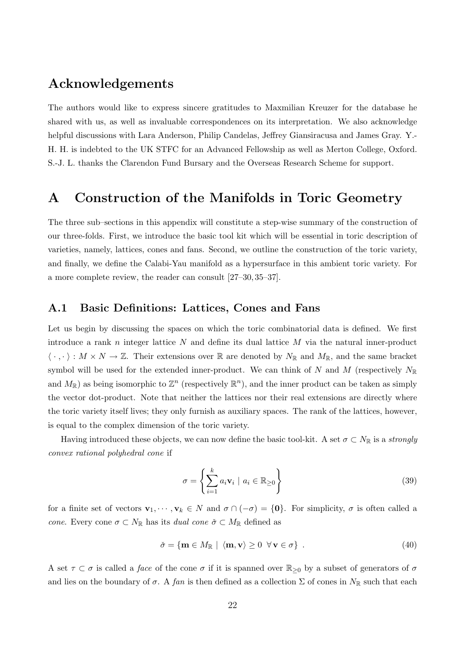## Acknowledgements

The authors would like to express sincere gratitudes to Maxmilian Kreuzer for the database he shared with us, as well as invaluable correspondences on its interpretation. We also acknowledge helpful discussions with Lara Anderson, Philip Candelas, Jeffrey Giansiracusa and James Gray. Y.- H. H. is indebted to the UK STFC for an Advanced Fellowship as well as Merton College, Oxford. S.-J. L. thanks the Clarendon Fund Bursary and the Overseas Research Scheme for support.

## <span id="page-22-0"></span>A Construction of the Manifolds in Toric Geometry

The three sub–sections in this appendix will constitute a step-wise summary of the construction of our three-folds. First, we introduce the basic tool kit which will be essential in toric description of varieties, namely, lattices, cones and fans. Second, we outline the construction of the toric variety, and finally, we define the Calabi-Yau manifold as a hypersurface in this ambient toric variety. For a more complete review, the reader can consult [27–30, 35–37].

#### <span id="page-22-1"></span>A.1 Basic Definitions: Lattices, Cones and Fans

Let us begin by discussing the spaces on which the toric combinatorial data is defined. We first introduce a rank  $n$  integer lattice  $N$  and define its dual lattice  $M$  via the natural inner-product  $\langle \cdot , \cdot \rangle : M \times N \to \mathbb{Z}$ . Their extensions over R are denoted by  $N_{\mathbb{R}}$  and  $M_{\mathbb{R}}$ , and the same bracket symbol will be used for the extended inner-product. We can think of N and M (respectively  $N_{\mathbb{R}}$ and  $M_{\mathbb{R}}$ ) as being isomorphic to  $\mathbb{Z}^n$  (respectively  $\mathbb{R}^n$ ), and the inner product can be taken as simply the vector dot-product. Note that neither the lattices nor their real extensions are directly where the toric variety itself lives; they only furnish as auxiliary spaces. The rank of the lattices, however, is equal to the complex dimension of the toric variety.

Having introduced these objects, we can now define the basic tool-kit. A set  $\sigma \subset N_{\mathbb{R}}$  is a strongly convex rational polyhedral cone if

$$
\sigma = \left\{ \sum_{i=1}^{k} a_i \mathbf{v}_i \mid a_i \in \mathbb{R}_{\geq 0} \right\} \tag{39}
$$

for a finite set of vectors  $\mathbf{v}_1, \dots, \mathbf{v}_k \in N$  and  $\sigma \cap (-\sigma) = \{\mathbf{0}\}\$ . For simplicity,  $\sigma$  is often called a cone. Every cone  $\sigma \subset N_{\mathbb{R}}$  has its *dual cone*  $\check{\sigma} \subset M_{\mathbb{R}}$  defined as

$$
\check{\sigma} = \{ \mathbf{m} \in M_{\mathbb{R}} \mid \langle \mathbf{m}, \mathbf{v} \rangle \ge 0 \ \forall \mathbf{v} \in \sigma \} \tag{40}
$$

A set  $\tau \subset \sigma$  is called a *face* of the cone  $\sigma$  if it is spanned over  $\mathbb{R}_{\geq 0}$  by a subset of generators of  $\sigma$ and lies on the boundary of  $\sigma$ . A fan is then defined as a collection  $\Sigma$  of cones in  $N_{\mathbb{R}}$  such that each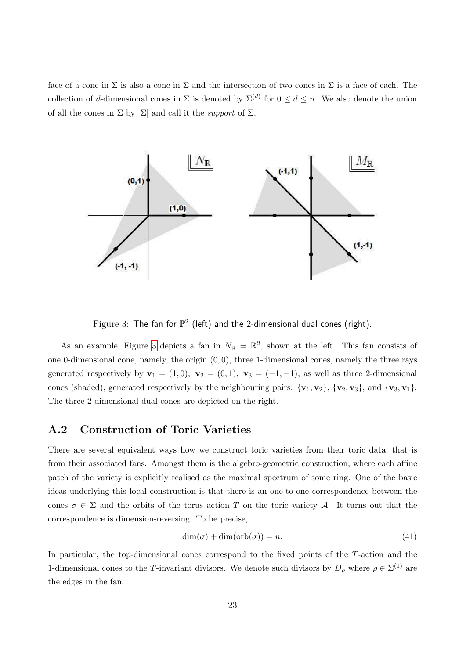face of a cone in  $\Sigma$  is also a cone in  $\Sigma$  and the intersection of two cones in  $\Sigma$  is a face of each. The collection of d-dimensional cones in  $\Sigma$  is denoted by  $\Sigma^{(d)}$  for  $0 \leq d \leq n$ . We also denote the union of all the cones in  $\Sigma$  by  $|\Sigma|$  and call it the *support* of  $\Sigma$ .



<span id="page-23-1"></span>Figure 3: The fan for  $\mathbb{P}^2$  (left) and the 2-dimensional dual cones (right).

As an example, Figure [3](#page-23-1) depicts a fan in  $N_{\mathbb{R}} = \mathbb{R}^2$ , shown at the left. This fan consists of one 0-dimensional cone, namely, the origin  $(0, 0)$ , three 1-dimensional cones, namely the three rays generated respectively by  $\mathbf{v}_1 = (1, 0), \mathbf{v}_2 = (0, 1), \mathbf{v}_3 = (-1, -1),$  as well as three 2-dimensional cones (shaded), generated respectively by the neighbouring pairs:  $\{v_1, v_2\}$ ,  $\{v_2, v_3\}$ , and  $\{v_3, v_1\}$ . The three 2-dimensional dual cones are depicted on the right.

#### <span id="page-23-0"></span>A.2 Construction of Toric Varieties

There are several equivalent ways how we construct toric varieties from their toric data, that is from their associated fans. Amongst them is the algebro-geometric construction, where each affine patch of the variety is explicitly realised as the maximal spectrum of some ring. One of the basic ideas underlying this local construction is that there is an one-to-one correspondence between the cones  $\sigma \in \Sigma$  and the orbits of the torus action T on the toric variety A. It turns out that the correspondence is dimension-reversing. To be precise,

$$
\dim(\sigma) + \dim(\operatorname{orb}(\sigma)) = n. \tag{41}
$$

In particular, the top-dimensional cones correspond to the fixed points of the T-action and the 1-dimensional cones to the T-invariant divisors. We denote such divisors by  $D_\rho$  where  $\rho \in \Sigma^{(1)}$  are the edges in the fan.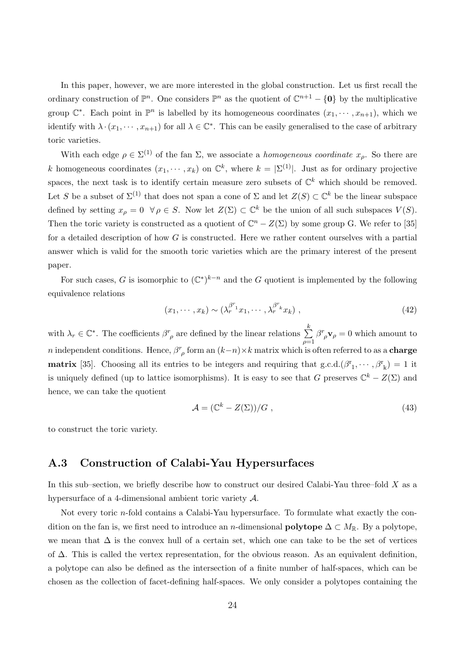In this paper, however, we are more interested in the global construction. Let us first recall the ordinary construction of  $\mathbb{P}^n$ . One considers  $\mathbb{P}^n$  as the quotient of  $\mathbb{C}^{n+1} - \{0\}$  by the multiplicative group  $\mathbb{C}^*$ . Each point in  $\mathbb{P}^n$  is labelled by its homogeneous coordinates  $(x_1, \dots, x_{n+1})$ , which we identify with  $\lambda \cdot (x_1, \dots, x_{n+1})$  for all  $\lambda \in \mathbb{C}^*$ . This can be easily generalised to the case of arbitrary toric varieties.

With each edge  $\rho \in \Sigma^{(1)}$  of the fan  $\Sigma$ , we associate a *homogeneous coordinate*  $x_{\rho}$ . So there are k homogeneous coordinates  $(x_1, \dots, x_k)$  on  $\mathbb{C}^k$ , where  $k = \sum^{(1)}$ . Just as for ordinary projective spaces, the next task is to identify certain measure zero subsets of  $\mathbb{C}^k$  which should be removed. Let S be a subset of  $\Sigma^{(1)}$  that does not span a cone of  $\Sigma$  and let  $Z(S) \subset \mathbb{C}^k$  be the linear subspace defined by setting  $x_{\rho} = 0 \quad \forall \rho \in S$ . Now let  $Z(\Sigma) \subset \mathbb{C}^k$  be the union of all such subspaces  $V(S)$ . Then the toric variety is constructed as a quotient of  $\mathbb{C}^n - Z(\Sigma)$  by some group G. We refer to [35] for a detailed description of how  $G$  is constructed. Here we rather content ourselves with a partial answer which is valid for the smooth toric varieties which are the primary interest of the present paper.

For such cases, G is isomorphic to  $(\mathbb{C}^*)^{k-n}$  and the G quotient is implemented by the following equivalence relations

$$
(x_1, \cdots, x_k) \sim (\lambda_r^{\beta^{r_1}} x_1, \cdots, \lambda_r^{\beta^{r_k}} x_k) , \qquad (42)
$$

with  $\lambda_r \in \mathbb{C}^*$ . The coefficients  $\beta^r_{\rho}$  are defined by the linear relations  $\sum^k$  $\rho=1$  $\beta^r_{\rho} \mathbf{v}_{\rho} = 0$  which amount to *n* independent conditions. Hence,  $\beta^r_{\rho}$  form an  $(k-n) \times k$  matrix which is often referred to as a **charge matrix** [35]. Choosing all its entries to be integers and requiring that  $g.c.d.(\beta^r_1, \dots, \beta^r_k) = 1$  it is uniquely defined (up to lattice isomorphisms). It is easy to see that G preserves  $\mathbb{C}^k - Z(\Sigma)$  and hence, we can take the quotient

$$
\mathcal{A} = (\mathbb{C}^k - Z(\Sigma))/G , \qquad (43)
$$

to construct the toric variety.

### <span id="page-24-0"></span>A.3 Construction of Calabi-Yau Hypersurfaces

In this sub–section, we briefly describe how to construct our desired Calabi-Yau three–fold  $X$  as a hypersurface of a 4-dimensional ambient toric variety  $\mathcal{A}$ .

Not every toric n-fold contains a Calabi-Yau hypersurface. To formulate what exactly the condition on the fan is, we first need to introduce an n-dimensional **polytope**  $\Delta \subset M_{\mathbb{R}}$ . By a polytope, we mean that  $\Delta$  is the convex hull of a certain set, which one can take to be the set of vertices of ∆. This is called the vertex representation, for the obvious reason. As an equivalent definition, a polytope can also be defined as the intersection of a finite number of half-spaces, which can be chosen as the collection of facet-defining half-spaces. We only consider a polytopes containing the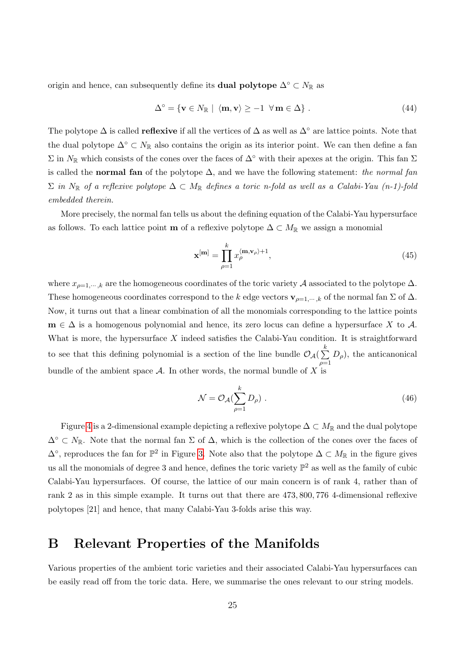origin and hence, can subsequently define its **dual polytope**  $\Delta^{\circ} \subset N_{\mathbb{R}}$  as

$$
\Delta^{\circ} = \{ \mathbf{v} \in N_{\mathbb{R}} \mid \langle \mathbf{m}, \mathbf{v} \rangle \ge -1 \ \forall \mathbf{m} \in \Delta \} \ . \tag{44}
$$

The polytope  $\Delta$  is called **reflexive** if all the vertices of  $\Delta$  as well as  $\Delta^{\circ}$  are lattice points. Note that the dual polytope  $\Delta$ °  $\subset N_{\mathbb{R}}$  also contains the origin as its interior point. We can then define a fan  $\Sigma$  in  $N_{\mathbb{R}}$  which consists of the cones over the faces of  $\Delta^{\circ}$  with their apexes at the origin. This fan  $\Sigma$ is called the normal fan of the polytope  $\Delta$ , and we have the following statement: the normal fan  $\Sigma$  in  $N_{\mathbb{R}}$  of a reflexive polytope  $\Delta \subset M_{\mathbb{R}}$  defines a toric n-fold as well as a Calabi-Yau (n-1)-fold embedded therein.

More precisely, the normal fan tells us about the defining equation of the Calabi-Yau hypersurface as follows. To each lattice point **m** of a reflexive polytope  $\Delta \subset M_{\mathbb{R}}$  we assign a monomial

<span id="page-25-2"></span>
$$
\mathbf{x}^{[\mathbf{m}]} = \prod_{\rho=1}^{k} x_{\rho}^{\langle \mathbf{m}, \mathbf{v}_{\rho} \rangle + 1},\tag{45}
$$

where  $x_{\rho=1,\dots,k}$  are the homogeneous coordinates of the toric variety A associated to the polytope  $\Delta$ . These homogeneous coordinates correspond to the k edge vectors  $\mathbf{v}_{\rho=1,\dots,k}$  of the normal fan  $\Sigma$  of  $\Delta$ . Now, it turns out that a linear combination of all the monomials corresponding to the lattice points  $\mathbf{m} \in \Delta$  is a homogenous polynomial and hence, its zero locus can define a hypersurface X to A. What is more, the hypersurface  $X$  indeed satisfies the Calabi-Yau condition. It is straightforward to see that this defining polynomial is a section of the line bundle  $\mathcal{O}_{\mathcal{A}}(\sum_{k=1}^{k}$  $\rho=1$  $D_{\rho}$ , the anticanonical bundle of the ambient space A. In other words, the normal bundle of X is

<span id="page-25-1"></span>
$$
\mathcal{N} = \mathcal{O}_{\mathcal{A}}(\sum_{\rho=1}^{k} D_{\rho}). \tag{46}
$$

Figure [4](#page-26-0) is a 2-dimensional example depicting a reflexive polytope  $\Delta \subset M_{\mathbb{R}}$  and the dual polytope  $\Delta^{\circ} \subset N_{\mathbb{R}}$ . Note that the normal fan  $\Sigma$  of  $\Delta$ , which is the collection of the cones over the faces of  $\Delta^{\circ}$ , reproduces the fan for  $\mathbb{P}^2$  in Figure [3.](#page-23-1) Note also that the polytope  $\Delta \subset M_{\mathbb{R}}$  in the figure gives us all the monomials of degree 3 and hence, defines the toric variety  $\mathbb{P}^2$  as well as the family of cubic Calabi-Yau hypersurfaces. Of course, the lattice of our main concern is of rank 4, rather than of rank 2 as in this simple example. It turns out that there are 473, 800, 776 4-dimensional reflexive polytopes [21] and hence, that many Calabi-Yau 3-folds arise this way.

## <span id="page-25-0"></span>B Relevant Properties of the Manifolds

Various properties of the ambient toric varieties and their associated Calabi-Yau hypersurfaces can be easily read off from the toric data. Here, we summarise the ones relevant to our string models.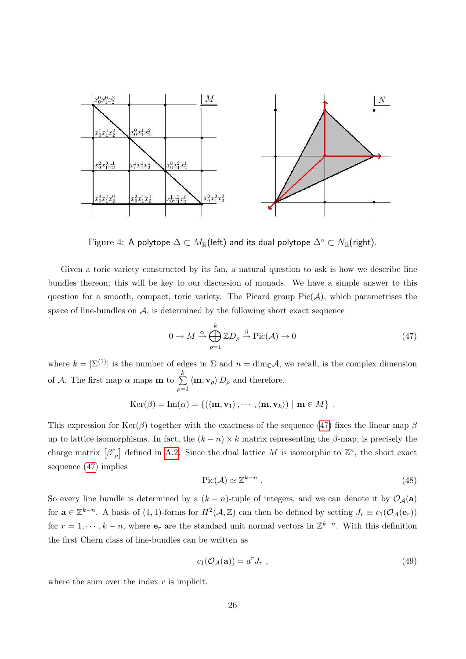

<span id="page-26-0"></span>Figure 4: A polytope  $\Delta \subset M_{\mathbb{R}}$ (left) and its dual polytope  $\Delta^{\circ} \subset N_{\mathbb{R}}$ (right).

Given a toric variety constructed by its fan, a natural question to ask is how we describe line bundles thereon; this will be key to our discussion of monads. We have a simple answer to this question for a smooth, compact, toric variety. The Picard group  $Pic(\mathcal{A})$ , which parametrises the space of line-bundles on  $A$ , is determined by the following short exact sequence

<span id="page-26-1"></span>
$$
0 \to M \xrightarrow{\alpha} \bigoplus_{\rho=1}^{k} \mathbb{Z}D_{\rho} \xrightarrow{\beta} \text{Pic}(\mathcal{A}) \to 0
$$
\n(47)

where  $k = |\Sigma^{(1)}|$  is the number of edges in  $\Sigma$  and  $n = \dim_{\mathbb{C}} A$ , we recall, is the complex dimension of A. The first map  $\alpha$  maps **m** to  $\sum^k$  $\rho=1$  $\langle \mathbf{m}, \mathbf{v}_{\rho} \rangle D_{\rho}$  and therefore,

$$
\mathrm{Ker}(\beta) = \mathrm{Im}(\alpha) = \{ (\langle \mathbf{m}, \mathbf{v}_1 \rangle, \cdots, \langle \mathbf{m}, \mathbf{v}_k \rangle) \mid \mathbf{m} \in M \}.
$$

This expression for Ker( $\beta$ ) together with the exactness of the sequence [\(47\)](#page-26-1) fixes the linear map  $\beta$ up to lattice isomorphisms. In fact, the  $(k - n) \times k$  matrix representing the  $\beta$ -map, is precisely the charge matrix  $[\beta^r_{\rho}]$  defined in [A.2.](#page-23-0) Since the dual lattice M is isomorphic to  $\mathbb{Z}^n$ , the short exact sequence [\(47\)](#page-26-1) implies

$$
\operatorname{Pic}(\mathcal{A}) \simeq \mathbb{Z}^{k-n} \ . \tag{48}
$$

So every line bundle is determined by a  $(k - n)$ -tuple of integers, and we can denote it by  $\mathcal{O}_{\mathcal{A}}(a)$ for  $\mathbf{a} \in \mathbb{Z}^{k-n}$ . A basis of  $(1,1)$ -forms for  $H^2(\mathcal{A}, \mathbb{Z})$  can then be defined by setting  $J_r \equiv c_1(\mathcal{O}_{\mathcal{A}}(\mathbf{e}_r))$ for  $r = 1, \dots, k - n$ , where  $e_r$  are the standard unit normal vectors in  $\mathbb{Z}^{k-n}$ . With this definition the first Chern class of line-bundles can be written as

$$
c_1(\mathcal{O}_\mathcal{A}(\mathbf{a})) = a^r J_r \t{,} \t(49)
$$

where the sum over the index  $r$  is implicit.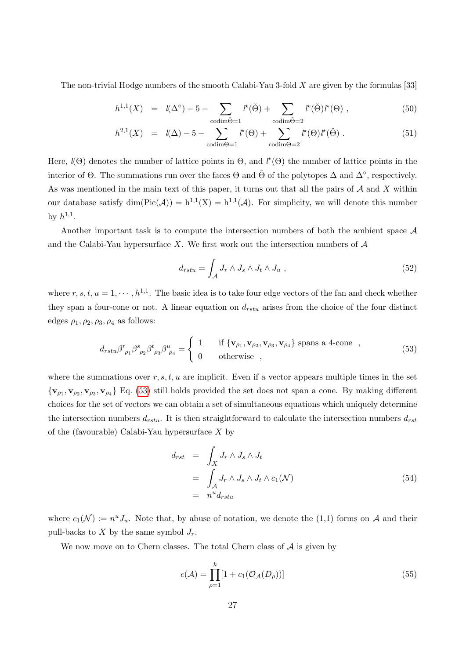The non-trivial Hodge numbers of the smooth Calabi-Yau 3-fold X are given by the formulas [33]

<span id="page-27-0"></span>
$$
h^{1,1}(X) = l(\Delta^{\circ}) - 5 - \sum_{\text{codim}\check{\Theta}=1} l^{\star}(\check{\Theta}) + \sum_{\text{codim}\check{\Theta}=2} l^{\star}(\check{\Theta})l^{\star}(\Theta) , \qquad (50)
$$

$$
h^{2,1}(X) = l(\Delta) - 5 - \sum_{\text{codim}\Theta = 1} l^{\star}(\Theta) + \sum_{\text{codim}\Theta = 2} l^{\star}(\Theta) l^{\star}(\check{\Theta}). \tag{51}
$$

Here,  $l(\Theta)$  denotes the number of lattice points in  $\Theta$ , and  $l^*(\Theta)$  the number of lattice points in the interior of  $\Theta$ . The summations run over the faces  $\Theta$  and  $\check{\Theta}$  of the polytopes  $\Delta$  and  $\Delta^{\circ}$ , respectively. As was mentioned in the main text of this paper, it turns out that all the pairs of  $A$  and  $X$  within our database satisfy  $\dim(\text{Pic}(\mathcal{A})) = h^{1,1}(X) = h^{1,1}(\mathcal{A})$ . For simplicity, we will denote this number by  $h^{1,1}$ .

Another important task is to compute the intersection numbers of both the ambient space A and the Calabi-Yau hypersurface X. We first work out the intersection numbers of  $\mathcal A$ 

$$
d_{rstu} = \int_{\mathcal{A}} J_r \wedge J_s \wedge J_t \wedge J_u , \qquad (52)
$$

where  $r, s, t, u = 1, \dots, h^{1,1}$ . The basic idea is to take four edge vectors of the fan and check whether they span a four-cone or not. A linear equation on  $d_{rstu}$  arises from the choice of the four distinct edges  $\rho_1, \rho_2, \rho_3, \rho_4$  as follows:

<span id="page-27-2"></span>
$$
d_{rstu}\beta^{r}_{\rho_1}\beta^{s}_{\rho_2}\beta^{t}_{\rho_3}\beta^{u}_{\rho_4} = \begin{cases} 1 & \text{if } \{\mathbf{v}_{\rho_1}, \mathbf{v}_{\rho_2}, \mathbf{v}_{\rho_3}, \mathbf{v}_{\rho_4}\} \text{ spans a 4-cone },\\ 0 & \text{otherwise }, \end{cases}
$$
(53)

where the summations over  $r, s, t, u$  are implicit. Even if a vector appears multiple times in the set  ${v_{\rho_1}, v_{\rho_2}, v_{\rho_3}, v_{\rho_4}}$  Eq. [\(53\)](#page-27-2) still holds provided the set does not span a cone. By making different choices for the set of vectors we can obtain a set of simultaneous equations which uniquely determine the intersection numbers  $d_{rstu}$ . It is then straightforward to calculate the intersection numbers  $d_{rst}$ of the (favourable) Calabi-Yau hypersurface X by

<span id="page-27-3"></span>
$$
d_{rst} = \int_X J_r \wedge J_s \wedge J_t
$$
  
= 
$$
\int_A J_r \wedge J_s \wedge J_t \wedge c_1(\mathcal{N})
$$
  
= 
$$
n^u d_{rstu}
$$
 (54)

where  $c_1(\mathcal{N}) := n^u J_u$ . Note that, by abuse of notation, we denote the (1,1) forms on A and their pull-backs to  $X$  by the same symbol  $J_r$ .

We now move on to Chern classes. The total Chern class of  $A$  is given by

<span id="page-27-1"></span>
$$
c(\mathcal{A}) = \prod_{\rho=1}^{k} [1 + c_1(\mathcal{O}_{\mathcal{A}}(D_{\rho}))]
$$
\n(55)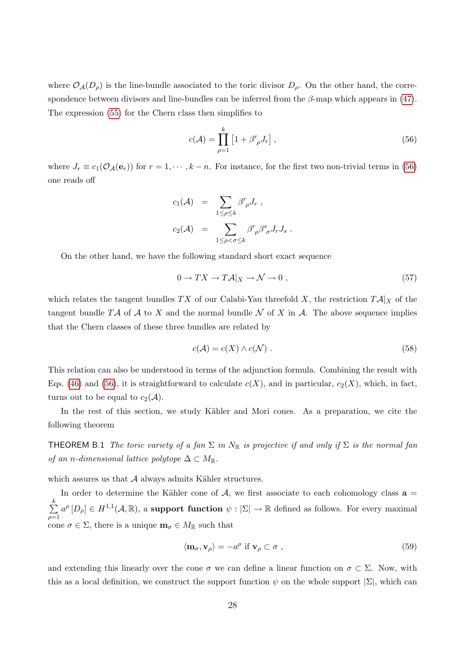where  $\mathcal{O}_{\mathcal{A}}(D_{\rho})$  is the line-bundle associated to the toric divisor  $D_{\rho}$ . On the other hand, the correspondence between divisors and line-bundles can be inferred from the  $\beta$ -map which appears in [\(47\)](#page-26-1). The expression [\(55\)](#page-27-1) for the Chern class then simplifies to

<span id="page-28-0"></span>
$$
c(\mathcal{A}) = \prod_{\rho=1}^{k} \left[ 1 + \beta^r_{\rho} J_r \right],
$$
\n(56)

where  $J_r \equiv c_1(\mathcal{O}_\mathcal{A}(e_r))$  for  $r = 1, \dots, k - n$ . For instance, for the first two non-trivial terms in [\(56\)](#page-28-0) one reads off

$$
c_1(\mathcal{A}) = \sum_{1 \leq \rho \leq k} \beta^r_{\rho} J_r ,
$$
  

$$
c_2(\mathcal{A}) = \sum_{1 \leq \rho < \sigma \leq k} \beta^r_{\rho} \beta^s_{\sigma} J_r J_s .
$$

On the other hand, we have the following standard short exact sequence

$$
0 \to TX \to T\mathcal{A}|_X \to \mathcal{N} \to 0 , \qquad (57)
$$

which relates the tangent bundles TX of our Calabi-Yau threefold X, the restriction  $T{\cal A}|_X$  of the tangent bundle TA of A to X and the normal bundle N of X in A. The above sequence implies that the Chern classes of these three bundles are related by

<span id="page-28-2"></span>
$$
c(\mathcal{A}) = c(X) \wedge c(\mathcal{N}) . \tag{58}
$$

This relation can also be understood in terms of the adjunction formula. Combining the result with Eqs. [\(46\)](#page-25-1) and [\(56\)](#page-28-0), it is straightforward to calculate  $c(X)$ , and in particular,  $c_2(X)$ , which, in fact, turns out to be equal to  $c_2(\mathcal{A})$ .

In the rest of this section, we study Kähler and Mori cones. As a preparation, we cite the following theorem

**THEOREM B.1** The toric variety of a fan  $\Sigma$  in  $N_{\mathbb{R}}$  is projective if and only if  $\Sigma$  is the normal fan of an n-dimensional lattice polytope  $\Delta \subset M_{\mathbb{R}}$ .

which assures us that  ${\mathcal A}$  always admits Kähler structures.

In order to determine the Kähler cone of  $A$ , we first associate to each cohomology class  $\mathbf{a} =$  $\sum_{i=1}^{k}$  $\rho=1$  $a^{\rho}[D_{\rho}] \in H^{1,1}(\mathcal{A}, \mathbb{R})$ , a support function  $\psi : |\Sigma| \to \mathbb{R}$  defined as follows. For every maximal cone  $\sigma \in \Sigma$ , there is a unique  $\mathbf{m}_{\sigma} \in M_{\mathbb{R}}$  such that

<span id="page-28-1"></span>
$$
\langle \mathbf{m}_{\sigma}, \mathbf{v}_{\rho} \rangle = -a^{\rho} \text{ if } \mathbf{v}_{\rho} \subset \sigma ,
$$
\n(59)

and extending this linearly over the cone  $\sigma$  we can define a linear function on  $\sigma \subset \Sigma$ . Now, with this as a local definition, we construct the support function  $\psi$  on the whole support  $|\Sigma|$ , which can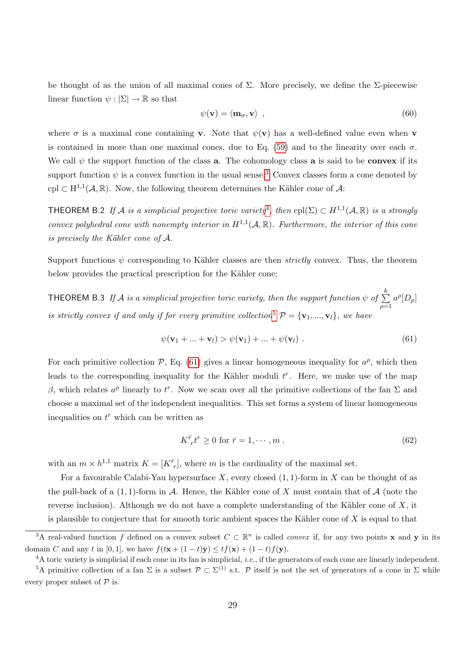be thought of as the union of all maximal cones of  $\Sigma$ . More precisely, we define the  $\Sigma$ -piecewise linear function  $\psi : |\Sigma| \to \mathbb{R}$  so that

<span id="page-29-0"></span>
$$
\psi(\mathbf{v}) = \langle \mathbf{m}_{\sigma}, \mathbf{v} \rangle \tag{60}
$$

where  $\sigma$  is a maximal cone containing **v**. Note that  $\psi(\mathbf{v})$  has a well-defined value even when **v** is contained in more than one maximal cones, due to Eq. [\(59\)](#page-28-1) and to the linearity over each  $\sigma$ . We call  $\psi$  the support function of the class **a**. The cohomology class **a** is said to be **convex** if its support function  $\psi$  is a convex function in the usual sense.<sup>[3](#page-29-2)</sup> Convex classes form a cone denoted by cpl  $\subset H^{1,1}(\mathcal{A}, \mathbb{R})$ . Now, the following theorem determines the Kähler cone of  $\mathcal{A}$ :

**THEOREM** B.2 If A is a simplicial projective toric variety<sup>[4](#page-29-3)</sup>, then  $\text{cpl}(\Sigma) \subset H^{1,1}(\mathcal{A}, \mathbb{R})$  is a strongly convex polyhedral cone with nonempty interior in  $H^{1,1}(\mathcal{A}, \mathbb{R})$ . Furthermore, the interior of this cone is precisely the Kähler cone of  $A$ .

Support functions  $\psi$  corresponding to Kähler classes are then *strictly* convex. Thus, the theorem below provides the practical prescription for the Kähler cone:

THEOREM B.3 If A is a simplicial projective toric variety, then the support function  $\psi$  of  $\sum^k$  $\rho=1$  $a^{\rho}[D_{\rho}]$ is strictly convex if and only if for every primitive collection<sup>[5](#page-29-4)</sup>  $\mathcal{P} = {\mathbf{v}_1, ..., \mathbf{v}_l}$ , we have

<span id="page-29-5"></span><span id="page-29-1"></span>
$$
\psi(\mathbf{v}_1 + \dots + \mathbf{v}_l) > \psi(\mathbf{v}_1) + \dots + \psi(\mathbf{v}_l) . \tag{61}
$$

For each primitive collection  $P$ , Eq. [\(61\)](#page-29-5) gives a linear homogeneous inequality for  $a^{\rho}$ , which then leads to the corresponding inequality for the Kähler moduli  $t^r$ . Here, we make use of the map β, which relates  $a^{\rho}$  linearly to t<sup>r</sup>. Now we scan over all the primitive collections of the fan Σ and choose a maximal set of the independent inequalities. This set forms a system of linear homogeneous inequalities on  $t^r$  which can be written as

$$
K^{\bar{r}}_{\ \ r}t^r \ge 0 \text{ for } \bar{r} = 1, \cdots, m \tag{62}
$$

with an  $m \times h^{1,1}$  matrix  $K = [K^{\bar{r}}_r]$ , where m is the cardinality of the maximal set.

For a favourable Calabi-Yau hypersurface X, every closed  $(1, 1)$ -form in X can be thought of as the pull-back of a  $(1,1)$ -form in A. Hence, the Kähler cone of X must contain that of A (note the reverse inclusion). Although we do not have a complete understanding of the Kähler cone of  $X$ , it is plausible to conjecture that for smooth toric ambient spaces the Kähler cone of  $X$  is equal to that

<span id="page-29-2"></span><sup>&</sup>lt;sup>3</sup>A real-valued function f defined on a convex subset  $C \subset \mathbb{R}^n$  is called *convex* if, for any two points **x** and **y** in its domain C and any t in [0, 1], we have  $f(t\mathbf{x} + (1-t)\mathbf{y}) \le tf(\mathbf{x}) + (1-t)f(\mathbf{y})$ .

<span id="page-29-4"></span><span id="page-29-3"></span> $4A$  toric variety is simplicial if each cone in its fan is simplicial, *i.e.*, if the generators of each cone are linearly independent.

<sup>&</sup>lt;sup>5</sup>A primitive collection of a fan  $\Sigma$  is a subset  $\mathcal{P} \subset \Sigma^{(1)}$  s.t.  $\mathcal{P}$  itself is not the set of generators of a cone in  $\Sigma$  while every proper subset of  $\mathcal P$  is.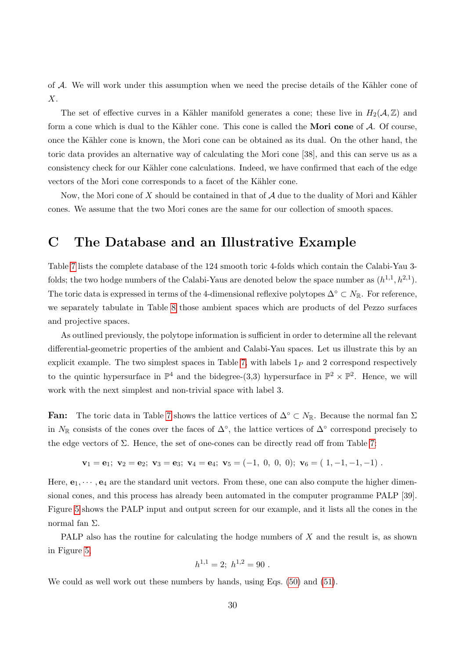of  $A$ . We will work under this assumption when we need the precise details of the Kähler cone of X.

The set of effective curves in a Kähler manifold generates a cone; these live in  $H_2(\mathcal{A}, \mathbb{Z})$  and form a cone which is dual to the Kähler cone. This cone is called the **Mori cone** of  $A$ . Of course, once the Kähler cone is known, the Mori cone can be obtained as its dual. On the other hand, the toric data provides an alternative way of calculating the Mori cone [38], and this can serve us as a consistency check for our Kähler cone calculations. Indeed, we have confirmed that each of the edge vectors of the Mori cone corresponds to a facet of the Kähler cone.

Now, the Mori cone of X should be contained in that of  $A$  due to the duality of Mori and Kähler cones. We assume that the two Mori cones are the same for our collection of smooth spaces.

## <span id="page-30-0"></span>C The Database and an Illustrative Example

Table [7](#page-40-0) lists the complete database of the 124 smooth toric 4-folds which contain the Calabi-Yau 3 folds; the two hodge numbers of the Calabi-Yaus are denoted below the space number as  $(h^{1,1}, h^{2,1})$ . The toric data is expressed in terms of the 4-dimensional reflexive polytopes  $\Delta$ ° ⊂  $N_{\mathbb{R}}$ . For reference, we separately tabulate in Table [8](#page-41-0) those ambient spaces which are products of del Pezzo surfaces and projective spaces.

As outlined previously, the polytope information is sufficient in order to determine all the relevant differential-geometric properties of the ambient and Calabi-Yau spaces. Let us illustrate this by an explicit example. The two simplest spaces in Table [7,](#page-40-0) with labels  $1<sub>P</sub>$  and 2 correspond respectively to the quintic hypersurface in  $\mathbb{P}^4$  and the bidegree-(3,3) hypersurface in  $\mathbb{P}^2 \times \mathbb{P}^2$ . Hence, we will work with the next simplest and non-trivial space with label 3.

**Fan:** The toric data in Table [7](#page-40-0) shows the lattice vertices of  $\Delta^{\circ} \subset N_{\mathbb{R}}$ . Because the normal fan  $\Sigma$ in  $N_{\mathbb{R}}$  consists of the cones over the faces of  $\Delta^{\circ}$ , the lattice vertices of  $\Delta^{\circ}$  correspond precisely to the edge vectors of  $\Sigma$ . Hence, the set of one-cones can be directly read off from Table [7:](#page-40-0)

<span id="page-30-1"></span>
$$
\mathbf{v}_1 = \mathbf{e}_1; \ \mathbf{v}_2 = \mathbf{e}_2; \ \mathbf{v}_3 = \mathbf{e}_3; \ \mathbf{v}_4 = \mathbf{e}_4; \ \mathbf{v}_5 = (-1, 0, 0, 0); \ \mathbf{v}_6 = (1, -1, -1, -1) \ .
$$

Here,  $e_1, \dots, e_4$  are the standard unit vectors. From these, one can also compute the higher dimensional cones, and this process has already been automated in the computer programme PALP [39]. Figure [5](#page-31-0) shows the PALP input and output screen for our example, and it lists all the cones in the normal fan Σ.

PALP also has the routine for calculating the hodge numbers of X and the result is, as shown in Figure [5,](#page-31-0)

$$
h^{1,1} = 2; h^{1,2} = 90.
$$

We could as well work out these numbers by hands, using Eqs.  $(50)$  and  $(51)$ .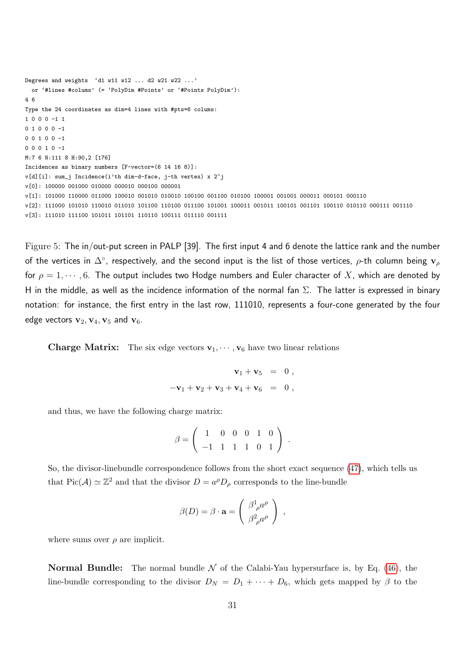```
Degrees and weights 'd1 w11 w12 ... d2 w21 w22 ...'
 or '#lines #colums' (= 'PolyDim #Points' or '#Points PolyDim'):
4 6
Type the 24 coordinates as dim=4 lines with #pts=6 colums:
1 0 0 0 -1 1
0 1 0 0 0 -1
0 0 1 0 0 -1
0 0 0 1 0 -1
M:7 6 N:111 8 H:90,2 [176]
Incidences as binary numbers [F-vector=(6 14 16 8)]:
v[d][i]: sum_j Incidence(i'th dim-d-face, j-th vertex) x 2^j
v[0]: 100000 001000 010000 000010 000100 000001
v[1]: 101000 110000 011000 100010 001010 010010 100100 001100 010100 100001 001001 000011 000101 000110
v[2]: 111000 101010 110010 011010 101100 110100 011100 101001 100011 001011 100101 001101 100110 010110 000111 001110
v[3]: 111010 111100 101011 101101 110110 100111 011110 001111
```
<span id="page-31-0"></span>Figure 5: The in/out-put screen in PALP [39]. The first input 4 and 6 denote the lattice rank and the number of the vertices in  $\Delta^\circ$ , respectively, and the second input is the list of those vertices,  $\rho$ -th column being  ${\bf v}_\rho$ for  $\rho = 1, \dots, 6$ . The output includes two Hodge numbers and Euler character of X, which are denoted by H in the middle, as well as the incidence information of the normal fan  $\Sigma$ . The latter is expressed in binary notation: for instance, the first entry in the last row, 111010, represents a four-cone generated by the four edge vectors  $\mathbf{v}_2, \mathbf{v}_4, \mathbf{v}_5$  and  $\mathbf{v}_6$ .

**Charge Matrix:** The six edge vectors  $\mathbf{v}_1, \dots, \mathbf{v}_6$  have two linear relations

$$
\begin{array}{rcl} {\bf v}_1 + {\bf v}_5 &=& 0 \; , \\[2mm] -{\bf v}_1 + {\bf v}_2 + {\bf v}_3 + {\bf v}_4 + {\bf v}_6 &=& 0 \; , \end{array}
$$

and thus, we have the following charge matrix:

$$
\beta = \left( \begin{array}{rrrrr} 1 & 0 & 0 & 0 & 1 & 0 \\ -1 & 1 & 1 & 1 & 0 & 1 \end{array} \right) .
$$

So, the divisor-linebundle correspondence follows from the short exact sequence [\(47\)](#page-26-1), which tells us that  $Pic(\mathcal{A}) \simeq \mathbb{Z}^2$  and that the divisor  $D = a^{\rho}D_{\rho}$  corresponds to the line-bundle

$$
\beta(D) = \beta \cdot \mathbf{a} = \begin{pmatrix} \beta^1_{\ \rho} a^{\rho} \\ \beta^2_{\ \rho} a^{\rho} \end{pmatrix} ,
$$

where sums over  $\rho$  are implicit.

**Normal Bundle:** The normal bundle  $\mathcal N$  of the Calabi-Yau hypersurface is, by Eq. [\(46\)](#page-25-1), the line-bundle corresponding to the divisor  $D_N = D_1 + \cdots + D_6$ , which gets mapped by  $\beta$  to the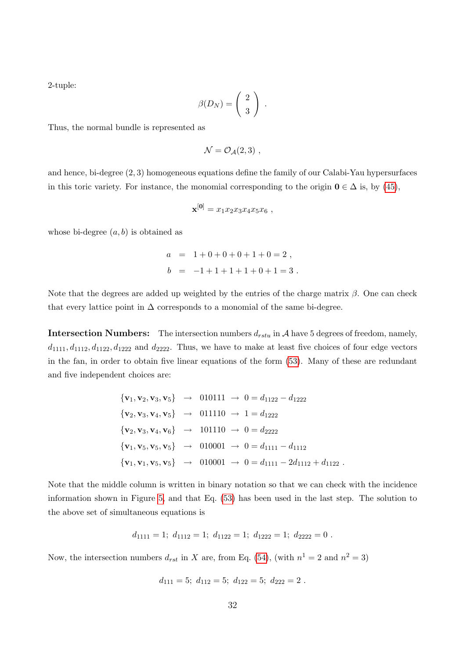2-tuple:

$$
\beta(D_N) = \left(\begin{array}{c} 2 \\ 3 \end{array}\right) .
$$

Thus, the normal bundle is represented as

$$
\mathcal{N} = \mathcal{O}_{\mathcal{A}}(2,3) ,
$$

and hence, bi-degree (2, 3) homogeneous equations define the family of our Calabi-Yau hypersurfaces in this toric variety. For instance, the monomial corresponding to the origin  $0 \in \Delta$  is, by [\(45\)](#page-25-2),

$$
\mathbf{x}^{[0]} = x_1 x_2 x_3 x_4 x_5 x_6 ,
$$

whose bi-degree  $(a, b)$  is obtained as

$$
a = 1 + 0 + 0 + 0 + 1 + 0 = 2,
$$
  

$$
b = -1 + 1 + 1 + 1 + 0 + 1 = 3.
$$

Note that the degrees are added up weighted by the entries of the charge matrix  $\beta$ . One can check that every lattice point in  $\Delta$  corresponds to a monomial of the same bi-degree.

**Intersection Numbers:** The intersection numbers  $d_{rstu}$  in A have 5 degrees of freedom, namely,  $d_{1111}, d_{1112}, d_{1122}, d_{1222}$  and  $d_{2222}$ . Thus, we have to make at least five choices of four edge vectors in the fan, in order to obtain five linear equations of the form [\(53\)](#page-27-2). Many of these are redundant and five independent choices are:

$$
\{\mathbf{v}_1, \mathbf{v}_2, \mathbf{v}_3, \mathbf{v}_5\} \rightarrow 010111 \rightarrow 0 = d_{1122} - d_{1222}
$$
  

$$
\{\mathbf{v}_2, \mathbf{v}_3, \mathbf{v}_4, \mathbf{v}_5\} \rightarrow 011110 \rightarrow 1 = d_{1222}
$$
  

$$
\{\mathbf{v}_2, \mathbf{v}_3, \mathbf{v}_4, \mathbf{v}_6\} \rightarrow 101110 \rightarrow 0 = d_{2222}
$$
  

$$
\{\mathbf{v}_1, \mathbf{v}_5, \mathbf{v}_5, \mathbf{v}_5\} \rightarrow 010001 \rightarrow 0 = d_{1111} - d_{1112}
$$
  

$$
\{\mathbf{v}_1, \mathbf{v}_1, \mathbf{v}_5, \mathbf{v}_5\} \rightarrow 010001 \rightarrow 0 = d_{1111} - 2d_{1112} + d_{1122}.
$$

Note that the middle column is written in binary notation so that we can check with the incidence information shown in Figure [5,](#page-31-0) and that Eq. [\(53\)](#page-27-2) has been used in the last step. The solution to the above set of simultaneous equations is

$$
d_{1111} = 1; d_{1112} = 1; d_{1122} = 1; d_{1222} = 1; d_{2223} = 0.
$$

Now, the intersection numbers  $d_{rst}$  in X are, from Eq. [\(54\)](#page-27-3), (with  $n^1 = 2$  and  $n^2 = 3$ )

$$
d_{111} = 5; d_{112} = 5; d_{122} = 5; d_{222} = 2.
$$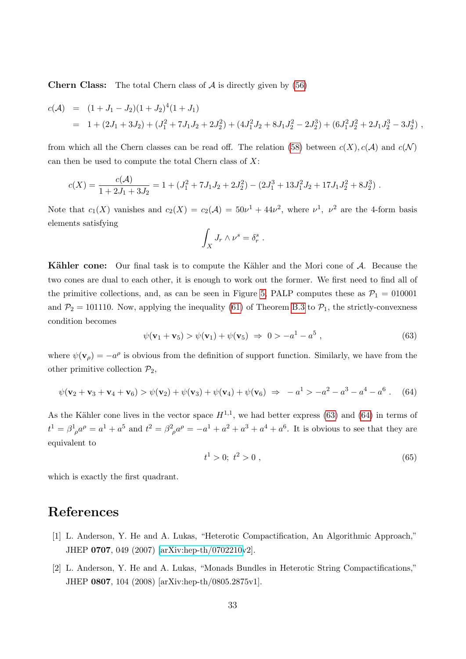**Chern Class:** The total Chern class of  $\mathcal A$  is directly given by [\(56\)](#page-28-0)

$$
c(\mathcal{A}) = (1 + J_1 - J_2)(1 + J_2)^4(1 + J_1)
$$
  
= 1 + (2J\_1 + 3J\_2) + (J\_1^2 + 7J\_1J\_2 + 2J\_2^2) + (4J\_1^2J\_2 + 8J\_1J\_2^2 - 2J\_2^3) + (6J\_1^2J\_2^2 + 2J\_1J\_2^3 - 3J\_2^4),

from which all the Chern classes can be read off. The relation [\(58\)](#page-28-2) between  $c(X)$ ,  $c(\mathcal{A})$  and  $c(\mathcal{N})$ can then be used to compute the total Chern class of  $X$ :

$$
c(X) = \frac{c(A)}{1+2J_1+3J_2} = 1 + (J_1^2 + 7J_1J_2 + 2J_2^2) - (2J_1^3 + 13J_1^2J_2 + 17J_1J_2^2 + 8J_2^3).
$$

Note that  $c_1(X)$  vanishes and  $c_2(X) = c_2(\mathcal{A}) = 50\nu^1 + 44\nu^2$ , where  $\nu^1$ ,  $\nu^2$  are the 4-form basis elements satisfying

$$
\int_X J_r \wedge \nu^s = \delta_r^s .
$$

Kähler cone: Our final task is to compute the Kähler and the Mori cone of A. Because the two cones are dual to each other, it is enough to work out the former. We first need to find all of the primitive collections, and, as can be seen in Figure [5,](#page-31-0) PALP computes these as  $\mathcal{P}_1 = 010001$ and  $P_2 = 101110$ . Now, applying the inequality [\(61\)](#page-29-5) of Theorem [B.3](#page-29-1) to  $P_1$ , the strictly-convexness condition becomes

$$
\psi(\mathbf{v}_1 + \mathbf{v}_5) > \psi(\mathbf{v}_1) + \psi(\mathbf{v}_5) \Rightarrow 0 > -a^1 - a^5 , \qquad (63)
$$

where  $\psi(\mathbf{v}_{\rho}) = -a^{\rho}$  is obvious from the definition of support function. Similarly, we have from the other primitive collection  $\mathcal{P}_2$ ,

<span id="page-33-0"></span>
$$
\psi(\mathbf{v}_2 + \mathbf{v}_3 + \mathbf{v}_4 + \mathbf{v}_6) > \psi(\mathbf{v}_2) + \psi(\mathbf{v}_3) + \psi(\mathbf{v}_4) + \psi(\mathbf{v}_6) \implies -a^1 > -a^2 - a^3 - a^4 - a^6. \tag{64}
$$

As the Kähler cone lives in the vector space  $H^{1,1}$ , we had better express [\(63\)](#page-30-1) and [\(64\)](#page-33-0) in terms of  $t^1 = \beta^1_{\ \rho} a^{\rho} = a^1 + a^5$  and  $t^2 = \beta^2_{\ \rho} a^{\rho} = -a^1 + a^2 + a^3 + a^4 + a^6$ . It is obvious to see that they are equivalent to

$$
t^1 > 0; \ t^2 > 0 \tag{65}
$$

which is exactly the first quadrant.

## References

- [1] L. Anderson, Y. He and A. Lukas, "Heterotic Compactification, An Algorithmic Approach," JHEP 0707, 049 (2007) [\[arXiv:hep-th/0702210v](http://arxiv.org/abs/hep-th/0702210)2].
- [2] L. Anderson, Y. He and A. Lukas, "Monads Bundles in Heterotic String Compactifications," JHEP 0807, 104 (2008) [arXiv:hep-th/0805.2875v1].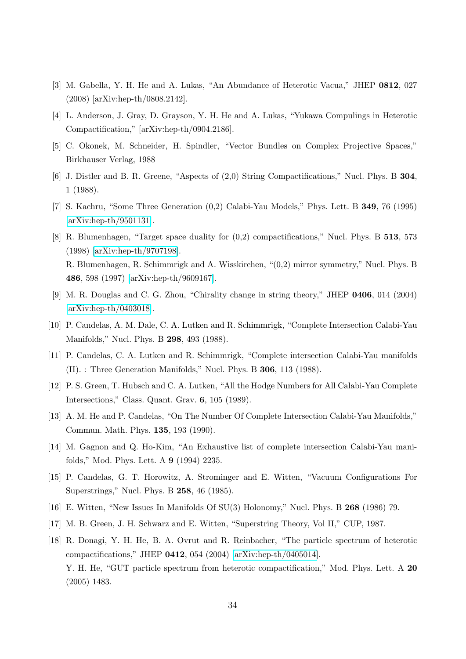- [3] M. Gabella, Y. H. He and A. Lukas, "An Abundance of Heterotic Vacua," JHEP 0812, 027 (2008) [arXiv:hep-th/0808.2142].
- [4] L. Anderson, J. Gray, D. Grayson, Y. H. He and A. Lukas, "Yukawa Compulings in Heterotic Compactification," [arXiv:hep-th/0904.2186].
- [5] C. Okonek, M. Schneider, H. Spindler, "Vector Bundles on Complex Projective Spaces," Birkhauser Verlag, 1988
- [6] J. Distler and B. R. Greene, "Aspects of (2,0) String Compactifications," Nucl. Phys. B 304, 1 (1988).
- [7] S. Kachru, "Some Three Generation (0,2) Calabi-Yau Models," Phys. Lett. B 349, 76 (1995) [\[arXiv:hep-th/9501131\]](http://arxiv.org/abs/hep-th/9501131).
- [8] R. Blumenhagen, "Target space duality for (0,2) compactifications," Nucl. Phys. B 513, 573 (1998) [\[arXiv:hep-th/9707198\]](http://arxiv.org/abs/hep-th/9707198). R. Blumenhagen, R. Schimmrigk and A. Wisskirchen, "(0,2) mirror symmetry," Nucl. Phys. B 486, 598 (1997) [\[arXiv:hep-th/9609167\]](http://arxiv.org/abs/hep-th/9609167).
- [9] M. R. Douglas and C. G. Zhou, "Chirality change in string theory," JHEP 0406, 014 (2004) [\[arXiv:hep-th/0403018\]](http://arxiv.org/abs/hep-th/0403018).
- [10] P. Candelas, A. M. Dale, C. A. Lutken and R. Schimmrigk, "Complete Intersection Calabi-Yau Manifolds," Nucl. Phys. B 298, 493 (1988).
- [11] P. Candelas, C. A. Lutken and R. Schimmrigk, "Complete intersection Calabi-Yau manifolds (II). : Three Generation Manifolds," Nucl. Phys. B 306, 113 (1988).
- [12] P. S. Green, T. Hubsch and C. A. Lutken, "All the Hodge Numbers for All Calabi-Yau Complete Intersections," Class. Quant. Grav. 6, 105 (1989).
- [13] A. M. He and P. Candelas, "On The Number Of Complete Intersection Calabi-Yau Manifolds," Commun. Math. Phys. 135, 193 (1990).
- [14] M. Gagnon and Q. Ho-Kim, "An Exhaustive list of complete intersection Calabi-Yau manifolds," Mod. Phys. Lett. A 9 (1994) 2235.
- [15] P. Candelas, G. T. Horowitz, A. Strominger and E. Witten, "Vacuum Configurations For Superstrings," Nucl. Phys. B 258, 46 (1985).
- [16] E. Witten, "New Issues In Manifolds Of SU(3) Holonomy," Nucl. Phys. B 268 (1986) 79.
- [17] M. B. Green, J. H. Schwarz and E. Witten, "Superstring Theory, Vol II," CUP, 1987.
- [18] R. Donagi, Y. H. He, B. A. Ovrut and R. Reinbacher, "The particle spectrum of heterotic compactifications," JHEP 0412, 054 (2004) [\[arXiv:hep-th/0405014\]](http://arxiv.org/abs/hep-th/0405014). Y. H. He, "GUT particle spectrum from heterotic compactification," Mod. Phys. Lett. A 20 (2005) 1483.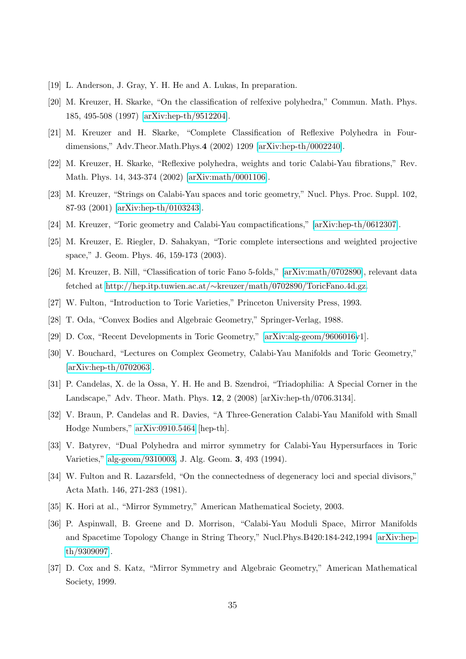- [19] L. Anderson, J. Gray, Y. H. He and A. Lukas, In preparation.
- [20] M. Kreuzer, H. Skarke, "On the classification of relfexive polyhedra," Commun. Math. Phys. 185, 495-508 (1997) [\[arXiv:hep-th/9512204\]](http://arxiv.org/abs/hep-th/9512204).
- [21] M. Kreuzer and H. Skarke, "Complete Classification of Reflexive Polyhedra in Fourdimensions," Adv.Theor.Math.Phys.4 (2002) 1209 [\[arXiv:hep-th/0002240\]](http://arxiv.org/abs/hep-th/0002240).
- [22] M. Kreuzer, H. Skarke, "Reflexive polyhedra, weights and toric Calabi-Yau fibrations," Rev. Math. Phys. 14, 343-374 (2002) [\[arXiv:math/0001106\]](http://arxiv.org/abs/math/0001106).
- [23] M. Kreuzer, "Strings on Calabi-Yau spaces and toric geometry," Nucl. Phys. Proc. Suppl. 102, 87-93 (2001) [\[arXiv:hep-th/0103243\]](http://arxiv.org/abs/hep-th/0103243).
- [24] M. Kreuzer, "Toric geometry and Calabi-Yau compactifications," [\[arXiv:hep-th/0612307\]](http://arxiv.org/abs/hep-th/0612307).
- [25] M. Kreuzer, E. Riegler, D. Sahakyan, "Toric complete intersections and weighted projective space," J. Geom. Phys. 46, 159-173 (2003).
- [26] M. Kreuzer, B. Nill, "Classification of toric Fano 5-folds," [\[arXiv:math/0702890\]](http://arxiv.org/abs/math/0702890), relevant data fetched at http://hep.itp.tuwien.ac.at/∼[kreuzer/math/0702890/ToricFano.4d.gz.](http://hep.itp.tuwien.ac.at/~kreuzer/math/0702890/ToricFano.4d.gz)
- [27] W. Fulton, "Introduction to Toric Varieties," Princeton University Press, 1993.
- [28] T. Oda, "Convex Bodies and Algebraic Geometry," Springer-Verlag, 1988.
- [29] D. Cox, "Recent Developments in Toric Geometry," [\[arXiv:alg-geom/9606016v](http://arxiv.org/abs/alg-geom/9606016)1].
- [30] V. Bouchard, "Lectures on Complex Geometry, Calabi-Yau Manifolds and Toric Geometry," [\[arXiv:hep-th/0702063\]](http://arxiv.org/abs/hep-th/0702063).
- [31] P. Candelas, X. de la Ossa, Y. H. He and B. Szendroi, "Triadophilia: A Special Corner in the Landscape," Adv. Theor. Math. Phys. 12, 2 (2008) [arXiv:hep-th/0706.3134].
- [32] V. Braun, P. Candelas and R. Davies, "A Three-Generation Calabi-Yau Manifold with Small Hodge Numbers," [arXiv:0910.5464](http://arxiv.org/abs/0910.5464) [hep-th].
- [33] V. Batyrev, "Dual Polyhedra and mirror symmetry for Calabi-Yau Hypersurfaces in Toric Varieties," [alg-geom/9310003,](http://arxiv.org/abs/alg-geom/9310003) J. Alg. Geom. 3, 493 (1994).
- [34] W. Fulton and R. Lazarsfeld, "On the connectedness of degeneracy loci and special divisors," Acta Math. 146, 271-283 (1981).
- [35] K. Hori at al., "Mirror Symmetry," American Mathematical Society, 2003.
- [36] P. Aspinwall, B. Greene and D. Morrison, "Calabi-Yau Moduli Space, Mirror Manifolds and Spacetime Topology Change in String Theory," Nucl.Phys.B420:184-242,1994 [\[arXiv:hep](http://arxiv.org/abs/hep-th/9309097)[th/9309097\]](http://arxiv.org/abs/hep-th/9309097).
- [37] D. Cox and S. Katz, "Mirror Symmetry and Algebraic Geometry," American Mathematical Society, 1999.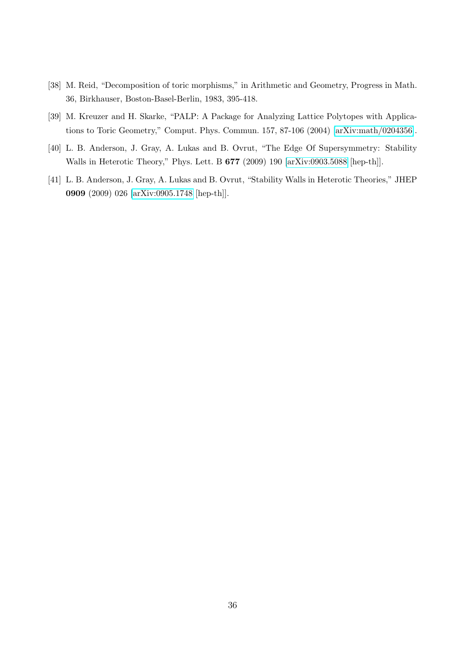- [38] M. Reid, "Decomposition of toric morphisms," in Arithmetic and Geometry, Progress in Math. 36, Birkhauser, Boston-Basel-Berlin, 1983, 395-418.
- [39] M. Kreuzer and H. Skarke, "PALP: A Package for Analyzing Lattice Polytopes with Applications to Toric Geometry," Comput. Phys. Commun. 157, 87-106 (2004) [\[arXiv:math/0204356\]](http://arxiv.org/abs/math/0204356).
- [40] L. B. Anderson, J. Gray, A. Lukas and B. Ovrut, "The Edge Of Supersymmetry: Stability Walls in Heterotic Theory," Phys. Lett. B 677 (2009) 190 [\[arXiv:0903.5088](http://arxiv.org/abs/0903.5088) [hep-th]].
- [41] L. B. Anderson, J. Gray, A. Lukas and B. Ovrut, "Stability Walls in Heterotic Theories," JHEP 0909 (2009) 026 [\[arXiv:0905.1748](http://arxiv.org/abs/0905.1748) [hep-th]].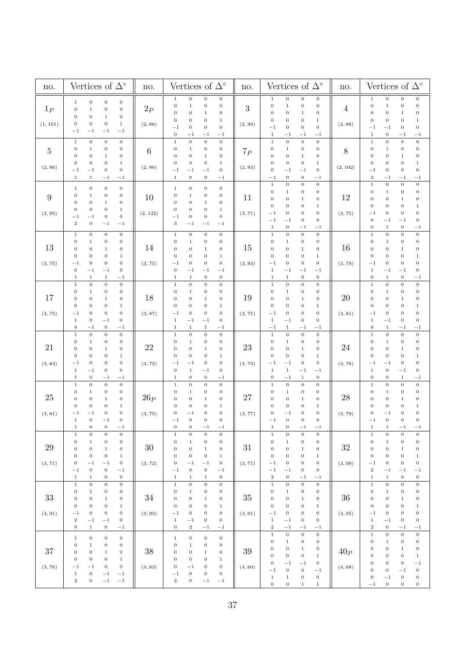| no.                       | Vertices of $\Delta^\circ$                                                                                                                                                                                                                                                                                                                                                                                                                  | no.               | Vertices of $\Delta^\circ$                                                                                                                                                                                                                                                                                                                                                                                                                              | no.               | Vertices of $\Delta^\circ$                                                                                                                                                                                                                                                                                                                                                                                                                                                      |                            | Vertices of $\Delta^\circ$                                                                                                                                                                                                                                                                                                                                                                                                               |  |
|---------------------------|---------------------------------------------------------------------------------------------------------------------------------------------------------------------------------------------------------------------------------------------------------------------------------------------------------------------------------------------------------------------------------------------------------------------------------------------|-------------------|---------------------------------------------------------------------------------------------------------------------------------------------------------------------------------------------------------------------------------------------------------------------------------------------------------------------------------------------------------------------------------------------------------------------------------------------------------|-------------------|---------------------------------------------------------------------------------------------------------------------------------------------------------------------------------------------------------------------------------------------------------------------------------------------------------------------------------------------------------------------------------------------------------------------------------------------------------------------------------|----------------------------|------------------------------------------------------------------------------------------------------------------------------------------------------------------------------------------------------------------------------------------------------------------------------------------------------------------------------------------------------------------------------------------------------------------------------------------|--|
| $1_P$<br>(1, 101)         | $\,1\,$<br>$\boldsymbol{0}$<br>$\,0$<br>$\,0\,$<br>$\mathbf{0}$<br>$\,1\,$<br>$\boldsymbol{0}$<br>$\boldsymbol{0}$<br>$\boldsymbol{0}$<br>$\,1$<br>$\boldsymbol{0}$<br>$\mathbf{0}$<br>$\boldsymbol{0}$<br>$\boldsymbol{0}$<br>$\boldsymbol{0}$<br>$\mathbf{1}$<br>$^{-1}$<br>$^{-1}$<br>$-1$<br>$^{-1}$                                                                                                                                    | 2P<br>(2, 86)     | $\,0\,$<br>$\,0\,$<br>$\,0\,$<br>$\mathbf{1}$<br>$\,0\,$<br>$\,1\,$<br>$\,0\,$<br>$\,0\,$<br>$\boldsymbol{0}$<br>$\boldsymbol{0}$<br>$\,0\,$<br>$\mathbf 1$<br>$\boldsymbol{0}$<br>$\,1\,$<br>$\boldsymbol{0}$<br>0<br>$\mathbf 0$<br>$-1$<br>$\boldsymbol{0}$<br>$\,0\,$<br>$\boldsymbol{0}$<br>$-1$<br>$^{-1}$<br>$^{-1}$                                                                                                                             | 3<br>(2, 90)      | $\,0\,$<br>$\boldsymbol{0}$<br>$\,0\,$<br>$\mathbf{1}$<br>$\,0\,$<br>$\,0$<br>$\mathbf 1$<br>$\boldsymbol{0}$<br>$\boldsymbol{0}$<br>$\boldsymbol{0}$<br>0<br>$\,1$<br>$\,1\,$<br>0<br>$\boldsymbol{0}$<br>$\boldsymbol{0}$<br>$\boldsymbol{0}$<br>$^{-1}$<br>$\boldsymbol{0}$<br>$\mathbf{0}$<br>$\,1$<br>$^{-1}$<br>$^{-1}$<br>$^{-1}$                                                                                                                                        | 4<br>(2, 86)               | $\,0\,$<br>$\,0\,$<br>$\,0\,$<br>$1\,$<br>$\,0\,$<br>$\boldsymbol{0}$<br>$\,1\,$<br>$\boldsymbol{0}$<br>$\boldsymbol{0}$<br>$\,1\,$<br>$\boldsymbol{0}$<br>0<br>$\boldsymbol{0}$<br>$\boldsymbol{0}$<br>$\boldsymbol{0}$<br>$\,1$<br>$\,0\,$<br>$\boldsymbol{0}$<br>$^{-1}$<br>$^{-1}$<br>$\boldsymbol{0}$<br>$\,1$<br>$^{-1}$<br>$^{-1}$                                                                                                |  |
| $\overline{5}$<br>(2, 86) | $\,$ 1<br>$\,0\,$<br>$\,0\,$<br>$\boldsymbol{0}$<br>$\,1\,$<br>$\boldsymbol{0}$<br>$\boldsymbol{0}$<br>$\boldsymbol{0}$<br>$\boldsymbol{0}$<br>$\,0$<br>$\boldsymbol{0}$<br>$1\,$<br>$\boldsymbol{0}$<br>$\boldsymbol{0}$<br>$\boldsymbol{0}$<br>$\mathbf{1}$<br>$\,0\,$<br>$\,0\,$<br>$^{-1}$<br>$^{-1}$<br>$\mathbf{1}$<br>$1\,$<br>$^{-1}$<br>$^{-1}$                                                                                    | 6<br>(2, 86)      | $\,1\,$<br>$\,0\,$<br>$\,0$<br>$\,0\,$<br>$\boldsymbol{0}$<br>$\,0\,$<br>$\boldsymbol{0}$<br>$1\,$<br>$\boldsymbol{0}$<br>$\boldsymbol{0}$<br>$\boldsymbol{0}$<br>$\,1$<br>$\boldsymbol{0}$<br>$\boldsymbol{0}$<br>$\boldsymbol{0}$<br>$\mathbf 1$<br>$\boldsymbol{0}$<br>$^{-1}$<br>$^{-1}$<br>$^{-1}$<br>$\boldsymbol{0}$<br>$\boldsymbol{0}$<br>$\mathbf{1}$<br>$^{-1}$                                                                              | $7_P$<br>(2, 83)  | $\,0\,$<br>$\,1$<br>$\,0$<br>$\,0\,$<br>$\,0\,$<br>$\boldsymbol{0}$<br>0<br>$\,1$<br>$\,0\,$<br>$\boldsymbol{0}$<br>$\boldsymbol{0}$<br>$\,1$<br>$\boldsymbol{0}$<br>$\boldsymbol{0}$<br>$\mathbf 1$<br>0<br>$\boldsymbol{0}$<br>$\boldsymbol{0}$<br>$^{-1}$<br>$^{-1}$<br>$\boldsymbol{0}$<br>$\boldsymbol{0}$<br>$-1$<br>$^{-1}$                                                                                                                                              | 8<br>(2, 102)              | $\,0\,$<br>$\,0\,$<br>$\,1$<br>$\boldsymbol{0}$<br>$\,0\,$<br>$\boldsymbol{0}$<br>$\boldsymbol{0}$<br>$\,1$<br>$\mathbf 0$<br>$\mathbf{0}$<br>$\boldsymbol{0}$<br>$\,1$<br>$\mathbf{0}$<br>$\boldsymbol{0}$<br>$\boldsymbol{0}$<br>$\,1$<br>$\boldsymbol{0}$<br>$\boldsymbol{0}$<br>$\boldsymbol{0}$<br>$^{-1}$<br>$\,2$<br>$^{-1}$<br>$^{-1}$<br>$^{-1}$                                                                                |  |
| 9<br>(2, 95)              | $\boldsymbol{0}$<br>$\,0\,$<br>$\boldsymbol{0}$<br>$\mathbf{1}$<br>$\boldsymbol{0}$<br>$\boldsymbol{0}$<br>$\boldsymbol{0}$<br>$\,1$<br>$\boldsymbol{0}$<br>$\boldsymbol{0}$<br>$\boldsymbol{0}$<br>$\,1$<br>$\boldsymbol{0}$<br>$\boldsymbol{0}$<br>$\,1$<br>$\boldsymbol{0}$<br>$\,0$<br>$\,0\,$<br>$^{-1}$<br>$^{-1}$<br>$\,2\,$<br>$\boldsymbol{0}$<br>$-1$<br>$^{-1}$                                                                  | 10<br>(2, 122)    | $\boldsymbol{0}$<br>$\boldsymbol{0}$<br>$\,0\,$<br>$\mathbf{1}$<br>$\,0\,$<br>$\boldsymbol{0}$<br>$\,1$<br>$\boldsymbol{0}$<br>$\boldsymbol{0}$<br>$\boldsymbol{0}$<br>0<br>1<br>$\boldsymbol{0}$<br>$\boldsymbol{0}$<br>$\,0\,$<br>$\,1\,$<br>$\boldsymbol{0}$<br>$^{-1}$<br>$\boldsymbol{0}$<br>$\,0\,$<br>$\,3$<br>$-1$<br>$^{-1}$<br>$^{-1}$                                                                                                        | 11<br>(3, 71)     | $\,1\,$<br>$\,0\,$<br>$\boldsymbol{0}$<br>$\,0\,$<br>$\boldsymbol{0}$<br>$\,0\,$<br>$\mathbf 1$<br>$\boldsymbol{0}$<br>$\,0\,$<br>$\boldsymbol{0}$<br>$\boldsymbol{0}$<br>$\mathbf{1}$<br>$\boldsymbol{0}$<br>$\,1\,$<br>$\boldsymbol{0}$<br>$\boldsymbol{0}$<br>$\boldsymbol{0}$<br>$\boldsymbol{0}$<br>$^{-1}$<br>$\boldsymbol{0}$<br>$\boldsymbol{0}$<br>$^{-1}$<br>$\mathbf{0}$<br>$^{-1}$<br>$\boldsymbol{0}$<br>$-1$<br>$\mathbf{1}$<br>$^{-1}$                           | 12<br>(3, 75)              | $\boldsymbol{0}$<br>$\,0\,$<br>$\overline{0}$<br>$\,1$<br>$\,0\,$<br>0<br>$\,1$<br>$\boldsymbol{0}$<br>$\boldsymbol{0}$<br>$\boldsymbol{0}$<br>$\boldsymbol{0}$<br>$\,1$<br>$\mathbf{0}$<br>$\boldsymbol{0}$<br>$\boldsymbol{0}$<br>$\,1$<br>$\boldsymbol{0}$<br>$\boldsymbol{0}$<br>$\boldsymbol{0}$<br>$^{-1}$<br>$\boldsymbol{0}$<br>$\boldsymbol{0}$<br>$^{-1}$<br>$^{-1}$<br>$\,1\,$<br>$\boldsymbol{0}$<br>$\mathbf{0}$<br>$^{-1}$ |  |
| 13<br>(3, 75)             | $\,0$<br>$\,1\,$<br>$\boldsymbol{0}$<br>$\,0\,$<br>$\,0$<br>$\,0\,$<br>$\boldsymbol{0}$<br>$\,1$<br>$\boldsymbol{0}$<br>$\,1\,$<br>$\,0\,$<br>$\boldsymbol{0}$<br>$\boldsymbol{0}$<br>$\boldsymbol{0}$<br>$\boldsymbol{0}$<br>$\,1$<br>$\,0$<br>$\boldsymbol{0}$<br>$\,0\,$<br>$- \, 1$<br>$\,0\,$<br>$\boldsymbol{0}$<br>$-1$<br>$-1$<br>$\,1\,$<br>$\,1$<br>$-1$<br>$\,1$                                                                 | 14<br>(3, 75)     | $\boldsymbol{0}$<br>$\,1\,$<br>$\,0\,$<br>$\,0\,$<br>$\boldsymbol{0}$<br>$\,0\,$<br>$\,0\,$<br>$1\,$<br>$\boldsymbol{0}$<br>$\boldsymbol{0}$<br>$\,0\,$<br>$\,1$<br>$\boldsymbol{0}$<br>$\boldsymbol{0}$<br>$\,0$<br>$\,1\,$<br>$\boldsymbol{0}$<br>$\,0\,$<br>$^{-1}$<br>$\boldsymbol{0}$<br>$\boldsymbol{0}$<br>$^{-1}$<br>$-1$<br>$^{-1}$<br>$\,1$<br>$\boldsymbol{0}$<br>$\boldsymbol{0}$<br>$\mathbf{1}$                                           | 15<br>(3, 83)     | $\,0$<br>$\,1$<br>$\,0\,$<br>$\,0\,$<br>$\,0$<br>$\boldsymbol{0}$<br>$\,1$<br>$\mathbf{0}$<br>$\boldsymbol{0}$<br>$\boldsymbol{0}$<br>$\boldsymbol{0}$<br>$\mathbf{1}$<br>$\,1\,$<br>$\boldsymbol{0}$<br>$\boldsymbol{0}$<br>$\boldsymbol{0}$<br>$\,0\,$<br>$\,0\,$<br>$\boldsymbol{0}$<br>$^{-1}$<br>$-1$<br>$\,1$<br>$-1$<br>$^{-1}$<br>$\,0\,$<br>$\,1$<br>$\mathbf 1$<br>$\boldsymbol{0}$                                                                                   | 16<br>(3, 79)              | $\,0\,$<br>$\,0\,$<br>$\,0\,$<br>$\mathbf 1$<br>$\boldsymbol{0}$<br>$\boldsymbol{0}$<br>$\,1$<br>$\boldsymbol{0}$<br>$\,1\,$<br>$\boldsymbol{0}$<br>$\boldsymbol{0}$<br>$\boldsymbol{0}$<br>$\boldsymbol{0}$<br>$\,1$<br>$\boldsymbol{0}$<br>$\boldsymbol{0}$<br>$\,0\,$<br>$\,0\,$<br>$\boldsymbol{0}$<br>$^{-1}$<br>$\,0\,$<br>$^{-1}$<br>$^{-1}$<br>$\,1$<br>$\,0\,$<br>$\,1\,$<br>$^{-1}$<br>$\boldsymbol{0}$                        |  |
| 17<br>(3, 75)             | $\boldsymbol{0}$<br>$\boldsymbol{0}$<br>$\,0$<br>$\mathbf 1$<br>$\boldsymbol{0}$<br>$\boldsymbol{0}$<br>$\,0\,$<br>$\,1$<br>$\boldsymbol{0}$<br>$\,0$<br>$\boldsymbol{0}$<br>$\,1$<br>$\boldsymbol{0}$<br>$\boldsymbol{0}$<br>$\boldsymbol{0}$<br>$\mathbf 1$<br>$\boldsymbol{0}$<br>$\,0\,$<br>$\boldsymbol{0}$<br>$^{-1}$<br>$\,1\,$<br>$-1$<br>$\,0\,$<br>$\boldsymbol{0}$<br>$\boldsymbol{0}$<br>$\boldsymbol{0}$<br>$^{-1}$<br>$^{-1}$ | 18<br>(3, 87)     | $\,1\,$<br>$\boldsymbol{0}$<br>$\boldsymbol{0}$<br>$\boldsymbol{0}$<br>$\boldsymbol{0}$<br>$\boldsymbol{0}$<br>$\,1$<br>$\boldsymbol{0}$<br>$\boldsymbol{0}$<br>$\boldsymbol{0}$<br>$\boldsymbol{0}$<br>1<br>$\boldsymbol{0}$<br>$\boldsymbol{0}$<br>$\boldsymbol{0}$<br>$\,1\,$<br>$\boldsymbol{0}$<br>$\boldsymbol{0}$<br>$\,0\,$<br>$^{-1}$<br>$\,1\,$<br>$\boldsymbol{0}$<br>$^{-1}$<br>$^{-1}$<br>$\mathbf{1}$<br>$\,1$<br>$\mathbf{1}$<br>$^{-1}$ | 19<br>(3, 75)     | $\,1$<br>$\boldsymbol{0}$<br>$\,0\,$<br>$\,0$<br>$\boldsymbol{0}$<br>$\boldsymbol{0}$<br>$\,0\,$<br>$\,1$<br>$\,0\,$<br>$\boldsymbol{0}$<br>$\boldsymbol{0}$<br>$\,1$<br>$\mathbf 1$<br>0<br>$\boldsymbol{0}$<br>$\boldsymbol{0}$<br>$\boldsymbol{0}$<br>$\boldsymbol{0}$<br>$\boldsymbol{0}$<br>$^{-1}$<br>$\boldsymbol{0}$<br>$\,1\,$<br>$^{-1}$<br>$\mathbf{0}$<br>$\,1\,$<br>$-1$<br>$^{-1}$<br>$^{-1}$                                                                     | 20<br>(3, 81)              | $\boldsymbol{0}$<br>$\boldsymbol{0}$<br>$\,0\,$<br>$\,1$<br>$\boldsymbol{0}$<br>$\boldsymbol{0}$<br>$\boldsymbol{0}$<br>$\,1$<br>$\boldsymbol{0}$<br>$\boldsymbol{0}$<br>0<br>1<br>0<br>$\boldsymbol{0}$<br>$\,1$<br>$\boldsymbol{0}$<br>$\boldsymbol{0}$<br>$\boldsymbol{0}$<br>$\boldsymbol{0}$<br>$^{-1}$<br>$\boldsymbol{0}$<br>$\boldsymbol{0}$<br>$\,1$<br>$^{-1}$<br>$\mathbf{0}$<br>$\,1\,$<br>$^{-1}$<br>$^{-1}$                |  |
| 21<br>(3, 83)             | $\,1\,$<br>$\,0\,$<br>$\,0$<br>$\,0\,$<br>$\boldsymbol{0}$<br>$\boldsymbol{0}$<br>$\boldsymbol{0}$<br>$1\,$<br>$\boldsymbol{0}$<br>$\,0$<br>$\boldsymbol{0}$<br>$1\,$<br>$\boldsymbol{0}$<br>$\boldsymbol{0}$<br>$\boldsymbol{0}$<br>$\,1$<br>$\boldsymbol{0}$<br>$^{-1}$<br>$\boldsymbol{0}$<br>0<br>$\,1\,$<br>$\,0\,$<br>$\mathbf{0}$<br>$^{-1}$<br>$\mathbf{1}$<br>$\boldsymbol{0}$<br>$^{-1}$<br>$^{-1}$                               | $22\,$<br>(3, 72) | $\,1\,$<br>$\,0\,$<br>$\,0\,$<br>$\,0\,$<br>$\boldsymbol{0}$<br>$\,0\,$<br>$1\,$<br>$\boldsymbol{0}$<br>$\boldsymbol{0}$<br>$\boldsymbol{0}$<br>$\boldsymbol{0}$<br>$\,1$<br>$\boldsymbol{0}$<br>$\boldsymbol{0}$<br>$\,0\,$<br>$\,1$<br>$\boldsymbol{0}$<br>$^{-1}$<br>$\boldsymbol{0}$<br>$^{-1}$<br>$1\,$<br>$\boldsymbol{0}$<br>$\mathbf{0}$<br>$^{-1}$<br>$\mathbf{1}$<br>0<br>$\boldsymbol{0}$<br>$^{-1}$                                         | 23<br>(3, 73)     | $\,1\,$<br>$\,0$<br>$\,0\,$<br>$\,0$<br>$\boldsymbol{0}$<br>$\,0\,$<br>$\,1$<br>$\boldsymbol{0}$<br>$\,0\,$<br>$\boldsymbol{0}$<br>$\boldsymbol{0}$<br>$\mathbf{1}$<br>$\boldsymbol{0}$<br>$\,1$<br>$\boldsymbol{0}$<br>$\boldsymbol{0}$<br>$\,0\,$<br>$-1$<br>$-1$<br>$\mathbf{0}$<br>$-1$<br>$\,1$<br>$\mathbf{1}$<br>$^{-1}$<br>$\,0\,$<br>$\boldsymbol{0}$<br>$^{-1}$<br>$\,1$                                                                                              | 24<br>(3, 78)              | $\overline{0}$<br>$\boldsymbol{0}$<br>$\,0\,$<br>$\,1$<br>$\,0\,$<br>$\boldsymbol{0}$<br>0<br>$\,1$<br>$\mathbf 0$<br>$\boldsymbol{0}$<br>$\boldsymbol{0}$<br>$\,1\,$<br>$\mathbf{0}$<br>$\boldsymbol{0}$<br>$\boldsymbol{0}$<br>$\,1$<br>$\boldsymbol{0}$<br>$\boldsymbol{0}$<br>$^{-1}$<br>$^{-1}$<br>$\boldsymbol{0}$<br>$\mathbf 1$<br>$\boldsymbol{0}$<br>$^{-1}$<br>$\mathbf{0}$<br>$\,1$<br>$^{-1}$<br>0                          |  |
| $25\,$<br>(3, 81)         | $\mathbf 1$<br>$\,0\,$<br>$\,0\,$<br>$\,0$<br>$\boldsymbol{0}$<br>$\,0\,$<br>$\boldsymbol{0}$<br>1<br>$\,0\,$<br>$\boldsymbol{0}$<br>$\boldsymbol{0}$<br>$1\,$<br>$\boldsymbol{0}$<br>$\boldsymbol{0}$<br>$\,1$<br>$\mathbf{0}$<br>$\boldsymbol{0}$<br>$\boldsymbol{0}$<br>$^{-1}$<br>$^{-1}$<br>$\,0$<br>$\boldsymbol{0}$<br>$\mathbf{1}$<br>$^{-1}$<br>$-1$<br>$\mathbf{0}$<br>$\mathbf{0}$<br>$\mathbf{1}$                               | 26P<br>(3, 75)    | $\,0$<br>$\,1\,$<br>$\,0\,$<br>$\,0\,$<br>$\boldsymbol{0}$<br>$\boldsymbol{0}$<br>$\boldsymbol{0}$<br>$\,1$<br>$\boldsymbol{0}$<br>$\boldsymbol{0}$<br>$\,0\,$<br>$\mathbf{1}$<br>$\,1\,$<br>$\boldsymbol{0}$<br>$\boldsymbol{0}$<br>$\boldsymbol{0}$<br>$\boldsymbol{0}$<br>$\boldsymbol{0}$<br>$^{-1}$<br>$\boldsymbol{0}$<br>$\boldsymbol{0}$<br>$\,0$<br>$\boldsymbol{0}$<br>$^{-1}$<br>$-1$<br>$\mathbf{0}$<br>$\boldsymbol{0}$<br>$-1$            | 27<br>(3, 77)     | $\,1\,$<br>$\,0$<br>$\,0\,$<br>$\,0$<br>$\boldsymbol{0}$<br>$\,0\,$<br>$\,1$<br>$\boldsymbol{0}$<br>$\,0\,$<br>$\boldsymbol{0}$<br>$\boldsymbol{0}$<br>$\mathbf{1}$<br>$\,1$<br>0<br>$\boldsymbol{0}$<br>$\boldsymbol{0}$<br>$\,0\,$<br>$\boldsymbol{0}$<br>$- \, 1$<br>$\mathbf{0}$<br>$\boldsymbol{0}$<br>$\boldsymbol{0}$<br>$\boldsymbol{0}$<br>$^{-1}$<br>$-1$<br>$\overline{0}$<br>$-1$<br>$\mathbf{1}$                                                                   | 28<br>(3, 79)              | $\boldsymbol{0}$<br>$\,0\,$<br>$\,0\,$<br>$\,1$<br>$\boldsymbol{0}$<br>$\boldsymbol{0}$<br>0<br>$\,1$<br>$\boldsymbol{0}$<br>$\mathbf{0}$<br>$\mathbf{0}$<br>$\,1$<br>$\boldsymbol{0}$<br>$\boldsymbol{0}$<br>$\,1$<br>$\mathbf{0}$<br>$\,0\,$<br>$\boldsymbol{0}$<br>$\mathbf{0}$<br>$^{-1}$<br>$\boldsymbol{0}$<br>$\boldsymbol{0}$<br>$\boldsymbol{0}$<br>$^{-1}$<br>$\,1$<br>$^{-1}$<br>$\,1$<br>$^{-1}$                             |  |
| 29<br>(3, 71)             | $\,1\,$<br>$\boldsymbol{0}$<br>$\,0\,$<br>$\boldsymbol{0}$<br>$\boldsymbol{0}$<br>$\,1\,$<br>$\,0$<br>$\,0\,$<br>$\boldsymbol{0}$<br>$\boldsymbol{0}$<br>$\,1$<br>$\boldsymbol{0}$<br>$\boldsymbol{0}$<br>$\,0\,$<br>$\boldsymbol{0}$<br>$\,1$<br>$\boldsymbol{0}$<br>$\,0\,$<br>$^{-1}$<br>$^{-1}$<br>$\,0\,$<br>$\,0\,$<br>$- \, 1$<br>$^{-1}$<br>$\,1\,$<br>$\mathbf{0}$<br>$\,1$<br>$\boldsymbol{0}$                                    | 30<br>(3, 72)     | $\,1\,$<br>$\,0\,$<br>$\,0\,$<br>$\boldsymbol{0}$<br>$\,0\,$<br>$\,1\,$<br>$\boldsymbol{0}$<br>$\,0\,$<br>$\boldsymbol{0}$<br>$\boldsymbol{0}$<br>$\mathbf{1}$<br>$\boldsymbol{0}$<br>$\boldsymbol{0}$<br>$\boldsymbol{0}$<br>$\,0\,$<br>$\mathbf{1}$<br>$\,0\,$<br>$\,0\,$<br>$^{-1}$<br>$^{-1}$<br>$\,0\,$<br>$\boldsymbol{0}$<br>$^{-1}$<br>$^{-1}$<br>$\,1\,$<br>$\boldsymbol{0}$<br>$\,1$<br>1                                                     | 31<br>(3, 71)     | $\,1$<br>$\,0\,$<br>$\boldsymbol{0}$<br>$\boldsymbol{0}$<br>$\boldsymbol{0}$<br>$\,1\,$<br>$\boldsymbol{0}$<br>$\boldsymbol{0}$<br>$\boldsymbol{0}$<br>$\boldsymbol{0}$<br>$\boldsymbol{0}$<br>$\,1$<br>$\boldsymbol{0}$<br>$\boldsymbol{0}$<br>$\boldsymbol{0}$<br>$\,1$<br>$\boldsymbol{0}$<br>$\boldsymbol{0}$<br>$\boldsymbol{0}$<br>$^{-1}$<br>$\boldsymbol{0}$<br>$-1$<br>$\mathbf{0}$<br>$^{-1}$<br>$\,2$<br>$\,0\,$<br>$^{-1}$<br>$^{-1}$                               | 32<br>(3, 99)              | $\,0$<br>$\,0\,$<br>$1\,$<br>$\boldsymbol{0}$<br>$\,0\,$<br>$\,0\,$<br>$\boldsymbol{0}$<br>$\,1\,$<br>$\,0$<br>$\,1\,$<br>$\boldsymbol{0}$<br>$\boldsymbol{0}$<br>$\boldsymbol{0}$<br>$\,1\,$<br>$\boldsymbol{0}$<br>$\boldsymbol{0}$<br>$\,0\,$<br>$\,0\,$<br>$\,0\,$<br>$^{-1}$<br>$\,2$<br>$-1$<br>$-1$<br>$^{-1}$<br>$\,0\,$<br>$\,1\,$<br>$\,0\,$<br>$1\,$                                                                          |  |
| 33<br>(3, 91)             | $\,1\,$<br>$\,0\,$<br>$\,0\,$<br>$\boldsymbol{0}$<br>$\boldsymbol{0}$<br>$\,1$<br>$\boldsymbol{0}$<br>$\boldsymbol{0}$<br>$\boldsymbol{0}$<br>$\boldsymbol{0}$<br>$\boldsymbol{0}$<br>$1\,$<br>$\boldsymbol{0}$<br>$\boldsymbol{0}$<br>$\,0$<br>$\,1$<br>$\boldsymbol{0}$<br>$\boldsymbol{0}$<br>$\,0$<br>$^{-1}$<br>$\,2$<br>$\,0\,$<br>$^{-1}$<br>$^{-1}$<br>$\,0\,$<br>$\boldsymbol{0}$<br>$1\,$<br>$^{-1}$                              | 34<br>(3, 93)     | $\,1\,$<br>$\,0\,$<br>$\,0$<br>$\boldsymbol{0}$<br>$\,0\,$<br>$\,1$<br>$\boldsymbol{0}$<br>$\boldsymbol{0}$<br>$\boldsymbol{0}$<br>$\,0\,$<br>$\boldsymbol{0}$<br>$\mathbf{1}$<br>$\boldsymbol{0}$<br>$\boldsymbol{0}$<br>$\,0\,$<br>$\,1$<br>$\,0\,$<br>$\,0$<br>$\,0\,$<br>$-1$<br>$\,0\,$<br>$\,1$<br>$\boldsymbol{0}$<br>$^{-1}$<br>$\,0\,$<br>$\,2$<br>$^{-1}$<br>$^{-1}$                                                                          | $35\,$<br>(3, 91) | $\,1$<br>$\,0\,$<br>$\,0\,$<br>$\,0$<br>$\boldsymbol{0}$<br>$\boldsymbol{0}$<br>$\boldsymbol{0}$<br>1<br>$\boldsymbol{0}$<br>$\boldsymbol{0}$<br>$\boldsymbol{0}$<br>$\mathbf{1}$<br>$\boldsymbol{0}$<br>$\boldsymbol{0}$<br>$\boldsymbol{0}$<br>$\,1$<br>$\boldsymbol{0}$<br>$^{-1}$<br>$\boldsymbol{0}$<br>$\boldsymbol{0}$<br>$\,1$<br>$\,0\,$<br>$^{-1}$<br>$\boldsymbol{0}$<br>$\,2$<br>$^{-1}$<br>$^{-1}$<br>$^{-1}$                                                      | 36<br>(3, 95)              | $\boldsymbol{0}$<br>$\,0\,$<br>$\,0\,$<br>$\,1$<br>$\,0\,$<br>$\boldsymbol{0}$<br>$\,1$<br>$\boldsymbol{0}$<br>$\,0\,$<br>$\boldsymbol{0}$<br>$\boldsymbol{0}$<br>$\,1$<br>$\boldsymbol{0}$<br>$\boldsymbol{0}$<br>0<br>$\,1$<br>$\,0\,$<br>$\boldsymbol{0}$<br>$\boldsymbol{0}$<br>$^{-1}$<br>$\,0\,$<br>$\,0\,$<br>$\mathbf 1$<br>$^{-1}$<br>$\,2$<br>$\,0$<br>$^{-1}$<br>$^{-1}$                                                      |  |
| 37<br>(3, 76)             | $\,1\,$<br>$\boldsymbol{0}$<br>$\,0\,$<br>$\,0\,$<br>$\boldsymbol{0}$<br>$\,1\,$<br>$\boldsymbol{0}$<br>$\boldsymbol{0}$<br>$\mathbf{0}$<br>$\boldsymbol{0}$<br>$\,0\,$<br>$\,1$<br>$\mathbf{0}$<br>$\boldsymbol{0}$<br>$\boldsymbol{0}$<br>$\,1$<br>$\,0$<br>$\boldsymbol{0}$<br>$^{-1}$<br>$^{-1}$<br>$\,1\,$<br>$\boldsymbol{0}$<br>$^{-1}$<br>$^{-1}$<br>$\boldsymbol{2}$<br>$\boldsymbol{0}$<br>$^{-1}$<br>$^{-1}$                     | 38<br>(3, 83)     | $\,1\,$<br>$\,0\,$<br>$\,0\,$<br>$\,0\,$<br>$\boldsymbol{0}$<br>$\,1\,$<br>$\boldsymbol{0}$<br>$\boldsymbol{0}$<br>$\boldsymbol{0}$<br>$\boldsymbol{0}$<br>$\boldsymbol{0}$<br>1<br>$\boldsymbol{0}$<br>$\boldsymbol{0}$<br>$\,0\,$<br>$\,1$<br>$\boldsymbol{0}$<br>$\boldsymbol{0}$<br>$\boldsymbol{0}$<br>$^{-1}$<br>$\boldsymbol{0}$<br>$\boldsymbol{0}$<br>$\boldsymbol{0}$<br>$^{-1}$<br>$\,2$<br>$\boldsymbol{0}$<br>$^{-1}$<br>$^{-1}$           | $39\,$<br>(4, 60) | $\,1$<br>$\,0\,$<br>$\,0\,$<br>$\boldsymbol{0}$<br>$\boldsymbol{0}$<br>$\,0\,$<br>$\boldsymbol{0}$<br>1<br>$\boldsymbol{0}$<br>$\boldsymbol{0}$<br>$\boldsymbol{0}$<br>$\mathbf{1}$<br>$\boldsymbol{0}$<br>$\,0\,$<br>$\,1\,$<br>$\boldsymbol{0}$<br>$\boldsymbol{0}$<br>$\,0\,$<br>$^{-1}$<br>$^{-1}$<br>$\boldsymbol{0}$<br>$\boldsymbol{0}$<br>$-1$<br>$^{-1}$<br>$\,1\,$<br>$\,0\,$<br>$\,1$<br>$\boldsymbol{0}$<br>$\boldsymbol{0}$<br>$\,0$<br>$\mathbf 1$<br>$\mathbf 1$ | 40 <sub>P</sub><br>(4, 68) | $\,0\,$<br>$\,0\,$<br>$\,1$<br>$\,0\,$<br>$\boldsymbol{0}$<br>$\,0\,$<br>$\boldsymbol{0}$<br>$\,1$<br>$\,0\,$<br>$\boldsymbol{0}$<br>$\mathbf{1}$<br>0<br>$\boldsymbol{0}$<br>$\boldsymbol{0}$<br>0<br>$1\,$<br>$\,0\,$<br>0<br>$^{-1}$<br>0<br>$\,0\,$<br>$\boldsymbol{0}$<br>$\boldsymbol{0}$<br>$^{-1}$<br>$\boldsymbol{0}$<br>$\,0\,$<br>$\,0\,$<br>$^{-1}$<br>$\boldsymbol{0}$<br>$\boldsymbol{0}$<br>$\boldsymbol{0}$<br>$^{-1}$   |  |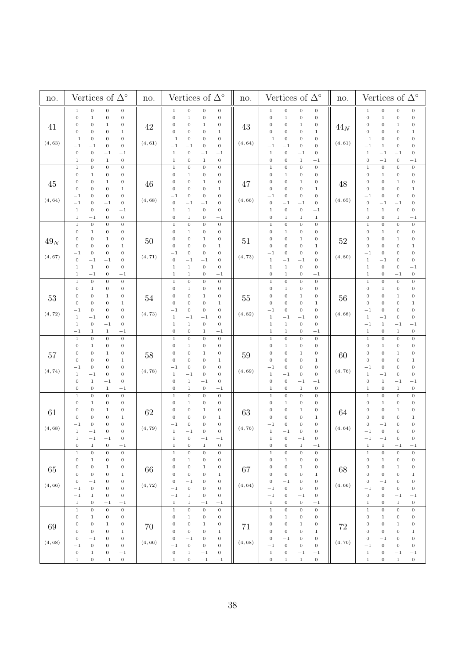| no.               | Vertices of $\Delta^{\circ}$<br>no.                                                                                                                                                                                                                                                                                                                                                                                                                                                                                      |                   | Vertices of $\Delta^{\circ}$                                                                                                                                                                                                                                                                                                                                                                                                                                                                 | no.           |                                                                                                                                                                                                                                                                                                                                                                                                                                                                                               | no.               | Vertices of $\Delta^\circ$                                                                                                                                                                                                                                                                                                                                                                                                                                                                                                      |  |
|-------------------|--------------------------------------------------------------------------------------------------------------------------------------------------------------------------------------------------------------------------------------------------------------------------------------------------------------------------------------------------------------------------------------------------------------------------------------------------------------------------------------------------------------------------|-------------------|----------------------------------------------------------------------------------------------------------------------------------------------------------------------------------------------------------------------------------------------------------------------------------------------------------------------------------------------------------------------------------------------------------------------------------------------------------------------------------------------|---------------|-----------------------------------------------------------------------------------------------------------------------------------------------------------------------------------------------------------------------------------------------------------------------------------------------------------------------------------------------------------------------------------------------------------------------------------------------------------------------------------------------|-------------------|---------------------------------------------------------------------------------------------------------------------------------------------------------------------------------------------------------------------------------------------------------------------------------------------------------------------------------------------------------------------------------------------------------------------------------------------------------------------------------------------------------------------------------|--|
| 41<br>(4, 63)     | $\,0$<br>$1\,$<br>$\boldsymbol{0}$<br>$\boldsymbol{0}$<br>$\,0\,$<br>$\,1\,$<br>$\boldsymbol{0}$<br>$\boldsymbol{0}$<br>$\boldsymbol{0}$<br>$\boldsymbol{0}$<br>$\boldsymbol{0}$<br>$\mathbf 1$<br>$\mathbf 0$<br>$\boldsymbol{0}$<br>$\boldsymbol{0}$<br>$\mathbf 1$<br>$\boldsymbol{0}$<br>$\boldsymbol{0}$<br>$\boldsymbol{0}$<br>$^{-1}$<br>$\boldsymbol{0}$<br>$^{-1}$<br>$^{-1}$<br>$\boldsymbol{0}$<br>$\,0\,$<br>$\boldsymbol{0}$<br>$^{-1}$<br>$^{-1}$<br>$\,0\,$<br>$\boldsymbol{0}$<br>$1\,$<br>$\,1$         | 42<br>(4, 61)     | $\boldsymbol{0}$<br>$\boldsymbol{0}$<br>$\boldsymbol{0}$<br>$\,1$<br>$\boldsymbol{0}$<br>$\mathbf 1$<br>$\boldsymbol{0}$<br>$\,0\,$<br>$\boldsymbol{0}$<br>0<br>$\boldsymbol{0}$<br>$\,1$<br>$\boldsymbol{0}$<br>$\boldsymbol{0}$<br>$\boldsymbol{0}$<br>$\mathbf{1}$<br>$\,0\,$<br>$\boldsymbol{0}$<br>0<br>$^{-1}$<br>$\,0\,$<br>$\,0\,$<br>$^{-1}$<br>$^{-1}$<br>$\boldsymbol{0}$<br>$^{-1}$<br>$^{-1}$<br>1<br>$\boldsymbol{0}$<br>$\,0\,$<br>$\,1$<br>$\,1$                             | 43<br>(4, 64) | $\,0$<br>$\,0\,$<br>$\boldsymbol{0}$<br>$1\,$<br>$\boldsymbol{0}$<br>$\boldsymbol{0}$<br>$\mathbf 1$<br>$\,0\,$<br>$\,0$<br>$\boldsymbol{0}$<br>0<br>$\mathbf{1}$<br>$\,1\,$<br>$\boldsymbol{0}$<br>$\boldsymbol{0}$<br>$\boldsymbol{0}$<br>$\boldsymbol{0}$<br>$\boldsymbol{0}$<br>$\boldsymbol{0}$<br>$^{-1}$<br>$\boldsymbol{0}$<br>$^{-1}$<br>$^{-1}$<br>$\boldsymbol{0}$<br>$\,1\,$<br>$\boldsymbol{0}$<br>$\,0\,$<br>$^{-1}$<br>$\boldsymbol{0}$<br>$\boldsymbol{0}$<br>$-1$<br>$\,1$   | $44_N$<br>(4, 61) | $\boldsymbol{0}$<br>$1\,$<br>$\boldsymbol{0}$<br>$\boldsymbol{0}$<br>$\boldsymbol{0}$<br>$\,1\,$<br>$\,0\,$<br>$\,0$<br>$\mathbf 0$<br>$\boldsymbol{0}$<br>0<br>$\mathbf{1}$<br>$\boldsymbol{0}$<br>$\boldsymbol{0}$<br>$\boldsymbol{0}$<br>$\mathbf 1$<br>$\boldsymbol{0}$<br>$\mathbf 0$<br>$^{-1}$<br>$\boldsymbol{0}$<br>$-1$<br>$\,1\,$<br>$\,0\,$<br>$\boldsymbol{0}$<br>$\,1\,$<br>$^{-1}$<br>$\boldsymbol{0}$<br>$^{-1}$<br>$\boldsymbol{0}$<br>$\boldsymbol{0}$<br>$^{-1}$<br>$^{-1}$                                  |  |
| 45<br>(4, 64)     | $\,0\,$<br>$\boldsymbol{0}$<br>$\boldsymbol{0}$<br>$\,1\,$<br>$\boldsymbol{0}$<br>$\boldsymbol{0}$<br>$\boldsymbol{0}$<br>$1\,$<br>$\boldsymbol{0}$<br>$\boldsymbol{0}$<br>$\boldsymbol{0}$<br>$\mathbf 1$<br>$\boldsymbol{0}$<br>$\boldsymbol{0}$<br>$\boldsymbol{0}$<br>$\mathbf 1$<br>$\boldsymbol{0}$<br>$\boldsymbol{0}$<br>$\boldsymbol{0}$<br>$^{-1}$<br>$\,0$<br>$\boldsymbol{0}$<br>$^{-1}$<br>$^{-1}$<br>$\,0\,$<br>$\,0\,$<br>$\mathbf{1}$<br>$^{-1}$<br>$\boldsymbol{0}$<br>$\,0$<br>$\mathbf{1}$<br>$^{-1}$ | 46<br>(4, 68)     | $\boldsymbol{0}$<br>$\,0$<br>$\,1\,$<br>$\boldsymbol{0}$<br>$\boldsymbol{0}$<br>$\,0$<br>$\,1$<br>0<br>$\mathbf 0$<br>0<br>$\,1$<br>$\boldsymbol{0}$<br>$\boldsymbol{0}$<br>$\boldsymbol{0}$<br>$\boldsymbol{0}$<br>$\,1$<br>$\boldsymbol{0}$<br>$\boldsymbol{0}$<br>0<br>$^{-1}$<br>$\boldsymbol{0}$<br>$\boldsymbol{0}$<br>$^{-1}$<br>$^{-1}$<br>$\mathbf{1}$<br>$\boldsymbol{0}$<br>$\boldsymbol{0}$<br>1<br>$\boldsymbol{0}$<br>$\,1$<br>$\boldsymbol{0}$<br>$^{-1}$                     | 47<br>(4, 66) | $\,0\,$<br>$\,0\,$<br>$\,1$<br>$\boldsymbol{0}$<br>$\boldsymbol{0}$<br>$\boldsymbol{0}$<br>$\,1$<br>$\boldsymbol{0}$<br>$\boldsymbol{0}$<br>$\boldsymbol{0}$<br>0<br>$\mathbf{1}$<br>$\boldsymbol{0}$<br>$\,1$<br>$\boldsymbol{0}$<br>$\boldsymbol{0}$<br>$\boldsymbol{0}$<br>$\boldsymbol{0}$<br>$^{-1}$<br>$\boldsymbol{0}$<br>$\,0\,$<br>$\boldsymbol{0}$<br>$^{-1}$<br>$^{-1}$<br>$\boldsymbol{0}$<br>$\,0\,$<br>$\,1$<br>$^{-1}$<br>$\boldsymbol{0}$<br>$\,1\,$<br>$\,1$<br>$\mathbf{1}$ | 48<br>(4, 65)     | $\,0\,$<br>$\,0\,$<br>$\,0\,$<br>$\mathbf 1$<br>$\,1\,$<br>$\boldsymbol{0}$<br>$\boldsymbol{0}$<br>$\boldsymbol{0}$<br>$\boldsymbol{0}$<br>$\boldsymbol{0}$<br>$\boldsymbol{0}$<br>$\mathbf{1}$<br>$\,0\,$<br>$\boldsymbol{0}$<br>$\boldsymbol{0}$<br>1<br>$\boldsymbol{0}$<br>$\mathbf 0$<br>$\boldsymbol{0}$<br>$^{-1}$<br>$\mathbf{0}$<br>$\boldsymbol{0}$<br>$^{-1}$<br>$^{-1}$<br>$\,1\,$<br>$\,0\,$<br>$\boldsymbol{0}$<br>$\,1$<br>$\boldsymbol{0}$<br>$\,1\,$<br>$\boldsymbol{0}$<br>$^{-1}$                            |  |
| $49_N$<br>(4, 67) | $\,0$<br>$\,0$<br>$\,1\,$<br>$\,0\,$<br>$\boldsymbol{0}$<br>$\boldsymbol{0}$<br>$\boldsymbol{0}$<br>$\,1$<br>$\mathbf 0$<br>$\boldsymbol{0}$<br>$\boldsymbol{0}$<br>$\mathbf 1$<br>$\boldsymbol{0}$<br>$\,0\,$<br>$\boldsymbol{0}$<br>$\,1$<br>$^{-1}$<br>$\boldsymbol{0}$<br>$\boldsymbol{0}$<br>$\boldsymbol{0}$<br>$\boldsymbol{0}$<br>$\boldsymbol{0}$<br>$^{-1}$<br>$^{-1}$<br>$\,0\,$<br>$\,1$<br>$\boldsymbol{0}$<br>$1\,$<br>$\,0$<br>$- \, 1$<br>$1\,$<br>$^{-1}$                                               | $50\,$<br>(4, 71) | $\,0\,$<br>$\,0$<br>$\mathbf 1$<br>$\boldsymbol{0}$<br>$\boldsymbol{0}$<br>$\,0$<br>$\boldsymbol{0}$<br>$\,1$<br>$\boldsymbol{0}$<br>$\boldsymbol{0}$<br>$\mathbf 1$<br>$\boldsymbol{0}$<br>$\boldsymbol{0}$<br>$\boldsymbol{0}$<br>$\boldsymbol{0}$<br>$\,1$<br>$\boldsymbol{0}$<br>$\boldsymbol{0}$<br>$\boldsymbol{0}$<br>$^{-1}$<br>$\boldsymbol{0}$<br>$\,0\,$<br>$^{-1}$<br>$^{-1}$<br>$\,0\,$<br>$\,0\,$<br>$\,1$<br>$\,1$<br>$-1$<br>$\,1$<br>$\,1$<br>0                             | 51<br>(4, 73) | $\boldsymbol{0}$<br>$\,1$<br>$\,0\,$<br>$\,0\,$<br>$\boldsymbol{0}$<br>$\boldsymbol{0}$<br>$\,1$<br>$\boldsymbol{0}$<br>0<br>$\boldsymbol{0}$<br>$\boldsymbol{0}$<br>1<br>$\boldsymbol{0}$<br>$\boldsymbol{0}$<br>$\,1\,$<br>$\boldsymbol{0}$<br>$\boldsymbol{0}$<br>$\boldsymbol{0}$<br>$^{-1}$<br>$\boldsymbol{0}$<br>$\,1\,$<br>$\boldsymbol{0}$<br>$^{-1}$<br>$^{-1}$<br>$\,1\,$<br>$\,1\,$<br>$\,0\,$<br>$\boldsymbol{0}$<br>$\boldsymbol{0}$<br>$\,1\,$<br>$- \, 1$<br>$\boldsymbol{0}$ | 52<br>(4, 80)     | $\boldsymbol{0}$<br>$\boldsymbol{0}$<br>$\mathbf 1$<br>$\boldsymbol{0}$<br>$\boldsymbol{0}$<br>$\,0\,$<br>$\boldsymbol{0}$<br>$\,1$<br>$\boldsymbol{0}$<br>$\boldsymbol{0}$<br>$\mathbf{1}$<br>$\boldsymbol{0}$<br>$\boldsymbol{0}$<br>$\boldsymbol{0}$<br>$\boldsymbol{0}$<br>$\mathbf 1$<br>$\,0\,$<br>$\mathbf 0$<br>$^{-1}$<br>$\boldsymbol{0}$<br>$\,1\,$<br>$\,0\,$<br>$\boldsymbol{0}$<br>$^{-1}$<br>$\,1\,$<br>$\boldsymbol{0}$<br>$\boldsymbol{0}$<br>$^{-1}$<br>$\mathbf 1$<br>$\boldsymbol{0}$<br>$\,0\,$<br>$^{-1}$ |  |
| 53<br>(4, 72)     | $\boldsymbol{0}$<br>$\,0$<br>$\,1\,$<br>$\,0\,$<br>$\boldsymbol{0}$<br>$\boldsymbol{0}$<br>$\boldsymbol{0}$<br>$\,1$<br>$\boldsymbol{0}$<br>$\boldsymbol{0}$<br>$\boldsymbol{0}$<br>$\,1$<br>$\boldsymbol{0}$<br>$\boldsymbol{0}$<br>$\mathbf 1$<br>$\boldsymbol{0}$<br>$\boldsymbol{0}$<br>$\boldsymbol{0}$<br>$\boldsymbol{0}$<br>$^{-1}$<br>$\mathbf 0$<br>$\,1\,$<br>$- \, 1$<br>$\boldsymbol{0}$<br>$\,0\,$<br>$\boldsymbol{0}$<br>$\,1\,$<br>$^{-1}$<br>$-1$<br>$\,1$<br>$\,1$<br>$^{-1}$                          | $54\,$<br>(4, 73) | $\,0$<br>$\,0\,$<br>$\,0\,$<br>$\,1\,$<br>$\,0\,$<br>$\boldsymbol{0}$<br>$\mathbf 1$<br>$\boldsymbol{0}$<br>$\boldsymbol{0}$<br>$\boldsymbol{0}$<br>$\,1$<br>$\boldsymbol{0}$<br>$\boldsymbol{0}$<br>$\boldsymbol{0}$<br>$\boldsymbol{0}$<br>$\,1$<br>$\boldsymbol{0}$<br>$\boldsymbol{0}$<br>$\,0$<br>$^{-1}$<br>$\boldsymbol{0}$<br>$\,1$<br>$^{-1}$<br>$^{-1}$<br>$\,1$<br>$\,0\,$<br>$\,0\,$<br>$\,1$<br>$\boldsymbol{0}$<br>$\boldsymbol{0}$<br>$-1$<br>$\,1$                           | 55<br>(4, 82) | $\,0\,$<br>$\,1$<br>$\,0$<br>$\,0\,$<br>$\boldsymbol{0}$<br>0<br>$\,1$<br>$\boldsymbol{0}$<br>$\,0$<br>0<br>0<br>$\mathbf{1}$<br>$\boldsymbol{0}$<br>$\,0\,$<br>$\,1\,$<br>0<br>$\,0$<br>$\boldsymbol{0}$<br>$^{-1}$<br>$\boldsymbol{0}$<br>$\boldsymbol{0}$<br>$\,1\,$<br>$^{-1}$<br>$^{-1}$<br>$\,0\,$<br>$1\,$<br>$\mathbf 1$<br>$\,0\,$<br>$\,1$<br>$\mathbf 1$<br>$^{-1}$<br>$\boldsymbol{0}$                                                                                            | 56<br>(4, 68)     | $\boldsymbol{0}$<br>$\,1\,$<br>$\boldsymbol{0}$<br>$\,0$<br>$\boldsymbol{0}$<br>$\boldsymbol{0}$<br>$\mathbf{1}$<br>$\boldsymbol{0}$<br>$\boldsymbol{0}$<br>$\boldsymbol{0}$<br>$\boldsymbol{0}$<br>$\mathbf{1}$<br>$\boldsymbol{0}$<br>$\boldsymbol{0}$<br>$\mathbf 1$<br>$\boldsymbol{0}$<br>$\boldsymbol{0}$<br>$\boldsymbol{0}$<br>$\,0\,$<br>$^{-1}$<br>$\,1\,$<br>$\boldsymbol{0}$<br>$-1$<br>$\boldsymbol{0}$<br>$\,1\,$<br>$^{-1}$<br>$^{-1}$<br>$^{-1}$<br>$\,1\,$<br>$\,0\,$<br>$\mathbf 1$<br>$\boldsymbol{0}$       |  |
| $57\,$<br>(4, 74) | $\boldsymbol{0}$<br>$\mathbf 0$<br>$\boldsymbol{0}$<br>$\,1\,$<br>$\boldsymbol{0}$<br>$\boldsymbol{0}$<br>$\boldsymbol{0}$<br>$1\,$<br>$\boldsymbol{0}$<br>$\boldsymbol{0}$<br>$\boldsymbol{0}$<br>$\,1$<br>$\boldsymbol{0}$<br>$\,0\,$<br>$\boldsymbol{0}$<br>$\mathbf 1$<br>$\,0$<br>$\boldsymbol{0}$<br>$\boldsymbol{0}$<br>$^{-1}$<br>$\boldsymbol{0}$<br>$\,1\,$<br>$\boldsymbol{0}$<br>$^{-1}$<br>$\boldsymbol{0}$<br>$\boldsymbol{0}$<br>$\,1$<br>$^{-1}$<br>$\boldsymbol{0}$<br>$\,0\,$<br>$\,1$<br>$^{-1}$      | 58<br>(4, 78)     | $\boldsymbol{0}$<br>$\,1\,$<br>$\boldsymbol{0}$<br>$\,0$<br>$\boldsymbol{0}$<br>$\,0$<br>$\boldsymbol{0}$<br>1<br>$\boldsymbol{0}$<br>$\boldsymbol{0}$<br>$\,1$<br>$\boldsymbol{0}$<br>$\boldsymbol{0}$<br>$\boldsymbol{0}$<br>0<br>$\,1$<br>$\,0$<br>$\boldsymbol{0}$<br>0<br>$^{-1}$<br>$\boldsymbol{0}$<br>$\,1$<br>$\boldsymbol{0}$<br>$^{-1}$<br>$\boldsymbol{0}$<br>$\,0\,$<br>$\,1$<br>$^{-1}$<br>$\boldsymbol{0}$<br>$\mathbf 1$<br>$\boldsymbol{0}$<br>$^{-1}$                      | 59<br>(4, 69) | $\boldsymbol{0}$<br>$\,1$<br>$\boldsymbol{0}$<br>$\boldsymbol{0}$<br>$\boldsymbol{0}$<br>0<br>$\boldsymbol{0}$<br>1<br>$\,0\,$<br>$\boldsymbol{0}$<br>0<br>$\mathbf 1$<br>$\boldsymbol{0}$<br>$\,1$<br>0<br>$\boldsymbol{0}$<br>$\,0\,$<br>$\,0\,$<br>$\boldsymbol{0}$<br>$^{-1}$<br>$\boldsymbol{0}$<br>$\,1$<br>$\boldsymbol{0}$<br>$^{-1}$<br>$\boldsymbol{0}$<br>$\boldsymbol{0}$<br>$^{-1}$<br>$^{-1}$<br>$\,0\,$<br>$\,0\,$<br>$\,1$<br>$\,1$                                           | 60<br>(4, 76)     | $\mathbf 0$<br>$\boldsymbol{0}$<br>$\,1\,$<br>$\boldsymbol{0}$<br>$\boldsymbol{0}$<br>$\boldsymbol{0}$<br>$\,1$<br>$\boldsymbol{0}$<br>$\boldsymbol{0}$<br>$\mathbf{0}$<br>$\boldsymbol{0}$<br>$\mathbf{1}$<br>$\boldsymbol{0}$<br>$\boldsymbol{0}$<br>$\boldsymbol{0}$<br>1<br>$\mathbf{0}$<br>$\,0\,$<br>$\mathbf 0$<br>$^{-1}$<br>$\mathbf 1$<br>$\,0\,$<br>$\boldsymbol{0}$<br>$^{-1}$<br>$\,1$<br>$\boldsymbol{0}$<br>$^{-1}$<br>$^{-1}$<br>$\boldsymbol{0}$<br>$\,1\,$<br>$\,0\,$<br>$\,1$                                |  |
| 61<br>(4, 68)     | $\,1\,$<br>$\boldsymbol{0}$<br>$\,0$<br>$\,0\,$<br>$\boldsymbol{0}$<br>$\boldsymbol{0}$<br>$\boldsymbol{0}$<br>$\,1$<br>$\boldsymbol{0}$<br>$\boldsymbol{0}$<br>$\boldsymbol{0}$<br>$\,1$<br>$\boldsymbol{0}$<br>$\,0\,$<br>$\boldsymbol{0}$<br>$\mathbf 1$<br>$\,0$<br>$\boldsymbol{0}$<br>$\boldsymbol{0}$<br>$^{-1}$<br>$\mathbf 0$<br>$\mathbf 0$<br>$\,1\,$<br>$^{-1}$<br>$-1$<br>$\boldsymbol{0}$<br>$^{-1}$<br>$\mathbf{1}$<br>$\,0\,$<br>$\,0\,$<br>$-{\bf 1}$<br>$\,1$                                          | 62<br>(4, 79)     | $\,1\,$<br>$\boldsymbol{0}$<br>$\,0\,$<br>$\,0\,$<br>$\boldsymbol{0}$<br>$\boldsymbol{0}$<br>0<br>$\mathbf{1}$<br>$\boldsymbol{0}$<br>$\boldsymbol{0}$<br>$\,1$<br>$\boldsymbol{0}$<br>$\boldsymbol{0}$<br>$\boldsymbol{0}$<br>$\boldsymbol{0}$<br>$\,$ 1<br>$\boldsymbol{0}$<br>$\,0\,$<br>$-1$<br>$\boldsymbol{0}$<br>$\boldsymbol{0}$<br>$\boldsymbol{0}$<br>$\,1$<br>$^{-1}$<br>$\boldsymbol{0}$<br>$- \, 1$<br>$-1$<br>$\,1$<br>$\,0\,$<br>$\,1\,$<br>$\boldsymbol{0}$<br>$\,1$         | 63<br>(4, 76) | $\,1\,$<br>$\,0\,$<br>$\boldsymbol{0}$<br>$\,0$<br>$\boldsymbol{0}$<br>$\,1$<br>$\boldsymbol{0}$<br>$\boldsymbol{0}$<br>$\boldsymbol{0}$<br>0<br>$\boldsymbol{0}$<br>$\mathbf 1$<br>$\,1\,$<br>0<br>$\boldsymbol{0}$<br>$\boldsymbol{0}$<br>$\boldsymbol{0}$<br>$\boldsymbol{0}$<br>$\boldsymbol{0}$<br>$^{-1}$<br>$\boldsymbol{0}$<br>$\,1$<br>$^{-1}$<br>$\boldsymbol{0}$<br>$\boldsymbol{0}$<br>$^{-1}$<br>$\boldsymbol{0}$<br>$\mathbf 1$<br>$\,0\,$<br>$\,0\,$<br>$\mathbf{1}$<br>$-1$   | 64<br>(4, 64)     | $\,1\,$<br>$\boldsymbol{0}$<br>$\,0\,$<br>$\boldsymbol{0}$<br>$\boldsymbol{0}$<br>$\boldsymbol{0}$<br>$\,1$<br>$\boldsymbol{0}$<br>$\boldsymbol{0}$<br>$\mathbf{1}$<br>$\boldsymbol{0}$<br>0<br>$\boldsymbol{0}$<br>$\boldsymbol{0}$<br>0<br>1<br>$\boldsymbol{0}$<br>$\boldsymbol{0}$<br>0<br>$^{-1}$<br>$\boldsymbol{0}$<br>$\boldsymbol{0}$<br>$\mathbf 0$<br>$^{-1}$<br>$\boldsymbol{0}$<br>$\overline{0}$<br>$^{-1}$<br>$^{-1}$<br>$\,1\,$<br>$- \, 1$<br>$\,1$<br>$^{-1}$                                                 |  |
| 65<br>(4, 66)     | $\boldsymbol{0}$<br>$\,1\,$<br>$\,0\,$<br>$\,0\,$<br>$\boldsymbol{0}$<br>$\,1$<br>$\,0\,$<br>$\boldsymbol{0}$<br>$\boldsymbol{0}$<br>$\boldsymbol{0}$<br>$\boldsymbol{0}$<br>$\,1$<br>$\boldsymbol{0}$<br>$\,0\,$<br>$\boldsymbol{0}$<br>$\,1$<br>$\boldsymbol{0}$<br>$\boldsymbol{0}$<br>$^{-1}$<br>$\boldsymbol{0}$<br>$\,0\,$<br>$\,0\,$<br>$\boldsymbol{0}$<br>$-1$<br>$-1$<br>$\,1$<br>$\,0\,$<br>$\boldsymbol{0}$<br>$\,1\,$<br>$\,0\,$<br>$-1$<br>$^{-1}$                                                         | 66<br>(4, 72)     | $\boldsymbol{0}$<br>$\,1$<br>$\boldsymbol{0}$<br>$\,0$<br>$\boldsymbol{0}$<br>$\,1$<br>$\,0\,$<br>$\,0\,$<br>$\boldsymbol{0}$<br>$\boldsymbol{0}$<br>$\boldsymbol{0}$<br>$\,1$<br>$\boldsymbol{0}$<br>$\,0\,$<br>$\,0\,$<br>$1\,$<br>$\boldsymbol{0}$<br>$\,0\,$<br>$-1$<br>$\boldsymbol{0}$<br>$\,0$<br>$- \, 1$<br>$\,0\,$<br>$\boldsymbol{0}$<br>$\,1\,$<br>$\,0\,$<br>$\,0\,$<br>$-1$<br>$\,1$<br>$-1$<br>$\,1$<br>$^{-1}$                                                               | 67<br>(4, 64) | $\,0\,$<br>$\,0\,$<br>$\,1\,$<br>$\boldsymbol{0}$<br>$\boldsymbol{0}$<br>$\,1$<br>$\boldsymbol{0}$<br>$\,0\,$<br>$\boldsymbol{0}$<br>$\boldsymbol{0}$<br>$\,1$<br>$\boldsymbol{0}$<br>$\boldsymbol{0}$<br>$\,1\,$<br>$\boldsymbol{0}$<br>$\boldsymbol{0}$<br>$\boldsymbol{0}$<br>$\boldsymbol{0}$<br>$^{-1}$<br>$\boldsymbol{0}$<br>$\,0\,$<br>$\,0\,$<br>$^{-1}$<br>$\boldsymbol{0}$<br>$\,0\,$<br>$-1$<br>$^{-1}$<br>$\boldsymbol{0}$<br>$\,1$<br>$\,0$<br>$\,0\,$<br>$-1$                  | 68<br>(4, 66)     | $\,0\,$<br>$\boldsymbol{0}$<br>$\,0\,$<br>$\,1\,$<br>$\,0\,$<br>$\,0\,$<br>$\boldsymbol{0}$<br>$\,1\,$<br>$\boldsymbol{0}$<br>$\,1\,$<br>$\boldsymbol{0}$<br>$\boldsymbol{0}$<br>$\boldsymbol{0}$<br>$\,0\,$<br>$\boldsymbol{0}$<br>$\,1$<br>$\,0\,$<br>$\boldsymbol{0}$<br>$\boldsymbol{0}$<br>$^{-1}$<br>$\boldsymbol{0}$<br>$\,0\,$<br>$\,0\,$<br>$^{-1}$<br>$\boldsymbol{0}$<br>$-1$<br>$-1$<br>$\boldsymbol{0}$<br>$\,1\,$<br>$\mathbf 1$<br>$\,0\,$<br>$\boldsymbol{0}$                                                   |  |
| 69<br>(4, 68)     | $\,1\,$<br>$\,0\,$<br>$\boldsymbol{0}$<br>$\boldsymbol{0}$<br>$\boldsymbol{0}$<br>$\,0\,$<br>$\boldsymbol{0}$<br>$1\,$<br>$\boldsymbol{0}$<br>$\boldsymbol{0}$<br>$\boldsymbol{0}$<br>$\,1$<br>$\boldsymbol{0}$<br>$\,0\,$<br>$\boldsymbol{0}$<br>$\,1$<br>$\boldsymbol{0}$<br>$\boldsymbol{0}$<br>$\boldsymbol{0}$<br>$^{-1}$<br>$\boldsymbol{0}$<br>$\boldsymbol{0}$<br>$\boldsymbol{0}$<br>$^{-1}$<br>$\,0\,$<br>$\,1$<br>$\boldsymbol{0}$<br>$^{-1}$<br>$\,0$<br>$\,0$<br>$\mathbf{1}$<br>$^{-1}$                    | 70<br>(4, 66)     | $\boldsymbol{0}$<br>$\,0\,$<br>$\,1$<br>$\,0\,$<br>$\boldsymbol{0}$<br>$\,1$<br>0<br>$\boldsymbol{0}$<br>$\boldsymbol{0}$<br>$\boldsymbol{0}$<br>$\,1$<br>$\boldsymbol{0}$<br>$\boldsymbol{0}$<br>$\boldsymbol{0}$<br>$\boldsymbol{0}$<br>$\mathbf{1}$<br>$\boldsymbol{0}$<br>0<br>$\boldsymbol{0}$<br>$^{-1}$<br>$\boldsymbol{0}$<br>$\,0\,$<br>$\boldsymbol{0}$<br>$^{-1}$<br>$\,0\,$<br>$\mathbf{1}$<br>$\boldsymbol{0}$<br>$^{-1}$<br>$\mathbf{0}$<br>$\mathbf{1}$<br>$^{-1}$<br>$^{-1}$ | 71<br>(4, 68) | $\,0\,$<br>$\,0\,$<br>$\,1\,$<br>$\boldsymbol{0}$<br>$\boldsymbol{0}$<br>$\,1$<br>$\boldsymbol{0}$<br>0<br>$\boldsymbol{0}$<br>$\boldsymbol{0}$<br>$\boldsymbol{0}$<br>$\mathbf{1}$<br>$\boldsymbol{0}$<br>$\,0\,$<br>$\,0\,$<br>$\,1$<br>$\boldsymbol{0}$<br>$\boldsymbol{0}$<br>$\boldsymbol{0}$<br>$^{-1}$<br>$\boldsymbol{0}$<br>$\boldsymbol{0}$<br>$^{-1}$<br>$\boldsymbol{0}$<br>$1\,$<br>$\,0$<br>$^{-1}$<br>$^{-1}$<br>$\,0\,$<br>$\,0$<br>$\,1\,$<br>$\mathbf 1$                    | 72<br>(4, 70)     | $\,0\,$<br>$\boldsymbol{0}$<br>$\,0\,$<br>$\mathbf 1$<br>$\boldsymbol{0}$<br>$\,1\,$<br>$\boldsymbol{0}$<br>$\boldsymbol{0}$<br>$\mathbf{0}$<br>$\boldsymbol{0}$<br>$\boldsymbol{0}$<br>$\mathbf{1}$<br>$\boldsymbol{0}$<br>$\mathbf{0}$<br>$\,0\,$<br>$\mathbf 1$<br>$\,0\,$<br>$\boldsymbol{0}$<br>$\boldsymbol{0}$<br>$^{-1}$<br>$\mathbf{0}$<br>$\boldsymbol{0}$<br>$\boldsymbol{0}$<br>$^{-1}$<br>$\,1\,$<br>$\mathbf{0}$<br>$^{-1}$<br>$^{-1}$<br>$\,1\,$<br>$\boldsymbol{0}$<br>$\boldsymbol{0}$<br>$\,1$                |  |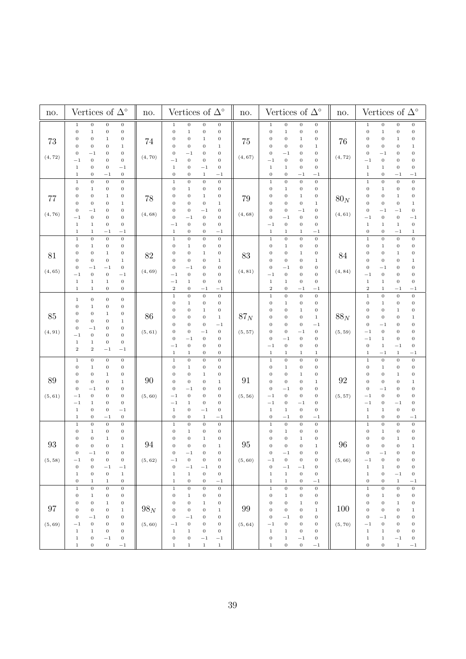| no.           | Vertices of $\Delta^\circ$                                                                                                                                                                                                                                                                                                                                                                                                                                                                                                                                                  | no.               | Vertices of $\Delta^{\circ}$                                                                                                                                                                                                                                                                                                                                                                                                                                                                                                                                                                                            | no.               | Vertices of $\Delta^\circ$                                                                                                                                                                                                                                                                                                                                                                                                                                                                                                                                                        | no.               | Vertices of $\Delta^\circ$                                                                                                                                                                                                                                                                                                                                                                                                                                                                                                                                                     |
|---------------|-----------------------------------------------------------------------------------------------------------------------------------------------------------------------------------------------------------------------------------------------------------------------------------------------------------------------------------------------------------------------------------------------------------------------------------------------------------------------------------------------------------------------------------------------------------------------------|-------------------|-------------------------------------------------------------------------------------------------------------------------------------------------------------------------------------------------------------------------------------------------------------------------------------------------------------------------------------------------------------------------------------------------------------------------------------------------------------------------------------------------------------------------------------------------------------------------------------------------------------------------|-------------------|-----------------------------------------------------------------------------------------------------------------------------------------------------------------------------------------------------------------------------------------------------------------------------------------------------------------------------------------------------------------------------------------------------------------------------------------------------------------------------------------------------------------------------------------------------------------------------------|-------------------|--------------------------------------------------------------------------------------------------------------------------------------------------------------------------------------------------------------------------------------------------------------------------------------------------------------------------------------------------------------------------------------------------------------------------------------------------------------------------------------------------------------------------------------------------------------------------------|
| 73<br>(4, 72) | $1\,$<br>$\,0\,$<br>$\,0$<br>$\,0\,$<br>$\boldsymbol{0}$<br>$\boldsymbol{0}$<br>$\boldsymbol{0}$<br>$\mathbf{1}$<br>0<br>$\boldsymbol{0}$<br>$\mathbf 1$<br>$\boldsymbol{0}$<br>$\,0\,$<br>$\boldsymbol{0}$<br>0<br>$\,1$<br>$\boldsymbol{0}$<br>$\boldsymbol{0}$<br>$\boldsymbol{0}$<br>$^{-1}$<br>$\boldsymbol{0}$<br>$^{-1}$<br>$\,0\,$<br>$\boldsymbol{0}$<br>$1\,$<br>$\,0\,$<br>$\,0\,$<br>$^{-1}$<br>$\,1\,$<br>$\boldsymbol{0}$<br>$\boldsymbol{0}$<br>$^{-1}$                                                                                                      | 74<br>(4, 70)     | $\,0$<br>$\,0\,$<br>$\,0$<br>$\,1$<br>$\boldsymbol{0}$<br>$\,1$<br>$\,0\,$<br>$\,0$<br>0<br>$\boldsymbol{0}$<br>$\,1$<br>$\boldsymbol{0}$<br>$\boldsymbol{0}$<br>$\boldsymbol{0}$<br>$\boldsymbol{0}$<br>$\,1$<br>$\boldsymbol{0}$<br>$\boldsymbol{0}$<br>$\boldsymbol{0}$<br>$^{-1}$<br>$\boldsymbol{0}$<br>$\,0\,$<br>$\boldsymbol{0}$<br>$^{-1}$<br>$\,1$<br>$\boldsymbol{0}$<br>$\boldsymbol{0}$<br>$^{-1}$<br>$\boldsymbol{0}$<br>0<br>1<br>$^{-1}$                                                                                                                                                                | 75<br>(4, 67)     | $\boldsymbol{0}$<br>$\,1$<br>$\,0\,$<br>$\,0\,$<br>$\boldsymbol{0}$<br>$\boldsymbol{0}$<br>$\,0\,$<br>$\,1$<br>$\boldsymbol{0}$<br>$\boldsymbol{0}$<br>$\,1$<br>0<br>$\,1\,$<br>$\mathbf{0}$<br>$\boldsymbol{0}$<br>$\boldsymbol{0}$<br>$\boldsymbol{0}$<br>$\mathbf{0}$<br>$\boldsymbol{0}$<br>$^{-1}$<br>$\,0$<br>$\boldsymbol{0}$<br>$\,0\,$<br>$^{-1}$<br>$\boldsymbol{0}$<br>$\,1$<br>$\,1$<br>$\mathbf{0}$<br>$\boldsymbol{0}$<br>$\boldsymbol{0}$<br>$^{-1}$<br>$^{-1}$                                                                                                    | 76<br>(4, 72)     | $\,1\,$<br>$\boldsymbol{0}$<br>$\boldsymbol{0}$<br>$\,0\,$<br>$\,0\,$<br>$\boldsymbol{0}$<br>$\,0\,$<br>$\,1$<br>$\boldsymbol{0}$<br>$\boldsymbol{0}$<br>$\boldsymbol{0}$<br>$\mathbf 1$<br>$\boldsymbol{0}$<br>$\boldsymbol{0}$<br>0<br>$\,1$<br>$\boldsymbol{0}$<br>$\boldsymbol{0}$<br>$^{-1}$<br>0<br>$\boldsymbol{0}$<br>$\boldsymbol{0}$<br>$^{-1}$<br>0<br>$\,1\,$<br>$\boldsymbol{0}$<br>$\,1$<br>0<br>$\,1\,$<br>$\mathbf 0$<br>$^{-1}$<br>$^{-1}$                                                                                                                    |
| 77<br>(4, 76) | $\,1\,$<br>$\,0\,$<br>$\,0\,$<br>$\,0\,$<br>$\boldsymbol{0}$<br>0<br>$\mathbf{1}$<br>$\boldsymbol{0}$<br>0<br>$\boldsymbol{0}$<br>$\mathbf 1$<br>$\boldsymbol{0}$<br>$\,0\,$<br>$\boldsymbol{0}$<br>0<br>$\,1$<br>$\boldsymbol{0}$<br>$\boldsymbol{0}$<br>$\boldsymbol{0}$<br>$^{-1}$<br>$\,0\,$<br>$\boldsymbol{0}$<br>$\boldsymbol{0}$<br>$^{-1}$<br>$\,1\,$<br>$\,0\,$<br>$\mathbf{1}$<br>$\boldsymbol{0}$<br>$\,1$<br>$1\,$<br>$- \, 1$<br>$^{-1}$                                                                                                                      | 78<br>(4, 68)     | $\,1$<br>$\boldsymbol{0}$<br>$\,0\,$<br>$\,0\,$<br>$\boldsymbol{0}$<br>$\,1$<br>$\boldsymbol{0}$<br>$\boldsymbol{0}$<br>0<br>$\boldsymbol{0}$<br>$\bf{0}$<br>$\mathbf{1}$<br>$\,0\,$<br>$\boldsymbol{0}$<br>$\boldsymbol{0}$<br>$\,1$<br>$\boldsymbol{0}$<br>$\boldsymbol{0}$<br>$\boldsymbol{0}$<br>$^{-1}$<br>$\boldsymbol{0}$<br>$\boldsymbol{0}$<br>$\boldsymbol{0}$<br>$^{-1}$<br>$\,0\,$<br>$\boldsymbol{0}$<br>$\boldsymbol{0}$<br>$^{-1}$<br>0<br>$\,1$<br>$\boldsymbol{0}$<br>$- \, 1$                                                                                                                         | 79<br>(4, 68)     | $\,0\,$<br>$\,0\,$<br>$\,0$<br>$\,1$<br>$\,0\,$<br>$\boldsymbol{0}$<br>$\boldsymbol{0}$<br>$\mathbf{1}$<br>$\boldsymbol{0}$<br>$\,1$<br>0<br>0<br>$\,0\,$<br>$\,1\,$<br>$\mathbf{0}$<br>$\boldsymbol{0}$<br>$\,0\,$<br>$\mathbf{0}$<br>$\boldsymbol{0}$<br>$^{-1}$<br>$\mathbf 0$<br>$\,0\,$<br>$\,0\,$<br>$^{-1}$<br>$\boldsymbol{0}$<br>$\boldsymbol{0}$<br>$\boldsymbol{0}$<br>$^{-1}$<br>$\,1$<br>$\,1$<br>$\mathbf{1}$<br>$^{-1}$                                                                                                                                            | $80_N$<br>(4, 61) | $\,1\,$<br>$\boldsymbol{0}$<br>$\boldsymbol{0}$<br>$\,0\,$<br>$\boldsymbol{0}$<br>$\boldsymbol{0}$<br>0<br>1<br>$\boldsymbol{0}$<br>$\boldsymbol{0}$<br>$\mathbf 1$<br>$\boldsymbol{0}$<br>$\boldsymbol{0}$<br>$\boldsymbol{0}$<br>$\boldsymbol{0}$<br>$\,1$<br>$\boldsymbol{0}$<br>$\boldsymbol{0}$<br>$^{-1}$<br>$^{-1}$<br>$\boldsymbol{0}$<br>$\boldsymbol{0}$<br>$^{-1}$<br>$^{-1}$<br>$\,1\,$<br>$\,1$<br>$\,0\,$<br>$1\,$<br>$\boldsymbol{0}$<br>$\boldsymbol{0}$<br>$^{-1}$<br>$\mathbf{1}$                                                                            |
| 81<br>(4, 65) | $\,0\,$<br>$\,0\,$<br>$\,1\,$<br>$\boldsymbol{0}$<br>$\boldsymbol{0}$<br>$\boldsymbol{0}$<br>0<br>$\mathbf 1$<br>$\mathbf 1$<br>$\boldsymbol{0}$<br>0<br>$\boldsymbol{0}$<br>$\,0\,$<br>$\boldsymbol{0}$<br>$\,1$<br>$\boldsymbol{0}$<br>$\boldsymbol{0}$<br>$^{-1}$<br>$^{-1}$<br>$\boldsymbol{0}$<br>$\,0$<br>$\boldsymbol{0}$<br>$- \, 1$<br>$^{-1}$<br>$\,1\,$<br>$\,1\,$<br>$\mathbf 1$<br>$\,0\,$<br>$\,1$<br>$\boldsymbol{0}$<br>$\,0\,$<br>$\,1$                                                                                                                    | 82<br>(4, 69)     | $\mathbf 1$<br>$\boldsymbol{0}$<br>$\,0\,$<br>$\boldsymbol{0}$<br>$\boldsymbol{0}$<br>$\boldsymbol{0}$<br>$\mathbf 1$<br>$\boldsymbol{0}$<br>$\boldsymbol{0}$<br>$\overline{0}$<br>$\boldsymbol{0}$<br>$\mathbf{1}$<br>$\boldsymbol{0}$<br>$\boldsymbol{0}$<br>$\boldsymbol{0}$<br>$\,1$<br>$\boldsymbol{0}$<br>$\boldsymbol{0}$<br>$\boldsymbol{0}$<br>$^{-1}$<br>$\boldsymbol{0}$<br>$\,0\,$<br>$\boldsymbol{0}$<br>$^{-1}$<br>$\mathbf 1$<br>$\,0\,$<br>$\boldsymbol{0}$<br>$^{-1}$<br>$\,2$<br>$\boldsymbol{0}$<br>$^{-1}$<br>$^{-1}$                                                                               | 83<br>(4, 81)     | $\boldsymbol{0}$<br>$\,0\,$<br>$\,0\,$<br>$\,1\,$<br>$\boldsymbol{0}$<br>$\boldsymbol{0}$<br>$\,1$<br>$\boldsymbol{0}$<br>$\boldsymbol{0}$<br>$\boldsymbol{0}$<br>$\boldsymbol{0}$<br>$\,1$<br>$\,1\,$<br>$\mathbf{0}$<br>$\boldsymbol{0}$<br>$\boldsymbol{0}$<br>$\boldsymbol{0}$<br>$\boldsymbol{0}$<br>$\boldsymbol{0}$<br>$^{-1}$<br>$\,0\,$<br>$\,0\,$<br>$^{-1}$<br>$\boldsymbol{0}$<br>$\,1\,$<br>$\,1$<br>$\boldsymbol{0}$<br>$\,0\,$<br>$\,2$<br>$\boldsymbol{0}$<br>$^{-1}$<br>$^{-1}$                                                                                  | 84<br>(4, 84)     | $\boldsymbol{0}$<br>$\mathbf 0$<br>$\,0\,$<br>$\,1\,$<br>$\boldsymbol{0}$<br>$\boldsymbol{0}$<br>$\,0\,$<br>$\,1$<br>$\boldsymbol{0}$<br>$\boldsymbol{0}$<br>$\boldsymbol{0}$<br>$\mathbf 1$<br>$\boldsymbol{0}$<br>$\boldsymbol{0}$<br>0<br>$\,1$<br>$- \, 1$<br>$\boldsymbol{0}$<br>$\boldsymbol{0}$<br>0<br>$\,0\,$<br>$\boldsymbol{0}$<br>$\boldsymbol{0}$<br>$^{-1}$<br>$\boldsymbol{0}$<br>$\,1\,$<br>$\boldsymbol{0}$<br>$\,1$<br>$\,2$<br>$\,1\,$<br>$^{-1}$<br>$^{-1}$                                                                                                |
| 85<br>(4, 91) | $\boldsymbol{0}$<br>$\mathbf{1}$<br>$\boldsymbol{0}$<br>$\boldsymbol{0}$<br>0<br>$\boldsymbol{0}$<br>$\boldsymbol{0}$<br>1<br>0<br>$\boldsymbol{0}$<br>$\mathbf 1$<br>$\boldsymbol{0}$<br>$\,0\,$<br>$\boldsymbol{0}$<br>$\boldsymbol{0}$<br>$\,1$<br>$\boldsymbol{0}$<br>$\,0\,$<br>0<br>$^{-1}$<br>$\,0\,$<br>$\boldsymbol{0}$<br>$\boldsymbol{0}$<br>$^{-1}$<br>$\,1\,$<br>$\boldsymbol{0}$<br>$\,0\,$<br>$\mathbf{1}$<br>$\,2$<br>$\,2$<br>$-{\bf 1}$<br>$^{-1}$                                                                                                        | 86<br>(5, 61)     | $\overline{0}$<br>$\,0\,$<br>$\mathbf 1$<br>$\,0$<br>$\boldsymbol{0}$<br>$\mathbf 1$<br>$\boldsymbol{0}$<br>$\boldsymbol{0}$<br>$\boldsymbol{0}$<br>$\boldsymbol{0}$<br>$\,1$<br>$\boldsymbol{0}$<br>$\,1\,$<br>$\boldsymbol{0}$<br>$\boldsymbol{0}$<br>$\boldsymbol{0}$<br>$\,0\,$<br>$\boldsymbol{0}$<br>$\boldsymbol{0}$<br>$^{-1}$<br>$\boldsymbol{0}$<br>$\boldsymbol{0}$<br>$\boldsymbol{0}$<br>$^{-1}$<br>$\boldsymbol{0}$<br>$\boldsymbol{0}$<br>$\boldsymbol{0}$<br>$^{-1}$<br>$\boldsymbol{0}$<br>$\boldsymbol{0}$<br>$\boldsymbol{0}$<br>$^{-1}$<br>$\mathbf 1$<br>$\boldsymbol{0}$<br>$\boldsymbol{0}$<br>1 | $87_N$<br>(5, 57) | $\overline{0}$<br>$\,0\,$<br>$\,1\,$<br>$\boldsymbol{0}$<br>$\boldsymbol{0}$<br>0<br>$\boldsymbol{0}$<br>1<br>$\boldsymbol{0}$<br>$\boldsymbol{0}$<br>$\boldsymbol{0}$<br>$\,1$<br>$\,1\,$<br>$\boldsymbol{0}$<br>$\boldsymbol{0}$<br>0<br>$\boldsymbol{0}$<br>$^{-1}$<br>$\mathbf{0}$<br>$\boldsymbol{0}$<br>$\,0\,$<br>$\boldsymbol{0}$<br>$\boldsymbol{0}$<br>$^{-1}$<br>$\boldsymbol{0}$<br>$\,0\,$<br>$\boldsymbol{0}$<br>$^{-1}$<br>$\boldsymbol{0}$<br>$\boldsymbol{0}$<br>$\boldsymbol{0}$<br>$^{-1}$<br>$\,1\,$<br>$\,1$<br>$\,1$<br>$\,1\,$                             | $88_N$<br>(5, 59) | $\overline{0}$<br>$\overline{0}$<br>$\mathbf 1$<br>$\,0\,$<br>$\boldsymbol{0}$<br>$\,0$<br>$\,0\,$<br>$\,1$<br>$\boldsymbol{0}$<br>$\boldsymbol{0}$<br>$\boldsymbol{0}$<br>1<br>$\boldsymbol{0}$<br>$\boldsymbol{0}$<br>0<br>$\,1$<br>$\boldsymbol{0}$<br>$\boldsymbol{0}$<br>$^{-1}$<br>0<br>$\boldsymbol{0}$<br>$\boldsymbol{0}$<br>0<br>$^{-1}$<br>$\boldsymbol{0}$<br>$\boldsymbol{0}$<br>$\,1$<br>$^{-1}$<br>$\boldsymbol{0}$<br>$-1$<br>$\boldsymbol{0}$<br>$1\,$<br>$\,1$<br>$\mathbf{1}$<br>$^{-1}$<br>$^{-1}$                                                         |
| 89<br>(5, 61) | $\,1\,$<br>$\,0\,$<br>$\,0\,$<br>$\,0\,$<br>$\boldsymbol{0}$<br>$\boldsymbol{0}$<br>$\boldsymbol{0}$<br>$\mathbf{1}$<br>0<br>$\boldsymbol{0}$<br>$\mathbf 1$<br>$\boldsymbol{0}$<br>$\,0\,$<br>$\boldsymbol{0}$<br>0<br>$\,1$<br>$\boldsymbol{0}$<br>$^{-1}$<br>$\boldsymbol{0}$<br>$\boldsymbol{0}$<br>$\boldsymbol{0}$<br>$\,0\,$<br>$\boldsymbol{0}$<br>$^{-1}$<br>$\boldsymbol{0}$<br>$^{-1}$<br>$\mathbf{1}$<br>$\boldsymbol{0}$<br>$\,0\,$<br>$\,0\,$<br>$\mathbf{1}$<br>$^{-1}$<br>$\,0\,$<br>$\,1$<br>$\boldsymbol{0}$<br>$^{-1}$                                   | 90<br>(5, 60)     | $\,1$<br>0<br>$\,0\,$<br>$\boldsymbol{0}$<br>$\boldsymbol{0}$<br>$\mathbf 1$<br>$\boldsymbol{0}$<br>$\boldsymbol{0}$<br>$\boldsymbol{0}$<br>$\boldsymbol{0}$<br>$\boldsymbol{0}$<br>$\mathbf{1}$<br>$\boldsymbol{0}$<br>$\boldsymbol{0}$<br>$\boldsymbol{0}$<br>$\mathbf 1$<br>$\boldsymbol{0}$<br>$\boldsymbol{0}$<br>$\boldsymbol{0}$<br>$^{-1}$<br>$\,0\,$<br>$\boldsymbol{0}$<br>$\boldsymbol{0}$<br>$^{-1}$<br>$\mathbf 1$<br>$\boldsymbol{0}$<br>$\boldsymbol{0}$<br>$^{-1}$<br>0<br>$\boldsymbol{0}$<br>1<br>$^{-1}$<br>$\boldsymbol{0}$<br>0<br>$1\,$<br>$^{-1}$                                                | 91<br>(5, 56)     | $\boldsymbol{0}$<br>$\boldsymbol{0}$<br>$\,1$<br>$\boldsymbol{0}$<br>$\mathbf 0$<br>$\boldsymbol{0}$<br>$\boldsymbol{0}$<br>$\mathbf{1}$<br>$\boldsymbol{0}$<br>$\mathbf{0}$<br>$\boldsymbol{0}$<br>$\mathbf{1}$<br>$\,1\,$<br>$\mathbf{0}$<br>$\boldsymbol{0}$<br>$\boldsymbol{0}$<br>$\,0\,$<br>0<br>$\boldsymbol{0}$<br>$^{-1}$<br>$\boldsymbol{0}$<br>$\boldsymbol{0}$<br>$\boldsymbol{0}$<br>$^{-1}$<br>$\,0\,$<br>$^{-1}$<br>$\boldsymbol{0}$<br>$^{-1}$<br>$\,1$<br>$\,0\,$<br>$\,0\,$<br>$\,1$<br>0<br>$^{-1}$<br>$\boldsymbol{0}$<br>$^{-1}$                             | 92<br>(5, 57)     | $\,1\,$<br>$\,0\,$<br>$\boldsymbol{0}$<br>$\,0\,$<br>$\boldsymbol{0}$<br>$\,0\,$<br>0<br>$\mathbf 1$<br>$\boldsymbol{0}$<br>$\boldsymbol{0}$<br>$\mathbf 1$<br>$\boldsymbol{0}$<br>$\boldsymbol{0}$<br>$\boldsymbol{0}$<br>0<br>$\mathbf{1}$<br>$\boldsymbol{0}$<br>$\boldsymbol{0}$<br>$^{-1}$<br>0<br>$\boldsymbol{0}$<br>0<br>$\boldsymbol{0}$<br>$^{-1}$<br>$\boldsymbol{0}$<br>$^{-1}$<br>$^{-1}$<br>$\boldsymbol{0}$<br>$\,1\,$<br>$\boldsymbol{0}$<br>$\boldsymbol{0}$<br>$\,1$<br>$\mathbf{1}$<br>$\boldsymbol{0}$<br>0<br>$^{-1}$                                     |
| 93<br>(5, 58) | $\boldsymbol{0}$<br>$\,1\,$<br>$\boldsymbol{0}$<br>$\boldsymbol{0}$<br>$\boldsymbol{0}$<br>0<br>$\boldsymbol{0}$<br>1<br>$\boldsymbol{0}$<br>0<br>$\boldsymbol{0}$<br>$\,1$<br>0<br>$\,0\,$<br>$\mathbf 0$<br>$\,1$<br>$\boldsymbol{0}$<br>$-1$<br>$\mathbf{0}$<br>$\boldsymbol{0}$<br>$^{-1}$<br>$\,0\,$<br>$\,0\,$<br>$\,0\,$<br>$\boldsymbol{0}$<br>$\,0\,$<br>$- \, 1$<br>$^{-1}$<br>$\,1\,$<br>$\,0\,$<br>$\,0\,$<br>$\,1$<br>$\mathbf{0}$<br>$\,0\,$<br>$\mathbf{1}$<br>$\,1$                                                                                         | 94<br>(5, 62)     | $\boldsymbol{0}$<br>$\,0\,$<br>$\,0\,$<br>$\,1$<br>$\boldsymbol{0}$<br>$\,1$<br>$\boldsymbol{0}$<br>$\boldsymbol{0}$<br>$\boldsymbol{0}$<br>0<br>$\boldsymbol{0}$<br>$\mathbf{1}$<br>$\boldsymbol{0}$<br>$\boldsymbol{0}$<br>$\,0\,$<br>$\,1\,$<br>$\mathbf{0}$<br>$\boldsymbol{0}$<br>$\boldsymbol{0}$<br>$^{-1}$<br>$\boldsymbol{0}$<br>$\,0\,$<br>$^{-1}$<br>$\boldsymbol{0}$<br>$\boldsymbol{0}$<br>$\boldsymbol{0}$<br>$-1$<br>$^{-1}$<br>$\,0\,$<br>$\,1$<br>$\,1$<br>$\boldsymbol{0}$<br>$\,1$<br>$\boldsymbol{0}$<br>$\boldsymbol{0}$<br>$^{-1}$                                                                | 95<br>(5, 60)     | $\mathbf 0$<br>$\boldsymbol{0}$<br>$\,0\,$<br>$\,1$<br>$\,0\,$<br>$\boldsymbol{0}$<br>$\boldsymbol{0}$<br>1<br>$\,0\,$<br>$\boldsymbol{0}$<br>$\boldsymbol{0}$<br>$\mathbf{1}$<br>$\boldsymbol{0}$<br>$\,1$<br>$\mathbf{0}$<br>$\boldsymbol{0}$<br>$\mathbf{0}$<br>$\overline{0}$<br>$^{-1}$<br>0<br>$\,0\,$<br>$\boldsymbol{0}$<br>$\,0\,$<br>$^{-1}$<br>$\,0\,$<br>$\,0\,$<br>$^{-1}$<br>$-1$<br>$\,1\,$<br>$\,1$<br>$\,0\,$<br>$\,0\,$<br>$-1$<br>$\mathbf{1}$<br>$\mathbf{1}$<br>$\boldsymbol{0}$                                                                             | 96<br>(5, 66)     | $\rm{O}$<br>$\boldsymbol{0}$<br>$\,0\,$<br>$\,1\,$<br>$\boldsymbol{0}$<br>$\boldsymbol{0}$<br>0<br>1<br>$\boldsymbol{0}$<br>$\boldsymbol{0}$<br>$\mathbf 1$<br>$\boldsymbol{0}$<br>$\boldsymbol{0}$<br>$\boldsymbol{0}$<br>$\boldsymbol{0}$<br>$\,1$<br>$\overline{0}$<br>$\mathbf{0}$<br>$-1$<br>$\mathbf{0}$<br>$\boldsymbol{0}$<br>$\boldsymbol{0}$<br>$^{-1}$<br>$\boldsymbol{0}$<br>$\boldsymbol{0}$<br>$\,1\,$<br>$\,1\,$<br>$\boldsymbol{0}$<br>$\,1\,$<br>$\boldsymbol{0}$<br>$- \, 1$<br>$\boldsymbol{0}$<br>$\boldsymbol{0}$<br>$1\,$<br>$\boldsymbol{0}$<br>$^{-1}$ |
| 97<br>(5, 69) | $\,1\,$<br>$\,0\,$<br>$\boldsymbol{0}$<br>$\boldsymbol{0}$<br>$\boldsymbol{0}$<br>$\boldsymbol{0}$<br>$\mathbf{1}$<br>$\boldsymbol{0}$<br>$\boldsymbol{0}$<br>$\boldsymbol{0}$<br>$\,1$<br>$\boldsymbol{0}$<br>$\boldsymbol{0}$<br>$\,0\,$<br>$\boldsymbol{0}$<br>$\,1$<br>$\boldsymbol{0}$<br>$\boldsymbol{0}$<br>$^{-1}$<br>$\boldsymbol{0}$<br>$\,0\,$<br>$\boldsymbol{0}$<br>$^{-1}$<br>$\boldsymbol{0}$<br>$\,1\,$<br>$\boldsymbol{0}$<br>$\boldsymbol{0}$<br>$\mathbf{1}$<br>$\,1\,$<br>$\,0\,$<br>$\boldsymbol{0}$<br>$^{-1}$<br>$\,0\,$<br>$1\,$<br>$\,0\,$<br>$-1$ | $98_N$<br>(5, 60) | $\,0\,$<br>$\,1$<br>$\boldsymbol{0}$<br>$\,0\,$<br>$\boldsymbol{0}$<br>$\mathbf 1$<br>$\boldsymbol{0}$<br>$\boldsymbol{0}$<br>$\boldsymbol{0}$<br>$\boldsymbol{0}$<br>$\,1$<br>$\boldsymbol{0}$<br>$\boldsymbol{0}$<br>$\boldsymbol{0}$<br>$\boldsymbol{0}$<br>$\,1$<br>$\boldsymbol{0}$<br>$\boldsymbol{0}$<br>$\boldsymbol{0}$<br>$^{-1}$<br>$\boldsymbol{0}$<br>$\boldsymbol{0}$<br>$\boldsymbol{0}$<br>$^{-1}$<br>$\,1\,$<br>$\,0\,$<br>$\,1$<br>$\boldsymbol{0}$<br>$\boldsymbol{0}$<br>$\boldsymbol{0}$<br>$-1$<br>$^{-1}$<br>$\,1$<br>$\,1\,$<br>$\,1$<br>$\,1$                                                  | 99<br>(5, 64)     | $\boldsymbol{0}$<br>$\,0\,$<br>$\,1$<br>$\boldsymbol{0}$<br>$\boldsymbol{0}$<br>$\,0\,$<br>$\,1$<br>$\boldsymbol{0}$<br>$\boldsymbol{0}$<br>$\boldsymbol{0}$<br>$\boldsymbol{0}$<br>$\,1$<br>$\boldsymbol{0}$<br>$\boldsymbol{0}$<br>$\,1\,$<br>$\boldsymbol{0}$<br>$\boldsymbol{0}$<br>$\,0\,$<br>$\boldsymbol{0}$<br>$^{-1}$<br>$\boldsymbol{0}$<br>$\boldsymbol{0}$<br>$\boldsymbol{0}$<br>$^{-1}$<br>$\boldsymbol{0}$<br>$\boldsymbol{0}$<br>$\,1$<br>$\,1$<br>$\boldsymbol{0}$<br>$-1$<br>$\boldsymbol{0}$<br>$\,1$<br>$\boldsymbol{0}$<br>$\,1$<br>$\boldsymbol{0}$<br>$-1$ | 100<br>(5, 70)    | $\boldsymbol{0}$<br>$\boldsymbol{0}$<br>$\,1$<br>$\,0\,$<br>$\boldsymbol{0}$<br>$\,0\,$<br>$\,1$<br>$\boldsymbol{0}$<br>$\boldsymbol{0}$<br>$\boldsymbol{0}$<br>$\boldsymbol{0}$<br>1<br>$\boldsymbol{0}$<br>$\boldsymbol{0}$<br>0<br>$\,1$<br>$\,0\,$<br>$^{-1}$<br>0<br>$\boldsymbol{0}$<br>$\boldsymbol{0}$<br>$^{-1}$<br>0<br>$\boldsymbol{0}$<br>$\boldsymbol{0}$<br>$\mathbf{1}$<br>$\,1$<br>$\boldsymbol{0}$<br>$\,1\,$<br>$- \, 1$<br>$\boldsymbol{0}$<br>$\,1$<br>$\boldsymbol{0}$<br>$\mathbf{0}$<br>$\,1$<br>$^{-1}$                                                |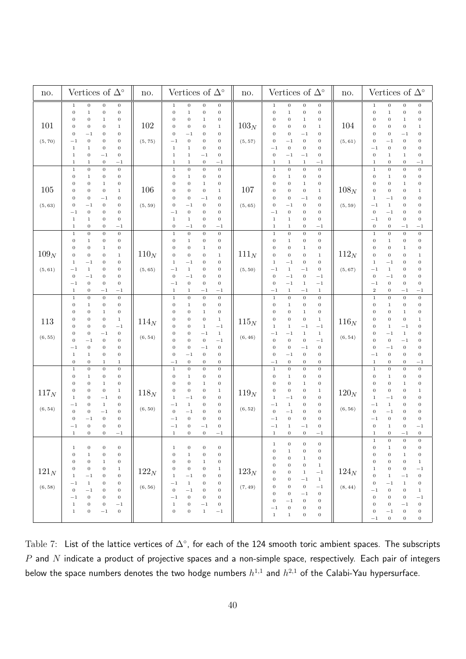| no.                         | Vertices of $\Delta^\circ$                                                                                                                                                                                                                                                                                                                                                                                                                                                                                                                        | no.                | Vertices of $\Delta^\circ$                                                                                                                                                                                                                                                                                                                                                                                                                                                                                                                                                                                                              | no.                | Vertices of $\Delta^\circ$                                                                                                                                                                                                                                                                                                                                                                                                                                                                                                                                                                                                                                                                                                                 | no.                | Vertices of $\Delta^\circ$                                                                                                                                                                                                                                                                                                                                                                                                                                                                                                                                                                                                                                                                                                                   |
|-----------------------------|---------------------------------------------------------------------------------------------------------------------------------------------------------------------------------------------------------------------------------------------------------------------------------------------------------------------------------------------------------------------------------------------------------------------------------------------------------------------------------------------------------------------------------------------------|--------------------|-----------------------------------------------------------------------------------------------------------------------------------------------------------------------------------------------------------------------------------------------------------------------------------------------------------------------------------------------------------------------------------------------------------------------------------------------------------------------------------------------------------------------------------------------------------------------------------------------------------------------------------------|--------------------|--------------------------------------------------------------------------------------------------------------------------------------------------------------------------------------------------------------------------------------------------------------------------------------------------------------------------------------------------------------------------------------------------------------------------------------------------------------------------------------------------------------------------------------------------------------------------------------------------------------------------------------------------------------------------------------------------------------------------------------------|--------------------|----------------------------------------------------------------------------------------------------------------------------------------------------------------------------------------------------------------------------------------------------------------------------------------------------------------------------------------------------------------------------------------------------------------------------------------------------------------------------------------------------------------------------------------------------------------------------------------------------------------------------------------------------------------------------------------------------------------------------------------------|
| 101<br>(5, 70)              | $\,0\,$<br>$\,0\,$<br>$\boldsymbol{0}$<br>$\,1$<br>$\,1\,$<br>$\,0\,$<br>$\,0\,$<br>$\,0\,$<br>$\mathbf 1$<br>$\boldsymbol{0}$<br>$\boldsymbol{0}$<br>$\boldsymbol{0}$<br>$\boldsymbol{0}$<br>$\,0\,$<br>0<br>$\,1$<br>$\boldsymbol{0}$<br>$\,0\,$<br>$\boldsymbol{0}$<br>$^{-1}$<br>$\,0\,$<br>0<br>$\,0\,$<br>$^{-1}$<br>$\,1\,$<br>$\,0\,$<br>$\,0\,$<br>$\,1$<br>$\boldsymbol{0}$<br>$-1$<br>$\,0\,$<br>$\,1$<br>$\,0\,$<br>$\,1\,$<br>$^{-1}$<br>$\mathbf 1$                                                                                 | 102<br>(5, 75)     | $\,0\,$<br>$\,0$<br>$\boldsymbol{0}$<br>$1\,$<br>$\boldsymbol{0}$<br>$\boldsymbol{0}$<br>$\,1$<br>$\boldsymbol{0}$<br>$\boldsymbol{0}$<br>$\,0\,$<br>$\boldsymbol{0}$<br>$\,1$<br>$\boldsymbol{0}$<br>$\,0\,$<br>$\boldsymbol{0}$<br>$\,1$<br>$\boldsymbol{0}$<br>$^{-1}$<br>$\boldsymbol{0}$<br>$\boldsymbol{0}$<br>$\,0\,$<br>$\boldsymbol{0}$<br>$\boldsymbol{0}$<br>$^{-1}$<br>$\,1\,$<br>$\,1\,$<br>$\boldsymbol{0}$<br>$\boldsymbol{0}$<br>$\,1$<br>$\,1\,$<br>$^{-1}$<br>$\,0\,$<br>$\,1$<br>$\mathbf 1$<br>$\,0\,$<br>$^{-1}$                                                                                                   | $103_N$<br>(5, 57) | $\,1\,$<br>$\,0$<br>$\boldsymbol{0}$<br>$\,0\,$<br>$\,0\,$<br>$\,0\,$<br>$\,0\,$<br>$1\,$<br>$\boldsymbol{0}$<br>0<br>0<br>$\mathbf 1$<br>$\boldsymbol{0}$<br>$\boldsymbol{0}$<br>$\,0\,$<br>$\,1\,$<br>$\boldsymbol{0}$<br>$\boldsymbol{0}$<br>$\boldsymbol{0}$<br>$^{-1}$<br>$\boldsymbol{0}$<br>$- \, 1$<br>$\,0\,$<br>$\boldsymbol{0}$<br>$\boldsymbol{0}$<br>$\,0\,$<br>$\boldsymbol{0}$<br>$^{-1}$<br>$\,0\,$<br>$-1$<br>$\boldsymbol{0}$<br>$^{-1}$<br>$\,1\,$<br>$\,1$<br>$\,1$<br>$^{-1}$                                                                                                                                                                                                                                         | 104<br>(5, 61)     | $\,0\,$<br>$\,0\,$<br>$\,1$<br>$\,0\,$<br>$\,0\,$<br>$\boldsymbol{0}$<br>$\mathbf 1$<br>$\,0\,$<br>$\,0\,$<br>0<br>$\boldsymbol{0}$<br>$\,1$<br>$\,0\,$<br>0<br>$\boldsymbol{0}$<br>$1\,$<br>$^{-1}$<br>$\,0\,$<br>$\boldsymbol{0}$<br>$\boldsymbol{0}$<br>$\,0\,$<br>$\,0\,$<br>$\boldsymbol{0}$<br>$^{-1}$<br>$\boldsymbol{0}$<br>$\boldsymbol{0}$<br>$\,0\,$<br>$^{-1}$<br>$\mathbf 1$<br>$\,1\,$<br>$\,0\,$<br>$\boldsymbol{0}$<br>$\boldsymbol{0}$<br>$\,0\,$<br>$\,1$<br>$^{-1}$                                                                                                                                                                                                                                                       |
| 105<br>(5, 63)              | $\boldsymbol{0}$<br>$\boldsymbol{0}$<br>$\boldsymbol{0}$<br>$\,1\,$<br>$\,1\,$<br>$\,0\,$<br>$\boldsymbol{0}$<br>$\boldsymbol{0}$<br>$\,1\,$<br>$\boldsymbol{0}$<br>$\boldsymbol{0}$<br>$\boldsymbol{0}$<br>$\,0\,$<br>$\,0\,$<br>$\,1$<br>$\boldsymbol{0}$<br>$\,0\,$<br>$-1$<br>$\,0\,$<br>$\boldsymbol{0}$<br>$-1$<br>$\,0\,$<br>$\,0\,$<br>$\boldsymbol{0}$<br>$\,0\,$<br>0<br>$\,0\,$<br>$^{-1}$<br>$\boldsymbol{0}$<br>$\,0\,$<br>$1\,$<br>$\,1$<br>$\,0\,$<br>0<br>$1\,$<br>$-1$                                                           | 106<br>(5, 59)     | $\boldsymbol{0}$<br>$\,1\,$<br>$\,0\,$<br>$\boldsymbol{0}$<br>$\,0\,$<br>$\,0\,$<br>$\,1$<br>$\boldsymbol{0}$<br>$\mathbf 0$<br>$\,0\,$<br>$\boldsymbol{0}$<br>$\mathbf{1}$<br>$\mathbf 0$<br>$\boldsymbol{0}$<br>$\boldsymbol{0}$<br>$\,1$<br>$\mathbf 0$<br>$\,0\,$<br>$^{-1}$<br>$\boldsymbol{0}$<br>$\boldsymbol{0}$<br>$^{-1}$<br>$\boldsymbol{0}$<br>$\boldsymbol{0}$<br>$\,0\,$<br>$\boldsymbol{0}$<br>$\boldsymbol{0}$<br>$^{-1}$<br>$\,1\,$<br>$\boldsymbol{0}$<br>$\mathbf{1}$<br>$\boldsymbol{0}$<br>$\boldsymbol{0}$<br>$\boldsymbol{0}$<br>$^{-1}$<br>$^{-1}$                                                              | 107<br>(5, 65)     | $\boldsymbol{0}$<br>$\,0\,$<br>$\,0\,$<br>$\,1\,$<br>$\boldsymbol{0}$<br>$\boldsymbol{0}$<br>$\,1$<br>$\boldsymbol{0}$<br>$\boldsymbol{0}$<br>$\boldsymbol{0}$<br>0<br>$\mathbf{1}$<br>$\boldsymbol{0}$<br>$\boldsymbol{0}$<br>$\,0\,$<br>$\,1\,$<br>$\boldsymbol{0}$<br>$\boldsymbol{0}$<br>$\boldsymbol{0}$<br>$^{-1}$<br>$\,0\,$<br>$\,0\,$<br>$\boldsymbol{0}$<br>$^{-1}$<br>$\boldsymbol{0}$<br>$\boldsymbol{0}$<br>$^{-1}$<br>$\boldsymbol{0}$<br>$\,1\,$<br>$\boldsymbol{0}$<br>$\boldsymbol{0}$<br>$\mathbf{1}$<br>$1\,$<br>$\,0$<br>$1\,$<br>$^{-1}$                                                                                                                                                                              | $108_N$<br>(5, 59) | $\,1\,$<br>$\boldsymbol{0}$<br>$\boldsymbol{0}$<br>$\boldsymbol{0}$<br>$\boldsymbol{0}$<br>$\boldsymbol{0}$<br>$\,1$<br>$\boldsymbol{0}$<br>$\boldsymbol{0}$<br>$\boldsymbol{0}$<br>$\boldsymbol{0}$<br>$\mathbf 1$<br>$\boldsymbol{0}$<br>0<br>$\boldsymbol{0}$<br>$1\,$<br>$\boldsymbol{0}$<br>$\,0\,$<br>$\,1$<br>$^{-1}$<br>$\,1\,$<br>$\boldsymbol{0}$<br>$\,0\,$<br>$^{-1}$<br>$\boldsymbol{0}$<br>$\boldsymbol{0}$<br>$\boldsymbol{0}$<br>$^{-1}$<br>$\boldsymbol{0}$<br>$\,0\,$<br>$\boldsymbol{0}$<br>$^{-1}$<br>$\boldsymbol{0}$<br>$\boldsymbol{0}$<br>$^{-1}$<br>$^{-1}$                                                                                                                                                         |
| 109 <sub>N</sub><br>(5, 61) | $\boldsymbol{0}$<br>$\,0\,$<br>$\,0\,$<br>$\,1$<br>$\boldsymbol{0}$<br>$\,1\,$<br>0<br>$\boldsymbol{0}$<br>$\boldsymbol{0}$<br>$\boldsymbol{0}$<br>$\,1$<br>$\boldsymbol{0}$<br>$\boldsymbol{0}$<br>$\mathbf 0$<br>$\,0\,$<br>$\,1$<br>0<br>$\,0\,$<br>$^{-1}$<br>1<br>$\,1\,$<br>0<br>$\,0\,$<br>$^{-1}$<br>$\boldsymbol{0}$<br>$-1$<br>0<br>$\,0\,$<br>$\,0\,$<br>$\,0\,$<br>$\boldsymbol{0}$<br>$^{-1}$<br>$\boldsymbol{0}$<br>$^{-1}$<br>$^{-1}$<br>1                                                                                         | $110_N$<br>(5, 65) | $\,1\,$<br>$\,0\,$<br>$\,0\,$<br>$\boldsymbol{0}$<br>$\boldsymbol{0}$<br>$\boldsymbol{0}$<br>$\,1$<br>$\boldsymbol{0}$<br>$\boldsymbol{0}$<br>$\,0\,$<br>$\,0$<br>$\mathbf{1}$<br>$\boldsymbol{0}$<br>$\,0\,$<br>$\boldsymbol{0}$<br>$\,1\,$<br>$^{-1}$<br>$\boldsymbol{0}$<br>$\boldsymbol{0}$<br>$\mathbf 1$<br>$\,1\,$<br>$\boldsymbol{0}$<br>$\,0$<br>$^{-1}$<br>$-1$<br>$\,0$<br>$\boldsymbol{0}$<br>$\boldsymbol{0}$<br>$\,0\,$<br>$\boldsymbol{0}$<br>$\boldsymbol{0}$<br>$^{-1}$<br>$1\,$<br>$\,1$<br>$^{-1}$<br>$^{-1}$                                                                                                        | $111_N$<br>(5, 50) | $\,0\,$<br>$\,1\,$<br>$\,0\,$<br>$\boldsymbol{0}$<br>$\boldsymbol{0}$<br>$\,0$<br>$\boldsymbol{0}$<br>$\mathbf{1}$<br>$\boldsymbol{0}$<br>$\boldsymbol{0}$<br>$\boldsymbol{0}$<br>$\mathbf{1}$<br>$\boldsymbol{0}$<br>$\,0\,$<br>$\boldsymbol{0}$<br>$\,1\,$<br>$\,1\,$<br>$^{-1}$<br>$\,0\,$<br>$\boldsymbol{0}$<br>$\,1\,$<br>$\,0\,$<br>$^{-1}$<br>$-{\bf 1}$<br>$\,0\,$<br>$\,0\,$<br>$^{-1}$<br>$^{-1}$<br>$\boldsymbol{0}$<br>$\,1$<br>$-1$<br>$^{-1}$<br>$\,1\,$<br>$^{-1}$<br>$1\,$<br>$^{-1}$                                                                                                                                                                                                                                     | $112_N$<br>(5, 67) | $\,0\,$<br>$\boldsymbol{0}$<br>$\,0\,$<br>$\,1$<br>$\boldsymbol{0}$<br>$\,0\,$<br>$\mathbf 1$<br>$\boldsymbol{0}$<br>0<br>$\boldsymbol{0}$<br>$1\,$<br>$\boldsymbol{0}$<br>0<br>$\boldsymbol{0}$<br>$\boldsymbol{0}$<br>$\mathbf{1}$<br>$\boldsymbol{0}$<br>$\,1$<br>$\boldsymbol{0}$<br>$^{-1}$<br>$\,1\,$<br>$\boldsymbol{0}$<br>$\boldsymbol{0}$<br>$^{-1}$<br>0<br>$^{-1}$<br>$\boldsymbol{0}$<br>$\boldsymbol{0}$<br>$\boldsymbol{0}$<br>$\,0\,$<br>$\,0\,$<br>$^{-1}$<br>$\,2$<br>$\boldsymbol{0}$<br>$^{-1}$<br>$^{-1}$                                                                                                                                                                                                               |
| 113<br>(6, 55)              | $\,0\,$<br>$\,0$<br>$\,0\,$<br>$\,1$<br>$\,0\,$<br>$\boldsymbol{0}$<br>$\boldsymbol{0}$<br>$\,1$<br>$\,1\,$<br>$\boldsymbol{0}$<br>$\boldsymbol{0}$<br>0<br>$\boldsymbol{0}$<br>$\boldsymbol{0}$<br>0<br>$\mathbf{1}$<br>$\,0\,$<br>$-1$<br>$\boldsymbol{0}$<br>$\boldsymbol{0}$<br>$\,0\,$<br>$-1$<br>$\,0\,$<br>$\boldsymbol{0}$<br>$\mathbf 0$<br>$\,0\,$<br>$^{-1}$<br>$\boldsymbol{0}$<br>$\,0\,$<br>0<br>$^{-1}$<br>$\boldsymbol{0}$<br>$\,1\,$<br>$\,0\,$<br>$\,0\,$<br>$1\,$<br>$\boldsymbol{0}$<br>$\boldsymbol{0}$<br>$\,1$<br>$\,1$    | $114_N$<br>(6, 54) | $\,0$<br>$\,1\,$<br>$\,0\,$<br>$\,0\,$<br>$\boldsymbol{0}$<br>$\,0$<br>$\boldsymbol{0}$<br>$\,1$<br>$\,0$<br>$\boldsymbol{0}$<br>$\boldsymbol{0}$<br>$\,1$<br>$\,0\,$<br>$\boldsymbol{0}$<br>$\,1$<br>$\boldsymbol{0}$<br>$- \, 1$<br>$\mathbf 0$<br>$\boldsymbol{0}$<br>$\,1\,$<br>$^{-1}$<br>$\,1$<br>$\boldsymbol{0}$<br>$\boldsymbol{0}$<br>$\boldsymbol{0}$<br>$\boldsymbol{0}$<br>$-1$<br>$\boldsymbol{0}$<br>$\boldsymbol{0}$<br>$\boldsymbol{0}$<br>$^{-1}$<br>$\boldsymbol{0}$<br>$\boldsymbol{0}$<br>$\boldsymbol{0}$<br>$\boldsymbol{0}$<br>$^{-1}$<br>$\,0\,$<br>$\boldsymbol{0}$<br>$^{-1}$<br>$\boldsymbol{0}$            | $115_N$<br>(6, 46) | $\boldsymbol{0}$<br>$\,0\,$<br>$\,0\,$<br>$\,1\,$<br>$\,0\,$<br>$\boldsymbol{0}$<br>$1\,$<br>$\boldsymbol{0}$<br>$\boldsymbol{0}$<br>$\boldsymbol{0}$<br>0<br>$\mathbf 1$<br>$\boldsymbol{0}$<br>$\boldsymbol{0}$<br>$\,0\,$<br>$\,1\,$<br>$\,1\,$<br>$- \, 1$<br>$\,1\,$<br>$^{-1}$<br>$\,1\,$<br>$^{-1}$<br>$^{-1}$<br>$\,1$<br>$\,0\,$<br>$- \, 1$<br>$\boldsymbol{0}$<br>$\,0\,$<br>$\,0\,$<br>$\boldsymbol{0}$<br>$\,0\,$<br>$^{-1}$<br>$\,0\,$<br>$\boldsymbol{0}$<br>$\boldsymbol{0}$<br>$^{-1}$<br>$\,0\,$<br>$\,0\,$<br>$\boldsymbol{0}$<br>$^{-1}$                                                                                                                                                                               | $116_N$<br>(6, 54) | $\,0\,$<br>$\mathbf 1$<br>$\boldsymbol{0}$<br>$\,0\,$<br>$\boldsymbol{0}$<br>$\boldsymbol{0}$<br>$\boldsymbol{0}$<br>1<br>$\,1\,$<br>0<br>$\boldsymbol{0}$<br>$\boldsymbol{0}$<br>$\,0\,$<br>$\mathbf{0}$<br>$\boldsymbol{0}$<br>$1\,$<br>$\,1\,$<br>$^{-1}$<br>$\,0\,$<br>$\boldsymbol{0}$<br>$\,1\,$<br>$^{-1}$<br>$\,0\,$<br>$\boldsymbol{0}$<br>$\boldsymbol{0}$<br>$^{-1}$<br>$\boldsymbol{0}$<br>$\boldsymbol{0}$<br>$\boldsymbol{0}$<br>$\,0\,$<br>$\boldsymbol{0}$<br>$^{-1}$<br>$\boldsymbol{0}$<br>$\boldsymbol{0}$<br>$\,0\,$<br>$-1$<br>$\,0\,$<br>$1\,$<br>$\boldsymbol{0}$<br>$^{-1}$                                                                                                                                          |
| $117_N\,$<br>(6, 54)        | $\,0\,$<br>$\,0\,$<br>$\,0\,$<br>$\mathbf 1$<br>0<br>$\,0\,$<br>$\boldsymbol{0}$<br>$\,1$<br>$\,1\,$<br>$\boldsymbol{0}$<br>$\boldsymbol{0}$<br>$\boldsymbol{0}$<br>$\,0\,$<br>$\boldsymbol{0}$<br>$\boldsymbol{0}$<br>$\,1$<br>$\,0\,$<br>$-1$<br>$\boldsymbol{0}$<br>1<br>$\,0\,$<br>$\,1\,$<br>$\,0\,$<br>$^{-1}$<br>$\mathbf 0$<br>$-1$<br>$\boldsymbol{0}$<br>$\boldsymbol{0}$<br>$\mathbf 0$<br>$\,0\,$<br>$\,0\,$<br>$^{-1}$<br>$\boldsymbol{0}$<br>0<br>$\,0\,$<br>$^{-1}$<br>$\,0\,$<br>$\boldsymbol{0}$<br>$^{-1}$<br>$\mathbf{1}$      | $118_N$<br>(6, 50) | $\,1\,$<br>$\,0\,$<br>$\boldsymbol{0}$<br>$\boldsymbol{0}$<br>$\boldsymbol{0}$<br>$\boldsymbol{0}$<br>$\boldsymbol{0}$<br>$\mathbf 1$<br>$\boldsymbol{0}$<br>$\,0$<br>$\boldsymbol{0}$<br>$\,1$<br>$\mathbf 0$<br>$\,0\,$<br>$\boldsymbol{0}$<br>$\,1$<br>$\boldsymbol{0}$<br>$\mathbf 1$<br>$^{-1}$<br>$\boldsymbol{0}$<br>$\,1\,$<br>$\boldsymbol{0}$<br>$\,0$<br>$^{-1}$<br>$\,0\,$<br>$-1$<br>$\boldsymbol{0}$<br>$\boldsymbol{0}$<br>$\boldsymbol{0}$<br>$\boldsymbol{0}$<br>$\boldsymbol{0}$<br>$^{-1}$<br>$\boldsymbol{0}$<br>$\,0$<br>$^{-1}$<br>$^{-1}$<br>$\boldsymbol{0}$<br>$\boldsymbol{0}$<br>$\,1$<br>$^{-1}$            | $119_N$<br>(6, 52) | $\,1\,$<br>$\boldsymbol{0}$<br>$\,0\,$<br>$\boldsymbol{0}$<br>$\boldsymbol{0}$<br>$\boldsymbol{0}$<br>$\boldsymbol{0}$<br>1<br>$\boldsymbol{0}$<br>$\boldsymbol{0}$<br>$\boldsymbol{0}$<br>1<br>$\boldsymbol{0}$<br>$\boldsymbol{0}$<br>$\boldsymbol{0}$<br>$\,1\,$<br>$\,1\,$<br>$\,0\,$<br>$^{-1}$<br>$\boldsymbol{0}$<br>$\boldsymbol{0}$<br>$\boldsymbol{0}$<br>$^{-1}$<br>$\mathbf{1}$<br>$\,0\,$<br>$\,0\,$<br>$^{-1}$<br>$\boldsymbol{0}$<br>$\,0\,$<br>$\boldsymbol{0}$<br>$^{-1}$<br>$\boldsymbol{0}$<br>$\,1\,$<br>$\boldsymbol{0}$<br>$^{-1}$<br>$^{-1}$<br>$\boldsymbol{0}$<br>$\,0$<br>$\,1$<br>$^{-1}$                                                                                                                       | $120_N$<br>(6, 56) | $\boldsymbol{0}$<br>$\,1$<br>$\boldsymbol{0}$<br>$\,0\,$<br>0<br>$\boldsymbol{0}$<br>$\boldsymbol{0}$<br>1<br>0<br>$\boldsymbol{0}$<br>$\,1$<br>$\boldsymbol{0}$<br>$\boldsymbol{0}$<br>$\boldsymbol{0}$<br>0<br>$1\,$<br>$\,1$<br>$\boldsymbol{0}$<br>$^{-1}$<br>$\boldsymbol{0}$<br>$\mathbf 1$<br>$\boldsymbol{0}$<br>$\boldsymbol{0}$<br>$^{-1}$<br>$\,0$<br>$\,0\,$<br>$\boldsymbol{0}$<br>$^{-1}$<br>$\boldsymbol{0}$<br>$\boldsymbol{0}$<br>$\,0\,$<br>$^{-1}$<br>$\boldsymbol{0}$<br>$-1$<br>0<br>1<br>$\boldsymbol{0}$<br>$\boldsymbol{0}$<br>$\,1$<br>$^{-1}$                                                                                                                                                                      |
| $121_N$<br>(6, 58)          | $\,0\,$<br>$\,0\,$<br>$\boldsymbol{0}$<br>1<br>$\,1\,$<br>$\,0\,$<br>$\boldsymbol{0}$<br>$\,0\,$<br>$\,0\,$<br>$\,0\,$<br>$\boldsymbol{0}$<br>$\,1$<br>$\boldsymbol{0}$<br>$\boldsymbol{0}$<br>$\boldsymbol{0}$<br>$\mathbf{1}$<br>$\boldsymbol{0}$<br>$\,1$<br>$^{-1}$<br>$\boldsymbol{0}$<br>$\,1\,$<br>$\,0\,$<br>$^{-1}$<br>0<br>$\,0\,$<br>$\boldsymbol{0}$<br>$^{-1}$<br>$\boldsymbol{0}$<br>$\,0\,$<br>$\,0\,$<br>$\,0\,$<br>$^{-1}$<br>$\boldsymbol{0}$<br>$-1$<br>$\boldsymbol{0}$<br>1<br>$\,0\,$<br>$\,0\,$<br>$\mathbf{1}$<br>$^{-1}$ | $122_N$<br>(6, 56) | $\boldsymbol{0}$<br>$\mathbf{1}$<br>$\boldsymbol{0}$<br>$\boldsymbol{0}$<br>$\boldsymbol{0}$<br>$\,1\,$<br>$\boldsymbol{0}$<br>$\,0\,$<br>$\boldsymbol{0}$<br>$\boldsymbol{0}$<br>$\mathbf{1}$<br>$\boldsymbol{0}$<br>$\,0$<br>$\boldsymbol{0}$<br>$\boldsymbol{0}$<br>$\mathbf 1$<br>$\,1$<br>$^{-1}$<br>$\boldsymbol{0}$<br>$\boldsymbol{0}$<br>$-1$<br>$\mathbf{1}$<br>$\boldsymbol{0}$<br>0<br>$\,0\,$<br>$^{-1}$<br>$\boldsymbol{0}$<br>$\boldsymbol{0}$<br>$-1$<br>$\boldsymbol{0}$<br>$\boldsymbol{0}$<br>$\boldsymbol{0}$<br>$1\,$<br>$\boldsymbol{0}$<br>$^{-1}$<br>$\boldsymbol{0}$<br>$\,0\,$<br>$\,0\,$<br>$1\,$<br>$^{-1}$ | $123_N$<br>(7, 49) | $\,0\,$<br>$\boldsymbol{0}$<br>$1\,$<br>$\boldsymbol{0}$<br>$\boldsymbol{0}$<br>$\,1\,$<br>$\,0\,$<br>$\,0\,$<br>$\boldsymbol{0}$<br>$\boldsymbol{0}$<br>$\boldsymbol{0}$<br>$\mathbf{1}$<br>$\boldsymbol{0}$<br>$\boldsymbol{0}$<br>$\boldsymbol{0}$<br>$\,1$<br>$-1$<br>$\boldsymbol{0}$<br>$\boldsymbol{0}$<br>$\mathbf{1}$<br>$\,1\,$<br>$\boldsymbol{0}$<br>$\boldsymbol{0}$<br>$^{-1}$<br>0<br>$\boldsymbol{0}$<br>$\boldsymbol{0}$<br>$^{-1}$<br>$\boldsymbol{0}$<br>$\boldsymbol{0}$<br>$\boldsymbol{0}$<br>$^{-1}$<br>$\boldsymbol{0}$<br>$^{-1}$<br>$\boldsymbol{0}$<br>$\boldsymbol{0}$<br>$\boldsymbol{0}$<br>$\boldsymbol{0}$<br>$\boldsymbol{0}$<br>$^{-1}$<br>$\mathbf{1}$<br>$1\,$<br>$\boldsymbol{0}$<br>$\boldsymbol{0}$ | $124_N$<br>(8, 44) | $\boldsymbol{0}$<br>$\mathbf{1}$<br>$\boldsymbol{0}$<br>$\boldsymbol{0}$<br>$\boldsymbol{0}$<br>$\,0\,$<br>$\,0\,$<br>$1\,$<br>$\boldsymbol{0}$<br>$\,1\,$<br>$\,0\,$<br>$\boldsymbol{0}$<br>$\,0\,$<br>$\,1\,$<br>$\boldsymbol{0}$<br>$\boldsymbol{0}$<br>$\,0\,$<br>$\boldsymbol{0}$<br>$^{-1}$<br>1<br>$\boldsymbol{0}$<br>$\,0\,$<br>$\,1$<br>$^{-1}$<br>$\boldsymbol{0}$<br>$\,1\,$<br>$\boldsymbol{0}$<br>$^{-1}$<br>$\mathbf{0}$<br>$\boldsymbol{0}$<br>$1\,$<br>$^{-1}$<br>$\boldsymbol{0}$<br>$\boldsymbol{0}$<br>$\boldsymbol{0}$<br>$^{-1}$<br>$\,0\,$<br>$\boldsymbol{0}$<br>$\mathbf{0}$<br>$^{-1}$<br>$\boldsymbol{0}$<br>$\,0\,$<br>$^{-1}$<br>$\boldsymbol{0}$<br>$\boldsymbol{0}$<br>$\,0\,$<br>$^{-1}$<br>$\boldsymbol{0}$ |

<span id="page-40-0"></span>Table 7: List of the lattice vertices of  $\Delta^\circ$ , for each of the 124 smooth toric ambient spaces. The subscripts  $P$  and  $N$  indicate a product of projective spaces and a non-simple space, respectively. Each pair of integers below the space numbers denotes the two hodge numbers  $h^{1,1}$  and  $h^{2,1}$  of the Calabi-Yau hypersurface.